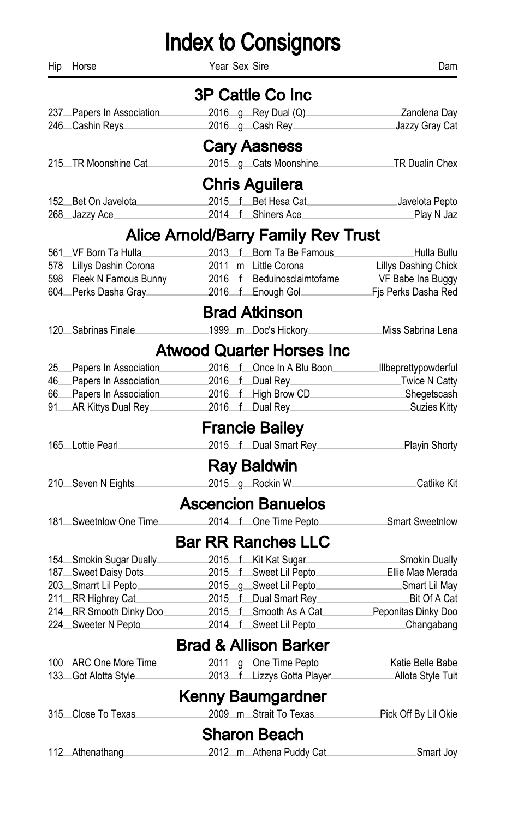| Hip | Horse                     | Year Sex Sire                                                                                                                         | Dam                  |
|-----|---------------------------|---------------------------------------------------------------------------------------------------------------------------------------|----------------------|
|     |                           | 3P Cattle Co Inc                                                                                                                      |                      |
|     | 237 Papers In Association | 2016 g Rey Dual (Q)                                                                                                                   | Zanolena Day         |
|     | 246 Cashin Reys           | 2016_g_Cash Rey______________________________Jazzy Gray Cat                                                                           |                      |
|     |                           | <b>Cary Aasness</b>                                                                                                                   |                      |
|     | 215. TR Moonshine Cat.    | 2015_g_Cats Moonshine__________________TR Dualin Chex                                                                                 |                      |
|     |                           | <b>Chris Aguilera</b>                                                                                                                 |                      |
|     | 152 Bet On Javelota       | 2015 f Bet Hesa Cat                                                                                                                   | Javelota Pepto       |
|     | 268 Jazzy Ace             | 2014 f Shiners Ace                                                                                                                    | _Play N Jaz          |
|     |                           | <b>Alice Arnold/Barry Family Rev Trust</b>                                                                                            |                      |
|     | 561 VF Born Ta Hulla      | 2013 f Born Ta Be Famous                                                                                                              | Hulla Bullu          |
|     | 578 Lillys Dashin Corona  | 2011_m_Little Corona_                                                                                                                 | Lillys Dashing Chick |
|     |                           | 598 Fleek N Famous Bunny 2016 f Beduinosclaimtofame VF Babe Ina Buggy<br>604 Perks Dasha Gray 2016 f Enough Gol F Fis Perks Dasha Red |                      |
|     |                           |                                                                                                                                       |                      |
|     |                           | <b>Brad Atkinson</b>                                                                                                                  |                      |
|     | 120 Sabrinas Finale       | 1999_m_Doc's Hickory___________________Miss Sabrina Lena                                                                              |                      |
|     |                           | <b>Atwood Quarter Horses Inc</b>                                                                                                      |                      |
|     | 25 Papers In Association  | 2016 f Once In A Blu Boon Illbeprettypowderful                                                                                        |                      |
|     | 46 Papers In Association  | 2016 f Dual Rey Twice N Catty                                                                                                         |                      |
|     | 66 Papers In Association  | 2016 f High Brow CD Shegetscash                                                                                                       |                      |
|     | 91 AR Kittys Dual Rey     | 2016 f Dual Rey                                                                                                                       | Suzies Kitty         |
|     |                           | <b>Francie Bailey</b>                                                                                                                 |                      |
|     | 165 Lottie Pearl          | 2015 f Dual Smart Rey Playin Shorty                                                                                                   |                      |
|     |                           | <b>Ray Baldwin</b>                                                                                                                    |                      |
|     | 210. Seven N Eights       | 2015_g_Rockin W_                                                                                                                      | Catlike Kit          |
|     |                           | <b>Ascencion Banuelos</b>                                                                                                             |                      |
|     | 181 Sweetnlow One Time    | 2014 fone Time Pepto                                                                                                                  | Smart Sweetnlow      |
|     |                           | <b>Bar RR Ranches LLC</b>                                                                                                             |                      |
|     | 154 Smokin Sugar Dually   | 2015 f Kit Kat Sugar                                                                                                                  | Smokin Dually        |
|     |                           | 187 Sweet Daisy Dots 2015 f Sweet Lil Pepto Ellie Mae Merada                                                                          |                      |
|     |                           | 203 Smarrt Lil Pepto 2015 g Sweet Lil Pepto Smart Lil May                                                                             |                      |
|     | 211 RR Highrey Cat        | 2015 f Dual Smart Rey                                                                                                                 | Bit Of A Cat         |
|     |                           | 214 RR Smooth Dinky Doo 2015 f Smooth As A Cat Peponitas Dinky Doo<br>224 Sweeter N Pepto 2014 f Sweet Lil Pepto Changabang           |                      |
|     |                           |                                                                                                                                       |                      |
|     |                           | <b>Brad &amp; Allison Barker</b>                                                                                                      |                      |
|     | 100 ARC One More Time     | 2011_g_One Time Pepto__                                                                                                               | Katie Belle Babe     |
|     | 133. Got Alotta Style.    |                                                                                                                                       |                      |
|     |                           | Kenny Baumgardner                                                                                                                     |                      |
|     | 315 Close To Texas        | 2009_m_Strait To Texas                                                                                                                | Pick Off By Lil Okie |
|     |                           | <b>Sharon Beach</b>                                                                                                                   |                      |
|     | 112 Athenathang           | 2012_m_Athena Puddy Cat                                                                                                               | Smart Joy.           |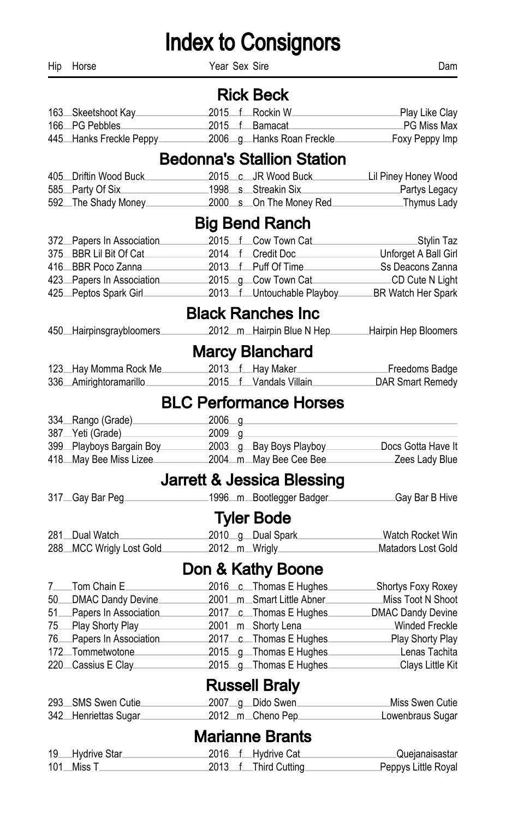Hip Horse **Dam** Year Sex Sire **Next Similar Sex Similar Sex Similar Sex Similar Science Communist Dam** 

#### Rick Beck

| 163 Skeetshoot Kay      |  | 2015 f Rockin W           | Play Like Clay. |
|-------------------------|--|---------------------------|-----------------|
| 166 PG Pebbles          |  | 2015 f Bamacat            | _PG Miss Max    |
| 445 Hanks Freckle Peppy |  | 2006 g Hanks Roan Freckle | Foxy Peppy Imp  |

### Bedonna's Stallion Station

| 405 Driftin Wood Buck |  | 2015 c JR Wood Buck      | Lil Piney Honey Wood |
|-----------------------|--|--------------------------|----------------------|
| 585 Party Of Six      |  | .1998 s Streakin Six.    | _Partys Legacy       |
| 592 The Shady Money   |  | 2000 s On The Money Red. | .Thymus Lady         |

#### Big Bend Ranch

| 372 Papers In Association |                   | 2015 f Cow Town Cat         | <sub>−</sub> Stγlin Taz       |
|---------------------------|-------------------|-----------------------------|-------------------------------|
| 375 BBR Lil Bit Of Cat    | 2014 f Credit Doc |                             | Unforget A Ball Girl          |
| 416 BBR Poco Zanna        |                   | 2013 f Puff Of Time         | <sub>-</sub> Ss Deacons Zanna |
| 423 Papers In Association |                   | 2015 q Cow Town Cat         | CD Cute N Light               |
| 425 Peptos Spark Girl     |                   | 2013 f Untouchable Playboy. | BR Watch Her Spark            |

#### Black Ranches Inc

|  | 450 Hairpinsgraybloomers |  |  | 2012 m Hairpin Blue N Hep | Hairpin Hep Bloomers |
|--|--------------------------|--|--|---------------------------|----------------------|
|--|--------------------------|--|--|---------------------------|----------------------|

#### Marcy Blanchard

| 123 Hay Momma Rock Me  | 2013 f Hay Maker       | Freedoms Badge   |
|------------------------|------------------------|------------------|
| 336 Amirightoramarillo | 2015 f Vandals Villain | DAR Smart Remedy |

#### BLC Performance Horses

| 334 Rango (Grade)             | $2006 - q$ |                         |                    |
|-------------------------------|------------|-------------------------|--------------------|
| 387 <sub>—</sub> Yeti (Grade) | $2009 - q$ |                         |                    |
| 399 Playboys Bargain Boy      |            | 2003 g Bay Boys Playboy | Docs Gotta Have It |
| 418 May Bee Miss Lizee        |            | 2004mMay Bee Cee Bee    | Zees Lady Blue     |

#### Jarrett & Jessica Blessing

| 317 Gay Bar Peg.         | .1996m Bootlegger Badger | ∟Gay Bar B Hive    |
|--------------------------|--------------------------|--------------------|
|                          | <b>Tyler Bode</b>        |                    |
| 281 Dual Watch           | 2010 g Dual Spark        | Watch Rocket Win.  |
| 288 MCC Wrigly Lost Gold | 2012_m_Wrigly_           | Matadors Lost Gold |

#### Don & Kathy Boone

| Miss Toot N Shoot     |
|-----------------------|
| DMAC Dandy Devine     |
| <b>Winded Freckle</b> |
| Play Shorty Play      |
| Lenas Tachita         |
| Clays Little Kit      |
|                       |

#### Russell Braly

| 293 SMS Swen Cutie   |  | 2007 <sub>--</sub> g-Dido Swen | Miss Swen Cutie  |
|----------------------|--|--------------------------------|------------------|
| 342 Henriettas Sugar |  | _2012_m_Cheno Pep              | Lowenbraus Sugar |

### Marianne Brants

| 19 Hydrive Star |  | 2016 f Hydrive Cat   | <b>Quejanaisastar</b> |
|-----------------|--|----------------------|-----------------------|
| 101Miss T       |  | 2013 f Third Cutting | Peppys Little Royal   |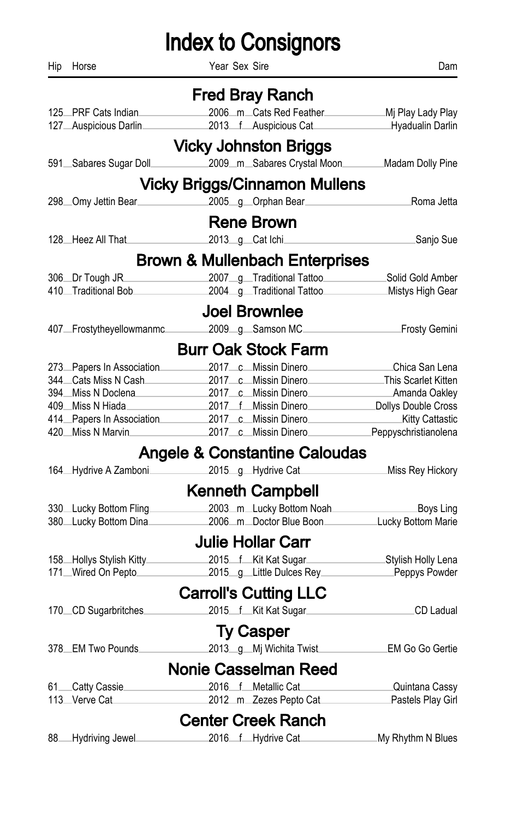| Hip | Horse                                                                                                         | Year Sex Sire |                                                                   | Dam               |
|-----|---------------------------------------------------------------------------------------------------------------|---------------|-------------------------------------------------------------------|-------------------|
|     |                                                                                                               |               | <b>Fred Bray Ranch</b>                                            |                   |
|     | 125 PRF Cats Indian                                                                                           |               | 2006_m_Cats Red Feather_________________________Mj Play Lady Play |                   |
|     | 127 Auspicious Darlin                                                                                         |               | 2013 f Auspicious Cat Hyadualin Darlin                            |                   |
|     |                                                                                                               |               | <b>Vicky Johnston Briggs</b>                                      |                   |
|     | 591 Sabares Sugar Doll                                                                                        |               | 2009 m Sabares Crystal Moon Madam Dolly Pine                      |                   |
|     |                                                                                                               |               | <b>Vicky Briggs/Cinnamon Mullens</b>                              |                   |
|     | 298 Omy Jettin Bear 2005 g Orphan Bear                                                                        |               |                                                                   | Roma Jetta        |
|     |                                                                                                               |               | <b>Rene Brown</b>                                                 |                   |
|     | 128 Heez All That 2013 g Cat Ichi                                                                             |               |                                                                   | Sanjo Sue         |
|     |                                                                                                               |               | <b>Brown &amp; Mullenbach Enterprises</b>                         |                   |
|     | 306 Dr Tough JR                                                                                               |               | 2007 g Traditional Tattoo Solid Gold Amber                        |                   |
|     | 410 Traditional Bob 2004 g Traditional Tattoo Mistys High Gear                                                |               |                                                                   |                   |
|     |                                                                                                               |               | <b>Joel Brownlee</b>                                              |                   |
|     | 407 Frostytheyellowmanmc 2009 g Samson MC Frosty Gemini                                                       |               |                                                                   |                   |
|     |                                                                                                               |               | <b>Burr Oak Stock Farm</b>                                        |                   |
|     | 273 Papers In Association 2017 c Missin Dinero Chica San Lena                                                 |               |                                                                   |                   |
|     | 344 Cats Miss N Cash 2017 c Missin Dinero This Scarlet Kitten                                                 |               |                                                                   |                   |
|     | 394 Miss N Doclena 2017 c Missin Dinero Amanda Oakley                                                         |               |                                                                   |                   |
|     | 409 Miss N Hiada                                                                                              |               | 2017 f Missin Dinero Dollys Double Cross                          |                   |
|     |                                                                                                               |               |                                                                   |                   |
|     | 414 Papers In Association 2017 c Missin Dinero<br>420 Miss N Marvin 2017 c Missin Dinero Peppyschristianolena |               |                                                                   |                   |
|     |                                                                                                               |               | <b>Angele &amp; Constantine Caloudas</b>                          |                   |
|     | 164 Hydrive A Zamboni 2015 g Hydrive Cat                                                                      |               |                                                                   | Miss Rey Hickory  |
|     |                                                                                                               |               | <b>Kenneth Campbell</b>                                           |                   |
|     | 330 Lucky Bottom Fling                                                                                        |               | 2003_m_Lucky Bottom Noah_______                                   | Boys Ling         |
|     | 380 Lucky Bottom Dina                                                                                         |               | 2006_m_Doctor Blue Boon____________Lucky Bottom Marie             |                   |
|     |                                                                                                               |               | <b>Julie Hollar Carr</b>                                          |                   |
|     | 158 Hollys Stylish Kitty 2015 f Kit Kat Sugar Stylish Holly Lena                                              |               |                                                                   |                   |
|     | 171_Wired On Pepto________                                                                                    |               | 2015_g_Little Dulces Rey____________Peppys Powder                 |                   |
|     |                                                                                                               |               | <b>Carroll's Cutting LLC</b>                                      |                   |
|     | 170 CD Sugarbritches 2015 f Kit Kat Sugar CD Ladual                                                           |               |                                                                   |                   |
|     |                                                                                                               |               | <b>Ty Casper</b>                                                  |                   |
|     | 378 EM Two Pounds                                                                                             |               | 2013_g_Mj Wichita Twist__________EM Go Go Gertie                  |                   |
|     |                                                                                                               |               | <b>Nonie Casselman Reed</b>                                       |                   |
|     | 61 Catty Cassie                                                                                               |               | 2016 f Metallic Cat                                               | Quintana Cassy    |
|     | 113_Verve Cat                                                                                                 |               | 2012_m_Zezes Pepto Cat________________Pastels Play Girl           |                   |
|     |                                                                                                               |               | <b>Center Creek Ranch</b>                                         |                   |
| 88  | Hydriving Jewel.                                                                                              |               | 2016 f Hydrive Cat                                                | My Rhythm N Blues |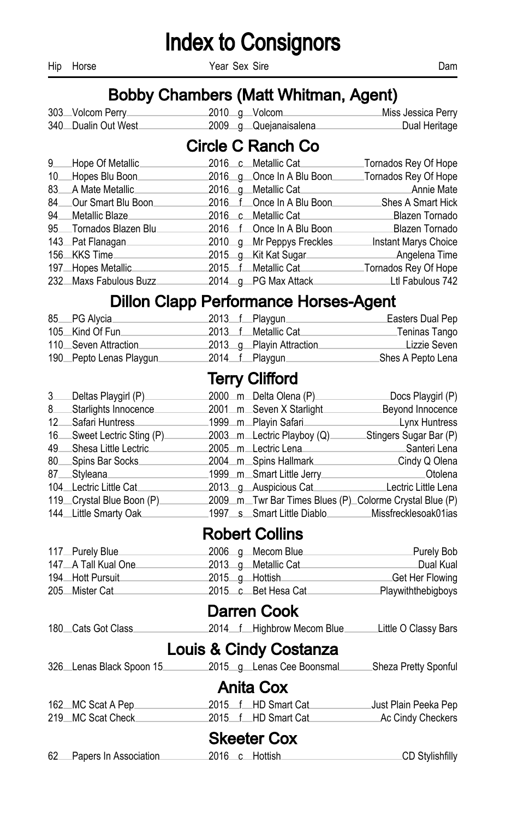Hip Horse **Dam** Year Sex Sire **Next Similar Sex Similar Sex Similar Sex Similar Science Communist Dam** 

#### Bobby Chambers (Matt Whitman, Agent)

| 303 Volcom Perry                 |  | 2010_g_Volcom         | Miss Jessica Perry |
|----------------------------------|--|-----------------------|--------------------|
| 340 <sub>—</sub> Dualin Out West |  | 2009 g Quejanaisalena | ⊥Dual Heritage     |

#### Circle C Ranch Co

| 9 Hope Of Metallic      | 2016 c Metallic Cat        | Tornados Rey Of Hope |
|-------------------------|----------------------------|----------------------|
| 10 Hopes Blu Boon       | 2016 g Once In A Blu Boon  | Tornados Rey Of Hope |
| 83 A Mate Metallic      | 2016 q Metallic Cat        | Annie Mate           |
| 84 Our Smart Blu Boon.  | 2016 f Once In A Blu Boon. | Shes A Smart Hick    |
| 94 Metallic Blaze       | 2016 c Metallic Cat        | Blazen Tornado       |
| 95 Tornados Blazen Blu. | 2016 f Once In A Blu Boon. | Blazen Tornado       |
| 143 Pat Flanagan.       | 2010 g Mr Peppys Freckles. | Instant Marys Choice |
| 156 KKS Time            | 2015 g Kit Kat Sugar       | Angelena Time        |
| 197 Hopes Metallic      | 2015 f Metallic Cat        | Tornados Rey Of Hope |
| 232 Maxs Fabulous Buzz  | 2014 g PG Max Attack       | Ltl Fabulous 742     |

#### Dillon Clapp Performance Horses-Agent

| 85 PG Alycia            |  | 2013 f Playgun           | Easters Dual Pep  |
|-------------------------|--|--------------------------|-------------------|
| 105 Kind Of Fun         |  | 2013 f Metallic Cat      | Teninas Tango     |
| 110 Seven Attraction    |  | 2013 g Playin Attraction | Lizzie Seven      |
| 190 Pepto Lenas Playgun |  | 2014 f Playgun           | Shes A Pepto Lena |

#### Terry Clifford

| 3 | Deltas Playgirl (P)        | 2000 m Delta Olena (P)                                   | Docs Playgirl (P)      |
|---|----------------------------|----------------------------------------------------------|------------------------|
| 8 | Starlights Innocence       | 2001_m_Seven X Starlight                                 | Beyond Innocence       |
|   | 12 Safari Huntress         | 1999_m_Playin Safari_                                    | <b>Lynx Huntress</b>   |
|   | 16 Sweet Lectric Sting (P) | 2003_m_Lectric Playboy (Q)                               | Stingers Sugar Bar (P) |
|   | 49 Shesa Little Lectric    | 2005 m Lectric Lena                                      | Santeri Lena           |
|   | 80 Spins Bar Socks         | 2004 m Spins Hallmark                                    | Cindy Q Olena          |
|   | 87 Styleana                | 1999_m_Smart Little Jerry_                               | <b>Otolena</b>         |
|   | 104 Lectric Little Cat     | 2013 g Auspicious Cat                                    | Lectric Little Lena    |
|   | 119 Crystal Blue Boon (P)  | 2009 m. Twr Bar Times Blues (P) Colorme Crystal Blue (P) |                        |
|   | 144 Little Smarty Oak      | 1997 s Smart Little Diablo Missfrecklesoak01ias          |                        |

#### Robert Collins

| 117 Purely Blue     | 2006 g Mecom Blue   | Purely Bob         |
|---------------------|---------------------|--------------------|
| 147 A Tall Kual One | 2013 g Metallic Cat | ⊥Dual Kual         |
| 194 Hott Pursuit    | 2015 g Hottish      | Get Her Flowing    |
| 205 Mister Cat      | 2015 c Bet Hesa Cat | Playwiththebigboys |

#### Darren Cook

180 Cats Got Class 2014 f Highbrow Mecom Blue Little O Classy Bars

#### Louis & Cindy Costanza

|  | 326 Lenas Black Spoon 15 |  |  | 2015 g Lenas Cee Boonsmal | Sheza Pretty Sponful |  |
|--|--------------------------|--|--|---------------------------|----------------------|--|
|--|--------------------------|--|--|---------------------------|----------------------|--|

#### Anita Cox

| 162 MC Scat A Pep |  | 2015 f HD Smart Cat | Just Plain Peeka Pep |
|-------------------|--|---------------------|----------------------|
| 219 MC Scat Check |  | 2015 f HD Smart Cat | _Ac Cindy Checkers   |

### Skeeter Cox

|  | 62 Papers In Association |  |  | 2016 c Hottish | _CD Stylishfilly |  |
|--|--------------------------|--|--|----------------|------------------|--|
|--|--------------------------|--|--|----------------|------------------|--|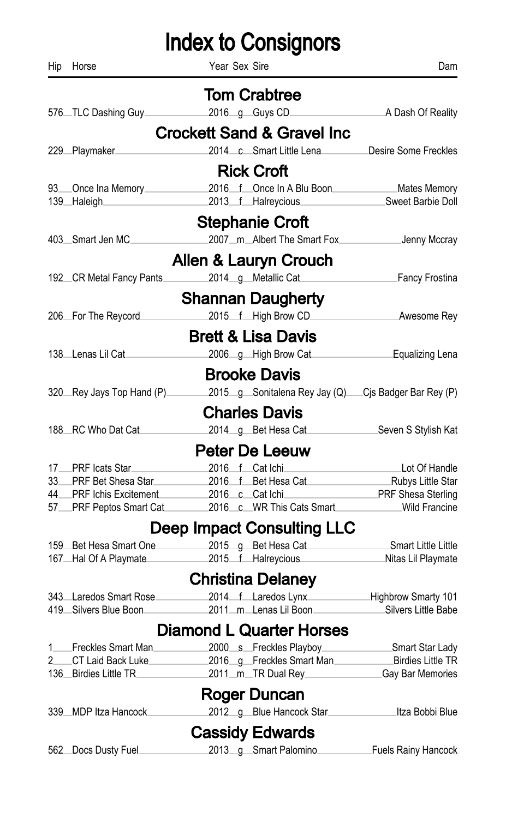| Hip | Horse                                      | Year Sex Sire                                          | Dam                                 |
|-----|--------------------------------------------|--------------------------------------------------------|-------------------------------------|
|     |                                            | <b>Tom Crabtree</b>                                    |                                     |
|     | 576 TLC Dashing Guy                        | 2016 g Guys CD                                         | A Dash Of Reality                   |
|     |                                            | <b>Crockett Sand &amp; Gravel Inc</b>                  |                                     |
|     | 229_Playmaker_                             | 2014 c Smart Little Lena                               | Desire Some Freckles                |
|     |                                            | <b>Rick Croft</b>                                      |                                     |
|     |                                            | 2016 f Once In A Blu Boon                              |                                     |
|     | 93. Once Ina Memory<br>139_Haleigh_        | 2013 f Halreycious                                     | Mates Memory_<br>Sweet Barbie Doll  |
|     |                                            | <b>Stephanie Croft</b>                                 |                                     |
|     | 403_Smart Jen MC                           | 2007_m_Albert The Smart Fox_                           | Jenny Mccray                        |
|     |                                            |                                                        |                                     |
|     |                                            | Allen & Lauryn Crouch                                  |                                     |
|     | 192 CR Metal Fancy Pants                   | 2014 g Metallic Cat                                    | Fancy Frostina                      |
|     |                                            | <b>Shannan Daugherty</b>                               |                                     |
|     | 206 For The Reycord                        | 2015 f High Brow CD                                    | Awesome Rey                         |
|     |                                            | <b>Brett &amp; Lisa Davis</b>                          |                                     |
|     | 138 Lenas Lil Cat                          | 2006 g High Brow Cat                                   | Equalizing Lena                     |
|     |                                            | <b>Brooke Davis</b>                                    |                                     |
|     | 320 Rey Jays Top Hand (P)                  | 2015 g Sonitalena Rey Jay (Q) Cjs Badger Bar Rey (P)   |                                     |
|     |                                            | <b>Charles Davis</b>                                   |                                     |
|     | 188 RC Who Dat Cat                         | 2014 g Bet Hesa Cat                                    | Seven S Stylish Kat                 |
|     |                                            |                                                        |                                     |
|     |                                            | <b>Peter De Leeuw</b>                                  |                                     |
|     | 17 PRF Icats Star<br>33 PRF Bet Shesa Star | 2016 f Cat Ichi<br>2016 f Bet Hesa Cat                 | Lot Of Handle<br>_Rubys Little Star |
|     | 44 PRF Ichis Excitement                    | 2016 c Cat Ichi                                        | <b>PRF Shesa Sterling</b>           |
|     |                                            | 57 PRF Peptos Smart Cat 2016 c WR This Cats Smart      | Wild Francine                       |
|     |                                            | <b>Deep Impact Consulting LLC</b>                      |                                     |
|     | 159 Bet Hesa Smart One                     | 2015 g Bet Hesa Cat                                    | Smart Little Little                 |
|     | 167 Hal Of A Playmate                      | 2015 f Halreycious                                     | Nitas Lil Playmate                  |
|     |                                            | <b>Christina Delaney</b>                               |                                     |
|     | 343 Laredos Smart Rose                     | 2014 f Laredos Lynx                                    | Highbrow Smarty 101                 |
|     | 419 Silvers Blue Boon                      | 2011_m_Lenas Lil Boon______                            | Silvers Little Babe                 |
|     |                                            | <b>Diamond L Quarter Horses</b>                        |                                     |
|     | 1 Freckles Smart Man                       | 2000 s Freckles Playboy                                | Smart Star Lady                     |
|     | 2 CT Laid Back Luke                        | 2016_g_Freckles Smart Man____________Birdies Little TR |                                     |
|     | 136 Birdies Little TR                      | 2011_m_TR Dual Rey_____________Gay Bar Memories        |                                     |
|     |                                            | Roger Duncan                                           |                                     |
|     | 339 MDP Itza Hancock                       | 2012 g Blue Hancock Star                               | Itza Bobbi Blue                     |
|     |                                            | <b>Cassidy Edwards</b>                                 |                                     |
|     | 562 Docs Dusty Fuel                        | 2013_g_Smart Palomino_                                 | Fuels Rainy Hancock                 |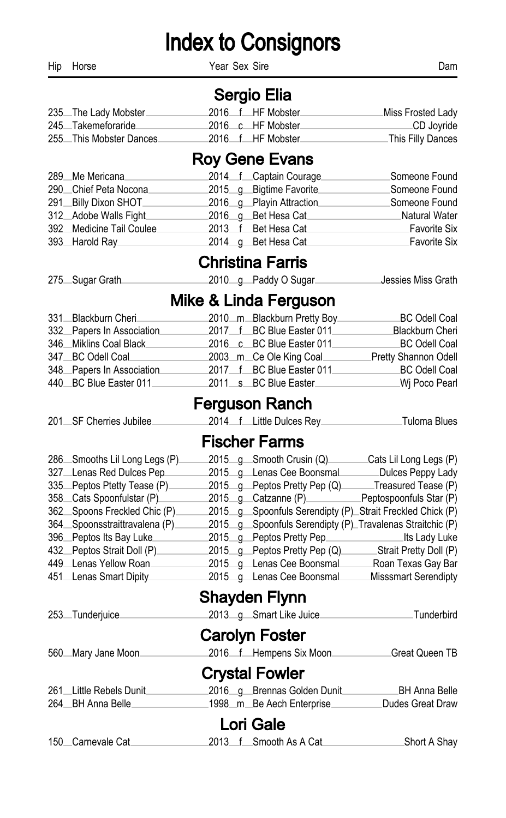Hip Horse Dam Near Sex Sire **Dam** 

#### Sergio Elia

| 235 The Lady Mobster    |  | 2016 f HF Mobster | Miss Frosted Lady |
|-------------------------|--|-------------------|-------------------|
| 245 Takemeforaride      |  | 2016 c HF Mobster | _CD Joyride       |
| 255 This Mobster Dances |  |                   | This Filly Dances |

### Roy Gene Evans

| 289 Me Mericana          | 2014 f Captain Courage   | Someone Found |
|--------------------------|--------------------------|---------------|
| 290 Chief Peta Nocona    | 2015 g Bigtime Favorite  | Someone Found |
| 291 Billy Dixon SHOT     | 2016 g Playin Attraction | Someone Found |
| 312 Adobe Walls Fight    | 2016 g Bet Hesa Cat      | Natural Water |
| 392 Medicine Tail Coulee | 2013 f Bet Hesa Cat      | Favorite Six  |
| 393 Harold Ray           | 2014 g Bet Hesa Cat      | Favorite Six  |

### Christina Farris

| 275 Sugar Grath |  | 2010 g Paddy O Sugar | Jessies Miss Grath. |
|-----------------|--|----------------------|---------------------|
|                 |  |                      |                     |

#### Mike & Linda Ferguson

| 331 Blackburn Cheri       | 2010 m Blackburn Pretty Boy | BC Odell Coal        |
|---------------------------|-----------------------------|----------------------|
| 332 Papers In Association | 2017 f BC Blue Easter 011   | Blackburn Cheri      |
| 346 Miklins Coal Black    | 2016 c BC Blue Easter 011   | BC Odell Coal        |
| 347 BC Odell Coal         | 2003 m Ce Ole King Coal     | Pretty Shannon Odell |
| 348 Papers In Association | 2017 f BC Blue Easter 011   | BC Odell Coal        |
| 440 BC Blue Easter 011    | 2011 s BC Blue Easter       | .Wj Poco Pearl       |

#### Ferguson Ranch

|  | 201. SF Cherries Jubilee |  |  | 2014 f Little Dulces Rev. | Tuloma Blues |
|--|--------------------------|--|--|---------------------------|--------------|
|--|--------------------------|--|--|---------------------------|--------------|

### Fischer Farms

| 286 Smooths Lil Long Legs (P). | 2015 g Smooth Crusin (Q).                                 | Cats Lil Long Legs (P)  |
|--------------------------------|-----------------------------------------------------------|-------------------------|
| 327 Lenas Red Dulces Pep       | 2015 g Lenas Cee Boonsmal                                 | Dulces Peppy Lady       |
| 335 Peptos Ptetty Tease (P).   | 2015 g Peptos Pretty Pep (Q).                             | Treasured Tease (P)     |
| 358 Cats Spoonfulstar (P)      | 2015 q Catzanne (P)                                       | Peptospoonfuls Star (P) |
| 362 Spoons Freckled Chic (P).  | 2015_g_Spoonfuls Serendipty (P)_Strait Freckled Chick (P) |                         |
| 364 Spoonsstraittravalena (P). | 2015 g Spoonfuls Serendipty (P) Travalenas Straitchic (P) |                         |
| 396 Peptos Its Bay Luke        | 2015_g_Peptos Pretty Pep______________                    | Lits Lady Luke          |
| 432 Peptos Strait Doll (P)     | 2015 g Peptos Pretty Pep (Q).                             | Strait Pretty Doll (P)  |
| 449 Lenas Yellow Roan          | 2015 g Lenas Cee Boonsmal                                 | Roan Texas Gay Bar      |
| 451 Lenas Smart Dipity         | 2015 g Lenas Cee Boonsmal                                 | Misssmart Serendipty    |
|                                |                                                           |                         |

#### Shayden Flynn

| 253_Tunderjuice         | 2013_g_Smart Like Juice       | Tunderbird       |
|-------------------------|-------------------------------|------------------|
|                         | <b>Carolyn Foster</b>         |                  |
| 560 Mary Jane Moon      | 2016 f Hempens Six Moon.      | Great Queen TB   |
|                         | <b>Crystal Fowler</b>         |                  |
| 261 Little Rebels Dunit | 2016_g_Brennas Golden Dunit   | BH Anna Belle    |
| 264 BH Anna Belle       | _1998__m__Be Aech Enterprise_ | Dudes Great Draw |
|                         | Lori Gale                     |                  |
| 150 Carnevale Cat.      | 2013 f Smooth As A Cat.       | Short A Shay     |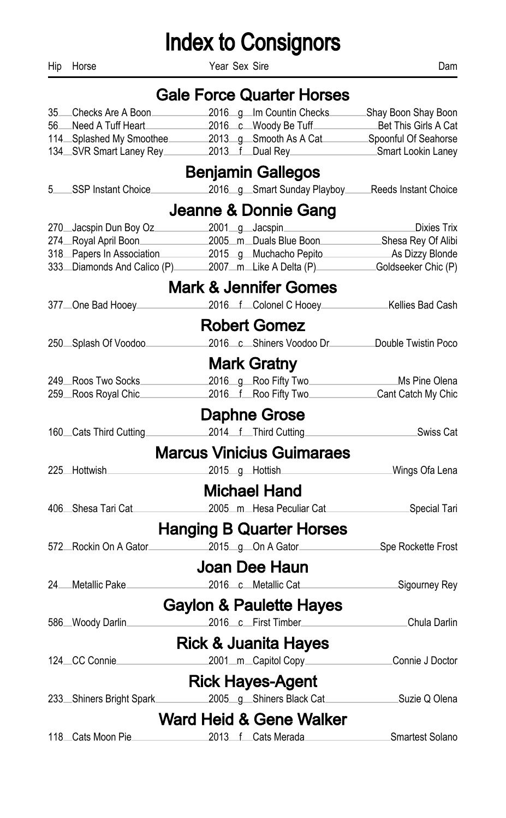Hip Horse Dam Year Sex Sire **Dam** Dam

|    |                                       | <b>Gale Force Quarter Horses</b>                             |                      |
|----|---------------------------------------|--------------------------------------------------------------|----------------------|
| 35 | Checks Are A Boon                     | 2016_g_Im Countin Checks_                                    | Shay Boon Shay Boon  |
| 56 | Need A Tuff Heart                     | 2016 c Woody Be Tuff                                         | Bet This Girls A Cat |
|    | 114 Splashed My Smoothee              | 2013 g Smooth As A Cat                                       | Spoonful Of Seahorse |
|    | 134 SVR Smart Laney Rey               | 2013 f Dual Rey                                              | Smart Lookin Laney   |
|    |                                       | <b>Benjamin Gallegos</b>                                     |                      |
| 5  | SSP Instant Choice                    | 2016_g_Smart Sunday Playboy___                               | Reeds Instant Choice |
|    |                                       | Jeanne & Donnie Gang                                         |                      |
|    | 270 Jacspin Dun Boy Oz 2001 g Jacspin |                                                              | Dixies Trix          |
|    | 274 Royal April Boon                  | 2005 m Duals Blue Boon Shesa Rey Of Alibi                    |                      |
|    | 318 Papers In Association             | 2015 g Muchacho Pepito                                       | As Dizzy Blonde      |
|    |                                       | 333 Diamonds And Calico (P) 2007 m Like A Delta (P)          | Goldseeker Chic (P)  |
|    |                                       | <b>Mark &amp; Jennifer Gomes</b>                             |                      |
|    | 377 One Bad Hooey                     | 2016 f Colonel C Hooey                                       | _Kellies Bad Cash    |
|    |                                       | <b>Robert Gomez</b>                                          |                      |
|    | 250 Splash Of Voodoo                  | 2016 c Shiners Voodoo Dr                                     | Double Twistin Poco  |
|    |                                       | <b>Mark Gratny</b>                                           |                      |
|    | 249 Roos Two Socks                    | 2016_g_Roo Fifty Two___________________________Ms Pine Olena |                      |
|    | 259 Roos Royal Chic                   | 2016 f Roo Fifty Two Cant Catch My Chic                      |                      |
|    |                                       | Daphne Grose                                                 |                      |
|    | 160 Cats Third Cutting                | 2014 f Third Cutting                                         | Swiss Cat            |
|    |                                       | <b>Marcus Vinicius Guimaraes</b>                             |                      |
|    | 225 Hottwish                          | 2015 g Hottish                                               | Wings Ofa Lena       |
|    |                                       |                                                              |                      |
|    |                                       | <b>Michael Hand</b>                                          |                      |
|    | 406 Shesa Tari Cat                    | 2005_m_Hesa Peculiar Cat______                               | Special Tari         |
|    |                                       | <b>Hanging B Quarter Horses</b>                              |                      |
|    | 572 Rockin On A Gator                 | 2015 g On A Gator                                            | Spe Rockette Frost   |
|    |                                       | Joan Dee Haun                                                |                      |
|    | 24 Metallic Pake                      | 2016 c Metallic Cat                                          | Sigourney Rey        |
|    |                                       | <b>Gaylon &amp; Paulette Hayes</b>                           |                      |
|    | 586 Woody Darlin.                     | 2016 c First Timber                                          | Chula Darlin         |
|    |                                       | <b>Rick &amp; Juanita Hayes</b>                              |                      |
|    | 124 CC Connie                         | 2001_m_Capitol Copy_____                                     | Connie J Doctor      |
|    |                                       | <b>Rick Hayes-Agent</b>                                      |                      |
|    | 233 Shiners Bright Spark              | 2005 g Shiners Black Cat                                     | Suzie Q Olena        |
|    |                                       | <b>Ward Heid &amp; Gene Walker</b>                           |                      |
|    | 118 Cats Moon Pie.                    | 2013 f Cats Merada                                           | Smartest Solano      |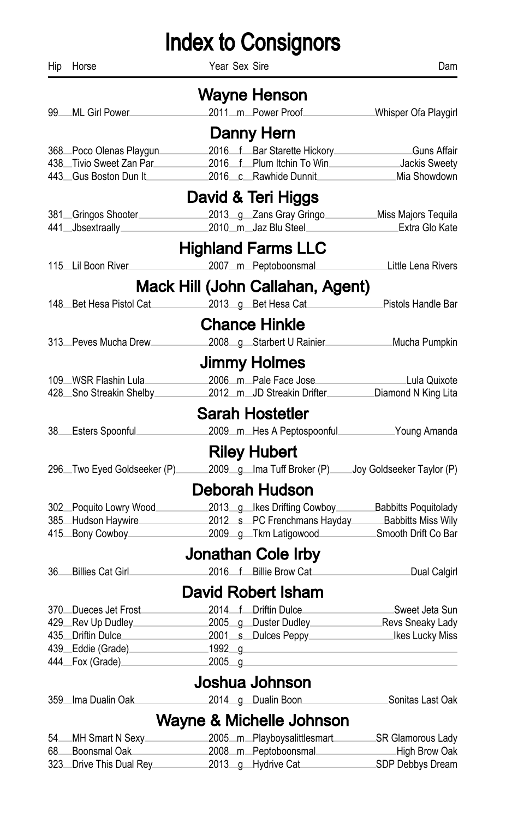Hip Horse Year Sex Sire Dam Wayne Henson 99 ML Girl Power 2011 m Power Proof Whisper Ofa Playgirl Danny Hern 368 Poco Olenas Playgun 2016 f Bar Starette Hickory Guns Affair 438 Tivio Sweet Zan Par 2016 f Plum Itchin To Win Jackis Sweety 443 Gus Boston Dun It 2016 c Rawhide Dunnit Mia Showdown David & Teri Higgs 381 Gringos Shooter 2013 g Zans Gray Gringo Miss Majors Tequila 441 Jbsextraally 2010 m Jaz Blu Steel Extra Glo Kate Highland Farms LLC 115 Lil Boon River 2007 m Peptoboonsmal Little Lena Rivers Mack Hill (John Callahan, Agent) 148 Bet Hesa Pistol Cat 2013 g Bet Hesa Cat Pistols Handle Bar Chance Hinkle 313 Peves Mucha Drew 2008 g Starbert U Rainier Mucha Pumpkin Jimmy Holmes 109 WSR Flashin Lula 2006 m Pale Face Jose Lula Quixote 428 Sno Streakin Shelby 2012 m JD Streakin Drifter Diamond N King Lita Sarah Hostetler 38 Esters Spoonful 2009 m Hes A Peptospoonful Young Amanda Riley Hubert 296 Two Eyed Goldseeker (P) 2009 g Ima Tuff Broker (P) Joy Goldseeker Taylor (P) Deborah Hudson 302 Poquito Lowry Wood 2013 g Ikes Drifting Cowboy Babbitts Poquitolady 385 Hudson Haywire 2012 s PC Frenchmans Hayday Babbitts Miss Wily 415 Bony Cowboy 2009 g Tkm Latigowood Smooth Drift Co Bar Jonathan Cole Irby 36 Billies Cat Girl 2016 f Billie Brow Cat Dual Calgirl David Robert Isham 370 Dueces Jet Frost 2014 f Driftin Dulce Sweet Jeta Sun 429 Rev Up Dudley 2005 g Duster Dudley Revs Sneaky Lady 435 Driftin Dulce 2001 s Dulces Peppy Ikes Lucky Miss 439 Eddie (Grade) 1992 g 444 Fox (Grade) 2005 g Joshua Johnson 359 Ima Dualin Oak 2014 g Dualin Boon Sonitas Last Oak Wayne & Michelle Johnson 54 MH Smart N Sexy 2005 m Playboysalittlesmart SR Glamorous Lady 68 Boonsmal Oak 2008 m Peptoboonsmal High Brow Oak

323 Drive This Dual Rey 2013 g Hydrive Cat SDP Debbys Dream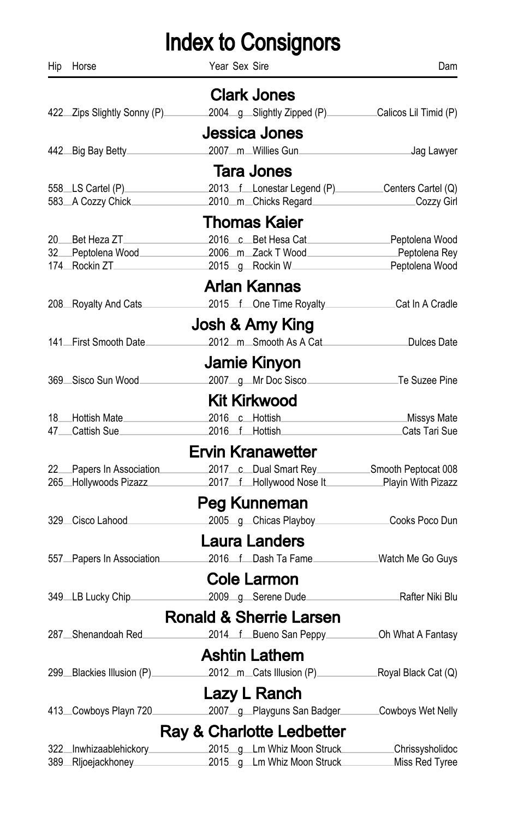| Hip        | Horse                                             | Year Sex Sire                                                                                       | Dam                                |
|------------|---------------------------------------------------|-----------------------------------------------------------------------------------------------------|------------------------------------|
|            |                                                   | <b>Clark Jones</b>                                                                                  |                                    |
|            | 422 Zips Slightly Sonny (P)                       | 2004_g_Slightly Zipped (P)__________Calicos Lil Timid (P)                                           |                                    |
|            |                                                   | Jessica Jones                                                                                       |                                    |
|            | 442 Big Bay Betty                                 | 2007m Willies Gun                                                                                   | <b>Manufacture 1988</b> Jag Lawyer |
|            |                                                   |                                                                                                     |                                    |
|            |                                                   | <b>Tara Jones</b>                                                                                   |                                    |
|            | 583 A Cozzy Chick                                 | 2013 f Lonestar Legend (P) Centers Cartel (Q)<br>2010_m_Chicks Regard________                       | Cozzy Girl                         |
|            |                                                   | Thomas Kaier                                                                                        |                                    |
|            | 20 Bet Heza ZT                                    | 2016 c Bet Hesa Cat Peptolena Wood                                                                  |                                    |
|            | 32 Peptolena Wood                                 | 2006 m Zack T Wood Peptolena Rey                                                                    |                                    |
|            | 174 Rockin ZT                                     | 2015 g Rockin W                                                                                     | Peptolena Wood                     |
|            |                                                   | <b>Arlan Kannas</b>                                                                                 |                                    |
|            | 208 Royalty And Cats                              | 2015 f One Time Royalty<br>Cat In A Cradle                                                          |                                    |
|            |                                                   | Josh & Amy King                                                                                     |                                    |
|            | 141. First Smooth Date                            | 2012 m Smooth As A Cat                                                                              | Dulces Date                        |
|            |                                                   | Jamie Kinyon                                                                                        |                                    |
|            | 369 Sisco Sun Wood                                | 2007_g_Mr Doc Sisco_                                                                                | Te Suzee Pine.                     |
|            |                                                   |                                                                                                     |                                    |
|            |                                                   | <b>Kit Kirkwood</b>                                                                                 |                                    |
|            | 18 Hottish Mate<br>47_Cattish Sue_                | 2016 c Hottish Missys Mate<br>2016 f Hottish                                                        | ∟Cats Tari Sue                     |
|            |                                                   |                                                                                                     |                                    |
|            |                                                   | <b>Ervin Kranawetter</b>                                                                            |                                    |
|            | 22 Papers In Association<br>265 Hollywoods Pizazz | 2017 c Dual Smart Rey ___________Smooth Peptocat 008<br>2017 f Hollywood Nose It Playin With Pizazz |                                    |
|            |                                                   |                                                                                                     |                                    |
|            |                                                   | Peg Kunneman                                                                                        |                                    |
|            | 329 Cisco Lahood                                  | 2005 g Chicas Playboy                                                                               | Cooks Poco Dun                     |
|            |                                                   | Laura Landers                                                                                       |                                    |
|            | 557 Papers In Association                         | 2016 f Dash Ta Fame                                                                                 | Watch Me Go Guys                   |
|            |                                                   | <b>Cole Larmon</b>                                                                                  |                                    |
|            | 349 LB Lucky Chip                                 | 2009_g_Serene Dude_                                                                                 | Rafter Niki Blu                    |
|            |                                                   | <b>Ronald &amp; Sherrie Larsen</b>                                                                  |                                    |
|            | 287 Shenandoah Red.                               | 2014 f Bueno San Peppy                                                                              | Oh What A Fantasy                  |
|            |                                                   | Ashtin Lathem                                                                                       |                                    |
|            | 299 Blackies Illusion (P)                         | 2012 m Cats Illusion (P) Royal Black Cat (Q)                                                        |                                    |
|            |                                                   | Lazy L Ranch                                                                                        |                                    |
|            | 413 Cowboys Playn 720                             | 2007_g_Playguns San Badger_                                                                         | Cowboys Wet Nelly                  |
|            |                                                   |                                                                                                     |                                    |
|            |                                                   | Ray & Charlotte Ledbetter                                                                           |                                    |
| 322<br>389 | Inwhizaablehickory_<br>Rljoejackhoney_            | 2015_g_Lm Whiz Moon Struck<br>2015_q_Lm Whiz Moon Struck_                                           | Chrissysholidoc<br>Miss Red Tyree  |
|            |                                                   |                                                                                                     |                                    |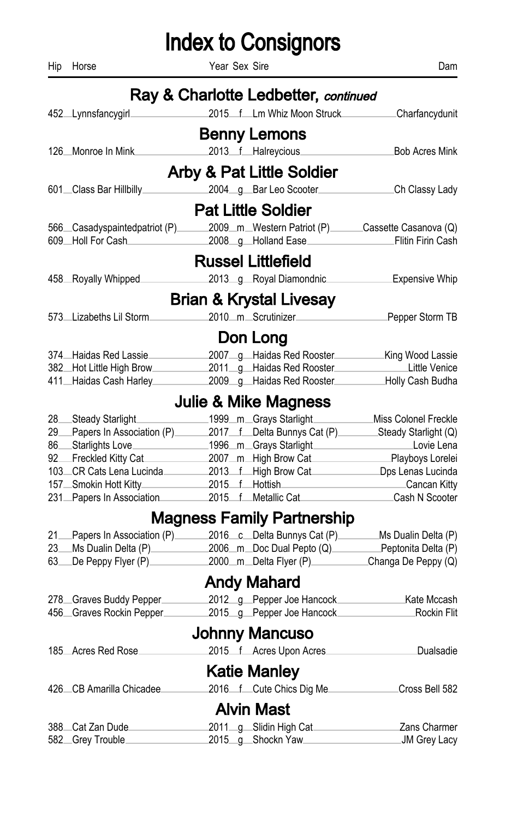Hip Horse Dam Year Sex Sire **Dam** Dam

|       |                               | Ray & Charlotte Ledbetter, continued |                                                       |
|-------|-------------------------------|--------------------------------------|-------------------------------------------------------|
|       | 452_Lynnsfancygirl.           | 2015 f Lm Whiz Moon Struck           | Charfancydunit                                        |
|       |                               | <b>Benny Lemons</b>                  |                                                       |
|       | 126 Monroe In Mink            | 2013 f Halreycious                   | <b>Bob Acres Mink</b>                                 |
|       |                               | <b>Arby &amp; Pat Little Soldier</b> |                                                       |
|       | 601 Class Bar Hillbilly       | 2004 g Bar Leo Scooter               | Ch Classy Lady                                        |
|       |                               |                                      |                                                       |
|       |                               | <b>Pat Little Soldier</b>            |                                                       |
|       | 566 Casadyspaintedpatriot (P) |                                      | 2009_m_Western Patriot (P)______Cassette Casanova (Q) |
|       | 609 Holl For Cash             | 2008_g_Holland Ease_                 | Flitin Firin Cash                                     |
|       |                               | <b>Russel Littlefield</b>            |                                                       |
|       | 458 Royally Whipped.          | 2013_g_Royal Diamondnic_             | Expensive Whip                                        |
|       |                               | <b>Brian &amp; Krystal Livesay</b>   |                                                       |
|       | 573 Lizabeths Lil Storm.      | 2010 m Scrutinizer                   | Pepper Storm TB                                       |
|       |                               | Don Long                             |                                                       |
|       | 374 Haidas Red Lassie.        | 2007 g Haidas Red Rooster            | _King Wood Lassie                                     |
|       | 382 Hot Little High Brow      | 2011_g_Haidas Red Rooster_           | Little Venice                                         |
|       | 411 Haidas Cash Harley        | 2009_g_Haidas Red Rooster_           | Holly Cash Budha                                      |
|       |                               | <b>Julie &amp; Mike Magness</b>      |                                                       |
| 28    | Steady Starlight_             | 1999_m_Grays Starlight_              | Miss Colonel Freckle                                  |
| 29    | Papers In Association (P)     | 2017 f Delta Bunnys Cat (P)          | Steady Starlight (Q)                                  |
| 86    | Starlights Love_              | 1996_m_Grays Starlight_              | Lovie Lena                                            |
| 92    | Freckled Kitty Cat            | 2007_m_High Brow Cat_                | Playboys Lorelei                                      |
|       | 103 CR Cats Lena Lucinda      | 2013 f High Brow Cat                 | Dps Lenas Lucinda                                     |
| 157.  | Smokin Hott Kitty             | 2015 f Hottish                       | Cancan Kitty                                          |
|       | 231 Papers In Association     | 2015 f Metallic Cat                  | Cash N Scooter                                        |
|       |                               | Magness Family Partnership           |                                                       |
| $21-$ | Papers In Association (P)     | 2016 c Delta Bunnys Cat (P)          | Ms Dualin Delta (P)                                   |
| 23.   | Ms Dualin Delta (P).          | 2006_m_Doc Dual Pepto (Q)___         | Peptonita Delta (P)                                   |
| 63.   | De Peppy Flyer (P)            | 2000_m_Delta Flyer (P)_____          | Changa De Peppy (Q)                                   |
|       |                               | <b>Andy Mahard</b>                   |                                                       |
|       | 278 Graves Buddy Pepper.      | 2012_g_Pepper Joe Hancock_           | Kate Mccash                                           |
|       | 456 Graves Rockin Pepper      | 2015_g_Pepper Joe Hancock            | Rockin Flit                                           |
|       |                               | Johnny Mancuso                       |                                                       |
|       | 185 Acres Red Rose            | 2015 f Acres Upon Acres              | Dualsadie                                             |
|       |                               | <b>Katie Manley</b>                  |                                                       |
|       | 426 CB Amarilla Chicadee      | 2016 f Cute Chics Dig Me             | Cross Bell 582                                        |
|       |                               | <b>Alvin Mast</b>                    |                                                       |
|       | 388 Cat Zan Dude.             | 2011 g Slidin High Cat               | Zans Charmer                                          |
|       | 582 Grey Trouble              | 2015_g_Shockn Yaw                    | JM Grey Lacy                                          |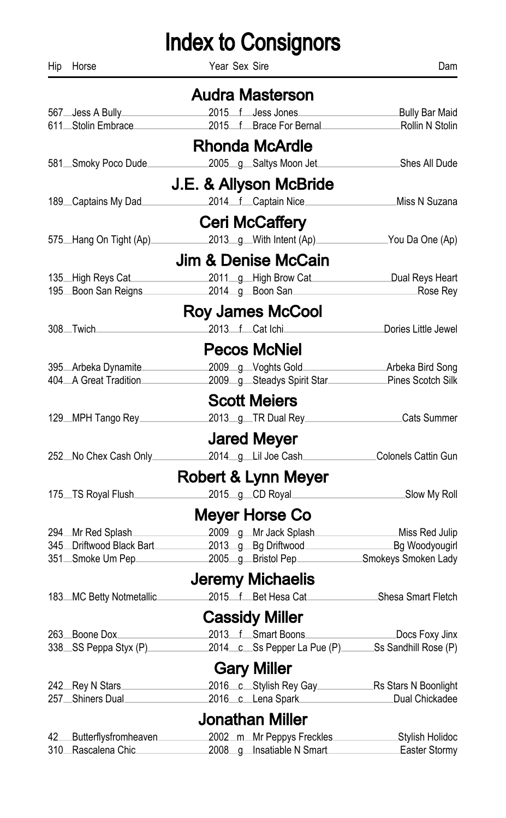| Hip | Horse                    | Year Sex Sire                  | Dam                                              |
|-----|--------------------------|--------------------------------|--------------------------------------------------|
|     |                          | <b>Audra Masterson</b>         |                                                  |
|     | 567 Jess A Bully         | 2015 f Jess Jones              | Bully Bar Maid                                   |
|     | 611_Stolin Embrace_      | 2015 f Brace For Bernal        | -Rollin N Stolin                                 |
|     |                          | <b>Rhonda McArdle</b>          |                                                  |
|     | 581Smoky Poco Dude       | 2005_g_Saltys Moon Jet_        | Shes All Dude                                    |
|     |                          | J.E. & Allyson McBride         |                                                  |
|     | 189 Captains My Dad      | 2014 f Captain Nice.           | Miss N Suzana                                    |
|     |                          | <b>Ceri McCaffery</b>          |                                                  |
|     | 575 Hang On Tight (Ap)   | 2013_g_With Intent (Ap)_       | You Da One (Ap)                                  |
|     |                          | <b>Jim &amp; Denise McCain</b> |                                                  |
|     | 135 High Reys Cat        | 2011_g_High Brow Cat____       | Dual Reys Heart                                  |
|     | 195 Boon San Reigns      | 2014_g_Boon San_               | Rose Rey                                         |
|     |                          | <b>Roy James McCool</b>        |                                                  |
|     | 308.Twich                | 2013 f Cat Ichi                | Dories Little Jewel                              |
|     |                          | <b>Pecos McNiel</b>            |                                                  |
|     | 395 Arbeka Dynamite      | 2009_g_Voghts Gold             | ∟Arbeka Bird Song                                |
|     | 404 A Great Tradition    |                                | 2009 g Steadys Spirit Star Pines Scotch Silk     |
|     |                          | <b>Scott Meiers</b>            |                                                  |
|     | 129 MPH Tango Rey        | 2013_g_TR Dual Rey_            | Cats Summer                                      |
|     |                          | <b>Jared Meyer</b>             |                                                  |
|     | 252 No Chex Cash Only    | 2014_g_Lil Joe Cash_           | Colonels Cattin Gun                              |
|     |                          |                                |                                                  |
|     |                          | Robert & Lynn Meyer            |                                                  |
|     | 175. TS Royal Flush      | 2015_g_CD Royal_               | _Slow My Roll                                    |
|     |                          | Meyer Horse Co                 |                                                  |
|     | 294Mr Red Splash         | 2009 g Mr Jack Splash          | _Miss Red Julip                                  |
|     | 345 Driftwood Black Bart | 2013_g_Bg Driftwood______      | Bg Woodyougirl                                   |
|     | 351 Smoke Um Pep         | 2005_g_Bristol Pep_            | Smokeys Smoken Lady                              |
|     |                          | Jeremy Michaelis               |                                                  |
|     | 183 MC Betty Notmetallic | 2015 f Bet Hesa Cat            | Shesa Smart Fletch                               |
|     |                          | <b>Cassidy Miller</b>          |                                                  |
|     | 263 Boone Dox.           | 2013 f Smart Boons.            | Docs Foxy Jinx                                   |
|     | 338 SS Peppa Styx (P)    |                                | 2014 c Ss Pepper La Pue (P) Ss Sandhill Rose (P) |
|     |                          | <b>Gary Miller</b>             |                                                  |
|     |                          |                                | 2016 c Stylish Rey Gay Rs Stars N Boonlight      |
|     | 257 Shiners Dual         | 2016 c Lena Spark              | Dual Chickadee                                   |
|     |                          | <b>Jonathan Miller</b>         |                                                  |
|     | 42 Butterflysfromheaven  | 2002_m_Mr Peppys Freckles_     | Stylish Holidoc                                  |
|     | 310 Rascalena Chic.      | 2008_g_Insatiable N Smart_     | Easter Stormy                                    |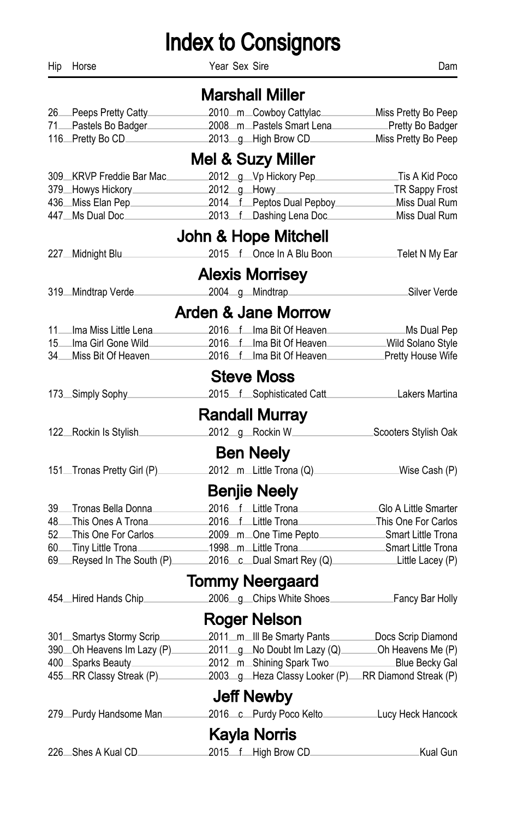Hip Horse Dam Near Sex Sire **Next Sex Side Accord Provide** Dam

|       |                                              | <b>Marshall Miller</b>                                |                                           |
|-------|----------------------------------------------|-------------------------------------------------------|-------------------------------------------|
|       | 26 Peeps Pretty Catty                        | 2010_m_Cowboy Cattylac_                               | Miss Pretty Bo Peep                       |
|       | 71 Pastels Bo Badger                         | 2008_m_Pastels Smart Lena_                            | Pretty Bo Badger                          |
|       | 116 Pretty Bo CD                             | 2013 g High Brow CD                                   | Miss Pretty Bo Peep                       |
|       |                                              | Mel & Suzy Miller                                     |                                           |
|       | 309 KRVP Freddie Bar Mac                     | 2012_g_Vp Hickory Pep.                                | Tis A Kid Poco                            |
|       | 379 Howys Hickory                            | 2012 g Howy                                           | TR Sappy Frost                            |
|       | 436 Miss Elan Pep                            | 2014 f Peptos Dual Pepboy                             | Miss Dual Rum                             |
|       | 447 Ms Dual Doc                              | 2013 f Dashing Lena Doc                               | Miss Dual Rum                             |
|       |                                              | John & Hope Mitchell                                  |                                           |
|       | 227 Midnight Blu                             | 2015 f Once In A Blu Boon                             | ∟Telet N My Ear                           |
|       |                                              | <b>Alexis Morrisey</b>                                |                                           |
|       | 319 Mindtrap Verde                           | 2004_g_Mindtrap___                                    | Silver Verde                              |
|       |                                              | <b>Arden &amp; Jane Morrow</b>                        |                                           |
|       | 11 Ima Miss Little Lena                      | 2016 f Ima Bit Of Heaven                              | Ms Dual Pep                               |
| 15    | Ima Girl Gone Wild.                          | 2016 f Ima Bit Of Heaven                              | Wild Solano Style                         |
| 34    | Miss Bit Of Heaven.                          | 2016 f Ima Bit Of Heaven                              | Pretty House Wife                         |
|       |                                              | <b>Steve Moss</b>                                     |                                           |
|       | 173. Simply Sophy.                           | 2015 f Sophisticated Catt                             | Lakers Martina                            |
|       |                                              | <b>Randall Murray</b>                                 |                                           |
|       | 122 Rockin Is Stylish                        | 2012 g Rockin W                                       | Scooters Stylish Oak                      |
|       |                                              | <b>Ben Neely</b>                                      |                                           |
|       | 151. Tronas Pretty Girl (P)                  | 2012_m_Little Trona (Q)_                              | Wise Cash (P)                             |
|       |                                              |                                                       |                                           |
|       |                                              | <b>Benjie Neely</b>                                   |                                           |
| $39-$ | Tronas Bella Donna.                          | 2016 f Little Trona                                   | Glo A Little Smarter                      |
| 48    | —This Ones A Trona<br>52 This One For Carlos | 2016 f Little Trona                                   | This One For Carlos<br>Smart Little Trona |
| 60    | ⊥Tiny Little Trona                           | 2009_m_One Time Pepto___<br>1998_m_Little Trona       | Smart Little Trona                        |
| 69    | Reysed In The South (P).                     | 2016 c Dual Smart Rey (Q)                             | Little Lacey (P)                          |
|       |                                              | <b>Tommy Neergaard</b>                                |                                           |
|       | 454 Hired Hands Chip                         | 2006_g_Chips White Shoes_                             | Fancy Bar Holly                           |
|       |                                              | <b>Roger Nelson</b>                                   |                                           |
|       | 301 Smartys Stormy Scrip                     | 2011_m_Ill Be Smarty Pants_________Docs Scrip Diamond |                                           |
|       | 390 Oh Heavens Im Lazy (P)                   | 2011_g_No Doubt Im Lazy (Q)________Oh Heavens Me (P)  |                                           |
|       | 400 Sparks Beauty                            | 2012_m_Shining Spark Two_____________Blue Becky Gal   |                                           |
|       | 455 RR Classy Streak (P)                     | 2003_g_Heza Classy Looker (P)_RR Diamond Streak (P)   |                                           |
|       |                                              | <b>Jeff Newby</b>                                     |                                           |
|       | 279 Purdy Handsome Man                       | 2016 c Purdy Poco Kelto                               | Lucy Heck Hancock                         |
|       |                                              | <b>Kayla Norris</b>                                   |                                           |
|       |                                              |                                                       |                                           |
|       | 226 Shes A Kual CD.                          | 2015 f High Brow CD.                                  | Kual Gun                                  |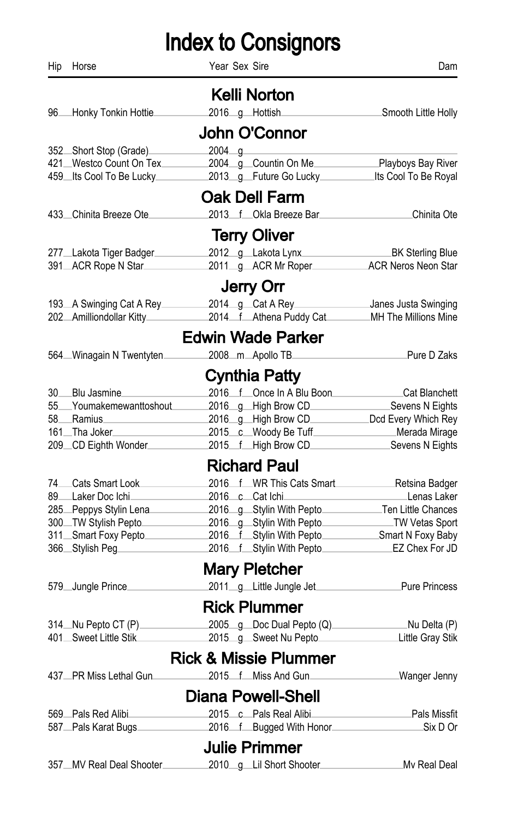| Hip | Horse                                                                                                                                                                                                                                | Year Sex Sire |                                  | Dam                                         |
|-----|--------------------------------------------------------------------------------------------------------------------------------------------------------------------------------------------------------------------------------------|---------------|----------------------------------|---------------------------------------------|
|     |                                                                                                                                                                                                                                      |               | Kelli Norton                     |                                             |
|     | 96 Honky Tonkin Hottie 2016 g Hottish Smooth Little Holly                                                                                                                                                                            |               |                                  |                                             |
|     |                                                                                                                                                                                                                                      |               | John O'Connor                    |                                             |
|     | 352 Short Stop (Grade)                                                                                                                                                                                                               | $2004$ g      |                                  |                                             |
|     | 421 Westco Count On Tex 2004 g Countin On Me Playboys Bay River                                                                                                                                                                      |               |                                  |                                             |
|     | 459 Its Cool To Be Lucky 2013 g Future Go Lucky Its Cool To Be Royal                                                                                                                                                                 |               |                                  |                                             |
|     |                                                                                                                                                                                                                                      |               | <b>Oak Dell Farm</b>             |                                             |
|     | 433 Chinita Breeze Ote                                                                                                                                                                                                               |               |                                  | 2013 f Okla Breeze Bar Chinita Ote          |
|     |                                                                                                                                                                                                                                      |               | <b>Terry Oliver</b>              |                                             |
|     | 277 Lakota Tiger Badger 2012 g Lakota Lynx BK Sterling Blue                                                                                                                                                                          |               |                                  |                                             |
|     |                                                                                                                                                                                                                                      |               |                                  |                                             |
|     |                                                                                                                                                                                                                                      |               | <b>Jerry Orr</b>                 |                                             |
|     | 193 A Swinging Cat A Rey 2014 g Cat A Rey Janes Justa Swinging                                                                                                                                                                       |               |                                  |                                             |
|     | 202 Amilliondollar Kitty 2014 f Athena Puddy Cat MH The Millions Mine                                                                                                                                                                |               |                                  |                                             |
|     |                                                                                                                                                                                                                                      |               | <b>Edwin Wade Parker</b>         |                                             |
|     | 564 Winagain N Twentyten                                                                                                                                                                                                             |               | 2008_m_Apollo TB___              | Pure D Zaks                                 |
|     |                                                                                                                                                                                                                                      |               | Cynthia Patty                    |                                             |
|     | 30 Blu Jasmine                                                                                                                                                                                                                       |               |                                  | 2016 f Once In A Blu Boon Cat Blanchett     |
|     | 55 Youmakemewanttoshout 2016 g High Brow CD Sevens N Eights                                                                                                                                                                          |               |                                  |                                             |
|     | 58 Ramius <b>Communist Communist Communist Communist Communist Communist Communist Communist Communist Communist Communist Communist Communist Communist Communist Communist Communist Communist Communist Communist Communist C</b> |               |                                  | 2016 g High Brow CD Dcd Every Which Rey     |
|     | 161 Tha Joker 2015 C Woody Be Tuff Merada Mirage                                                                                                                                                                                     |               |                                  |                                             |
|     | 209 CD Eighth Wonder                                                                                                                                                                                                                 |               |                                  | 2015 f High Brow CD Sevens N Eights         |
|     |                                                                                                                                                                                                                                      |               | <b>Richard Paul</b>              |                                             |
|     | 74. Cats Smart Look.                                                                                                                                                                                                                 |               |                                  | 2016 f WR This Cats Smart<br>Retsina Badger |
|     | 89 Laker Doc Ichi                                                                                                                                                                                                                    |               | 2016 c Cat Ichi                  | Lenas Laker                                 |
|     | 285 Peppys Stylin Lena 2016 g Stylin With Pepto Ten Little Chances                                                                                                                                                                   |               |                                  |                                             |
|     | 300 TW Stylish Pepto                                                                                                                                                                                                                 |               |                                  | 2016 g Stylin With Pepto TW Vetas Sport     |
|     | 311 Smart Foxy Pepto                                                                                                                                                                                                                 |               |                                  | 2016 f Stylin With Pepto Smart N Foxy Baby  |
|     | 366 Stylish Peg 2016 f Stylin With Pepto EZ Chex For JD                                                                                                                                                                              |               |                                  |                                             |
|     |                                                                                                                                                                                                                                      |               | <b>Mary Pletcher</b>             |                                             |
|     | 579 Jungle Prince 2011 g Little Jungle Jet Pure Princess                                                                                                                                                                             |               |                                  |                                             |
|     |                                                                                                                                                                                                                                      |               | <b>Rick Plummer</b>              |                                             |
|     | 314 Nu Pepto CT (P) 2005 g Doc Dual Pepto (Q) Nu Delta (P)                                                                                                                                                                           |               |                                  |                                             |
|     | 401 Sweet Little Stik 2015 g Sweet Nu Pepto                                                                                                                                                                                          |               |                                  | Little Gray Stik                            |
|     |                                                                                                                                                                                                                                      |               | <b>Rick &amp; Missie Plummer</b> |                                             |
|     | 437 PR Miss Lethal Gun                                                                                                                                                                                                               |               |                                  | 2015 f Miss And Gun<br>Wanger Jenny         |
|     |                                                                                                                                                                                                                                      |               | <b>Diana Powell-Shell</b>        |                                             |
|     | 569 Pals Red Alibi                                                                                                                                                                                                                   |               | 2015 c Pals Real Alibi           | Pals Missfit                                |
|     | 587 Pals Karat Bugs 2016 f Bugged With Honor                                                                                                                                                                                         |               |                                  | .Six D Or                                   |
|     |                                                                                                                                                                                                                                      |               | <b>Julie Primmer</b>             |                                             |
|     | 357 MV Real Deal Shooter 2010 g Lil Short Shooter                                                                                                                                                                                    |               |                                  | Mv Real Deal                                |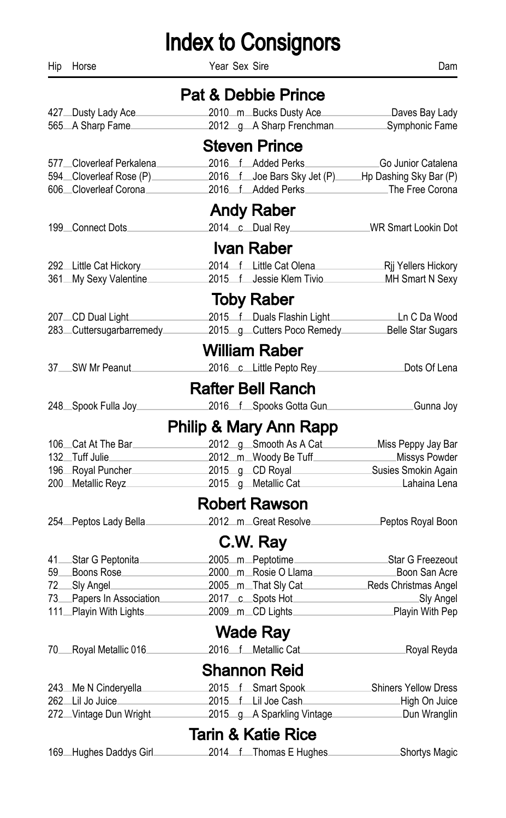Hip Horse Dam Year Sex Sire **Dam** 

|                               | <b>Pat &amp; Debbie Prince</b>           |                                                                                                                                                                                                                                                                                                                                                                                                                                                        |                                   |                                                                       |  |
|-------------------------------|------------------------------------------|--------------------------------------------------------------------------------------------------------------------------------------------------------------------------------------------------------------------------------------------------------------------------------------------------------------------------------------------------------------------------------------------------------------------------------------------------------|-----------------------------------|-----------------------------------------------------------------------|--|
|                               | 427 Dusty Lady Ace<br>565 A Sharp Fame   |                                                                                                                                                                                                                                                                                                                                                                                                                                                        | 2010_m_Bucks Dusty Ace_           | Daves Bay Lady<br>2012_g_A Sharp Frenchman____________Symphonic Fame  |  |
|                               |                                          |                                                                                                                                                                                                                                                                                                                                                                                                                                                        |                                   |                                                                       |  |
|                               |                                          |                                                                                                                                                                                                                                                                                                                                                                                                                                                        | <b>Steven Prince</b>              |                                                                       |  |
|                               | 577 Cloverleaf Perkalena                 |                                                                                                                                                                                                                                                                                                                                                                                                                                                        | 2016 f Added Perks                | Go Junior Catalena                                                    |  |
|                               | 594 Cloverleaf Rose (P)                  |                                                                                                                                                                                                                                                                                                                                                                                                                                                        |                                   | 2016 f Joe Bars Sky Jet (P) Hp Dashing Sky Bar (P)                    |  |
|                               | 606 Cloverleaf Corona 2016 f Added Perks |                                                                                                                                                                                                                                                                                                                                                                                                                                                        |                                   | The Free Corona                                                       |  |
|                               |                                          |                                                                                                                                                                                                                                                                                                                                                                                                                                                        | <b>Andy Raber</b>                 |                                                                       |  |
|                               | 199 Connect Dots                         |                                                                                                                                                                                                                                                                                                                                                                                                                                                        |                                   | 2014 c Dual Rey<br>WR Smart Lookin Dot                                |  |
|                               |                                          |                                                                                                                                                                                                                                                                                                                                                                                                                                                        | <b>Ivan Raber</b>                 |                                                                       |  |
|                               | 292 Little Cat Hickory                   |                                                                                                                                                                                                                                                                                                                                                                                                                                                        |                                   | 2014 f Little Cat Olena Rij Yellers Hickory                           |  |
|                               | 361 My Sexy Valentine                    |                                                                                                                                                                                                                                                                                                                                                                                                                                                        |                                   | 2015 f Jessie Klem Tivio<br>MH Smart N Sexy                           |  |
|                               |                                          |                                                                                                                                                                                                                                                                                                                                                                                                                                                        | <b>Toby Raber</b>                 |                                                                       |  |
|                               | 207 CD Dual Light                        |                                                                                                                                                                                                                                                                                                                                                                                                                                                        |                                   | 2015 f Duals Flashin Light Learness Ln C Da Wood                      |  |
|                               |                                          |                                                                                                                                                                                                                                                                                                                                                                                                                                                        |                                   | 283 Cuttersugarbarremedy 2015 g Cutters Poco Remedy Belle Star Sugars |  |
|                               |                                          |                                                                                                                                                                                                                                                                                                                                                                                                                                                        | <b>William Raber</b>              |                                                                       |  |
|                               | 37 SW Mr Peanut                          |                                                                                                                                                                                                                                                                                                                                                                                                                                                        | 2016 c Little Pepto Rey           | Dots Of Lena                                                          |  |
|                               |                                          |                                                                                                                                                                                                                                                                                                                                                                                                                                                        | <b>Rafter Bell Ranch</b>          |                                                                       |  |
|                               | 248 Spook Fulla Joy                      |                                                                                                                                                                                                                                                                                                                                                                                                                                                        |                                   | 2016 f Spooks Gotta Gun<br>Gunna Joy                                  |  |
|                               |                                          |                                                                                                                                                                                                                                                                                                                                                                                                                                                        | <b>Philip &amp; Mary Ann Rapp</b> |                                                                       |  |
|                               |                                          |                                                                                                                                                                                                                                                                                                                                                                                                                                                        |                                   |                                                                       |  |
|                               | 106 Cat At The Bar<br>132. Tuff Julie    | $\label{eq:2.1} \frac{1}{\sqrt{2}}\left(\frac{1}{\sqrt{2}}\right)^{2} \left(\frac{1}{\sqrt{2}}\right)^{2} \left(\frac{1}{\sqrt{2}}\right)^{2} \left(\frac{1}{\sqrt{2}}\right)^{2} \left(\frac{1}{\sqrt{2}}\right)^{2} \left(\frac{1}{\sqrt{2}}\right)^{2} \left(\frac{1}{\sqrt{2}}\right)^{2} \left(\frac{1}{\sqrt{2}}\right)^{2} \left(\frac{1}{\sqrt{2}}\right)^{2} \left(\frac{1}{\sqrt{2}}\right)^{2} \left(\frac{1}{\sqrt{2}}\right)^{2} \left(\$ | 2012_m_Woody Be Tuff______        | 2012_g_Smooth As A Cat___________Miss Peppy Jay Bar<br>Missys Powder  |  |
|                               | 196 Royal Puncher                        |                                                                                                                                                                                                                                                                                                                                                                                                                                                        |                                   | 2015_g_CD Royal__________________Susies Smokin Again                  |  |
|                               | 200 Metallic Reyz                        |                                                                                                                                                                                                                                                                                                                                                                                                                                                        | 2015 g Metallic Cat               | Lahaina Lena                                                          |  |
|                               |                                          |                                                                                                                                                                                                                                                                                                                                                                                                                                                        | <b>Robert Rawson</b>              |                                                                       |  |
|                               | 254 Peptos Lady Bella                    |                                                                                                                                                                                                                                                                                                                                                                                                                                                        | 2012 m Great Resolve              | Peptos Royal Boon                                                     |  |
|                               |                                          |                                                                                                                                                                                                                                                                                                                                                                                                                                                        | C.W. Ray                          |                                                                       |  |
|                               | 41 Star G Peptonita                      |                                                                                                                                                                                                                                                                                                                                                                                                                                                        |                                   | 2005_m_Peptotime______________________Star G Freezeout                |  |
|                               | 59 Boons Rose                            |                                                                                                                                                                                                                                                                                                                                                                                                                                                        | 2000 m Rosie O Llama              | Boon San Acre                                                         |  |
| 72                            | Sly Angel                                |                                                                                                                                                                                                                                                                                                                                                                                                                                                        |                                   | 2005_m_That Sly Cat_______________Reds Christmas Angel                |  |
|                               | 73 Papers In Association                 |                                                                                                                                                                                                                                                                                                                                                                                                                                                        | 2017 c Spots Hot                  | Sly Angel                                                             |  |
|                               | 111_Playin With Lights_                  |                                                                                                                                                                                                                                                                                                                                                                                                                                                        |                                   |                                                                       |  |
|                               |                                          |                                                                                                                                                                                                                                                                                                                                                                                                                                                        | <b>Wade Ray</b>                   |                                                                       |  |
|                               | 70 Royal Metallic 016                    |                                                                                                                                                                                                                                                                                                                                                                                                                                                        |                                   | 2016 f Metallic Cat Royal Reyda                                       |  |
|                               | <b>Shannon Reid</b>                      |                                                                                                                                                                                                                                                                                                                                                                                                                                                        |                                   |                                                                       |  |
|                               | 243 Me N Cinderyella                     |                                                                                                                                                                                                                                                                                                                                                                                                                                                        |                                   | 2015 f Smart Spook Shiners Yellow Dress                               |  |
|                               | 262 Lil Jo Juice                         |                                                                                                                                                                                                                                                                                                                                                                                                                                                        | 2015 f Lil Joe Cash               | High On Juice                                                         |  |
|                               | 272 Vintage Dun Wright                   |                                                                                                                                                                                                                                                                                                                                                                                                                                                        | 2015 g A Sparkling Vintage        | _Dun Wranglin                                                         |  |
| <b>Tarin &amp; Katie Rice</b> |                                          |                                                                                                                                                                                                                                                                                                                                                                                                                                                        |                                   |                                                                       |  |

#### 169 Hughes Daddys Girl 2014 f Thomas E Hughes Shortys Magic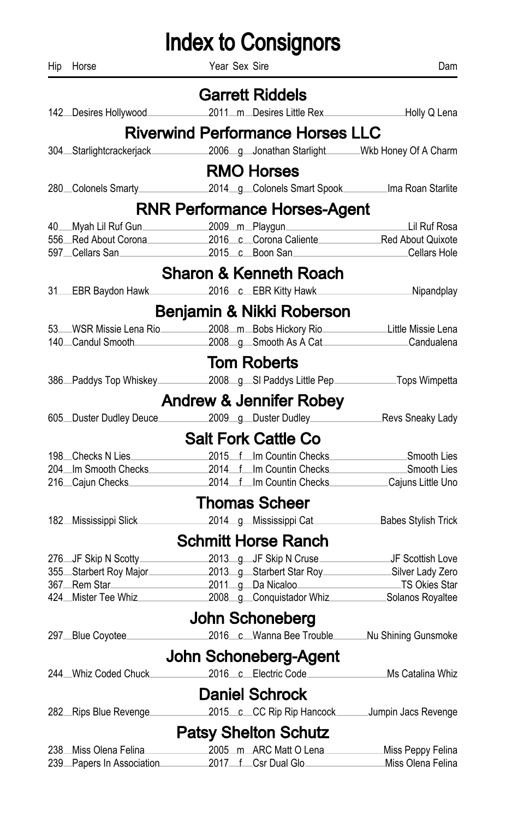|     | <b>Index to Consignors</b> |                                                                                                                   |                   |  |  |
|-----|----------------------------|-------------------------------------------------------------------------------------------------------------------|-------------------|--|--|
| Hip | Horse                      | Year Sex Sire                                                                                                     | Dam               |  |  |
|     |                            | <b>Garrett Riddels</b>                                                                                            |                   |  |  |
|     |                            | 142 Desires Hollywood 2011_m_Desires Little Rex ____________Holly Q Lena                                          |                   |  |  |
|     |                            | <b>Riverwind Performance Horses LLC</b>                                                                           |                   |  |  |
|     |                            | 304 Starlightcrackerjack 2006 g Jonathan Starlight Wkb Honey Of A Charm                                           |                   |  |  |
|     |                            | <b>RMO Horses</b>                                                                                                 |                   |  |  |
|     |                            | 280 Colonels Smarty<br>2014 g Colonels Smart Spook Ima Roan Starlite                                              |                   |  |  |
|     |                            | <b>RNR Performance Horses-Agent</b>                                                                               |                   |  |  |
|     |                            | 40 Myah Lil Ruf Gun 2009 m Playgun 2009 m Navigation 2009 m Playgun 2016 c Corona Caliente 2016 c Corona Caliente |                   |  |  |
|     |                            |                                                                                                                   |                   |  |  |
|     | 597 Cellars San            | 2015 c Boon San                                                                                                   | Cellars Hole      |  |  |
|     |                            | <b>Sharon &amp; Kenneth Roach</b>                                                                                 |                   |  |  |
|     |                            | 31 EBR Baydon Hawk 2016 c EBR Kitty Hawk Nipandplay                                                               |                   |  |  |
|     |                            | Benjamin & Nikki Roberson                                                                                         |                   |  |  |
|     |                            | 53 WSR Missie Lena Rio 2008 m Bobs Hickory Rio Little Missie Lena                                                 |                   |  |  |
|     |                            | 140 Candul Smooth 2008 g Smooth As A Cat Candualena                                                               |                   |  |  |
|     |                            | <b>Tom Roberts</b>                                                                                                |                   |  |  |
|     |                            |                                                                                                                   |                   |  |  |
|     |                            | <b>Andrew &amp; Jennifer Robey</b>                                                                                |                   |  |  |
|     |                            | 605 Duster Dudley Deuce 2009 g Duster Dudley Revs Sneaky Lady                                                     |                   |  |  |
|     |                            | <b>Salt Fork Cattle Co</b>                                                                                        |                   |  |  |
|     |                            | 198 Checks N Lies 2015 f Im Countin Checks Chronic Checks Chronic Check Check Check Check Check Check Check Ch    |                   |  |  |
|     |                            | 204 Im Smooth Checks 2014 f Im Countin Checks                                                                     | Smooth Lies       |  |  |
|     | 216 Cajun Checks           | 2014 f Im Countin Checks                                                                                          | Cajuns Little Uno |  |  |
|     |                            | <b>Thomas Scheer</b>                                                                                              |                   |  |  |
|     | 182 Mississippi Slick      | 2014_g_Mississippi Cat________________Babes Stylish Trick                                                         |                   |  |  |
|     |                            | <b>Schmitt Horse Ranch</b>                                                                                        |                   |  |  |
|     |                            |                                                                                                                   |                   |  |  |
|     |                            |                                                                                                                   |                   |  |  |
|     |                            | 367 Rem Star 2011 g Da Nicaloo                                                                                    | TS Okies Star     |  |  |
|     |                            | 424 Mister Tee Whiz 2008 g Conquistador Whiz Solanos Royaltee                                                     |                   |  |  |
|     |                            | John Schoneberg                                                                                                   |                   |  |  |
|     | 297 Blue Coyotee           | 2016 c Wanna Bee Trouble Nu Shining Gunsmoke                                                                      |                   |  |  |
|     |                            | John Schoneberg-Agent                                                                                             |                   |  |  |
|     | 244. Whiz Coded Chuck.     | 2016 c Electric Code                                                                                              | Ms Catalina Whiz  |  |  |
|     |                            | <b>Daniel Schrock</b>                                                                                             |                   |  |  |
|     | 282 Rips Blue Revenge      | 2015 c CC Rip Rip Hancock Jumpin Jacs Revenge                                                                     |                   |  |  |
|     |                            | <b>Patsy Shelton Schutz</b>                                                                                       |                   |  |  |
|     | 238 Miss Olena Felina.     | 2005_m_ARC Matt O Lena                                                                                            | Miss Peppy Felina |  |  |
|     | 239 Papers In Association  | 2017 f Csr Dual Glo                                                                                               | Miss Olena Felina |  |  |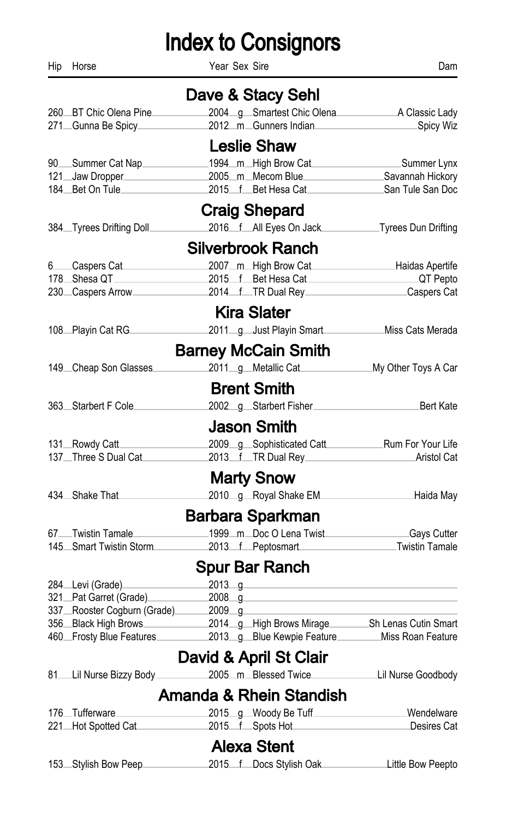Hip Horse Dam Year Sex Sire **Dam** Dam

|                                    | Dave & Stacy Sehl                                                                                                                           |                     |
|------------------------------------|---------------------------------------------------------------------------------------------------------------------------------------------|---------------------|
| 260 BT Chic Olena Pine             |                                                                                                                                             |                     |
| 271 Gunna Be Spicy                 | 2012 m_Gunners Indian                                                                                                                       | Spicy Wiz           |
|                                    | <b>Leslie Shaw</b>                                                                                                                          |                     |
| 90 Summer Cat Nap                  | 1994_m_High Brow Cat                                                                                                                        | Summer Lynx         |
|                                    | 121 Jaw Dropper 2005 m Mecom Blue                                                                                                           | Savannah Hickory    |
| 184 Bet On Tule                    | 2015 f Bet Hesa Cat                                                                                                                         | San Tule San Doc    |
|                                    | <b>Craig Shepard</b>                                                                                                                        |                     |
| 384. Tyrees Drifting Doll.         | 2016 f All Eyes On Jack Tyrees Dun Drifting                                                                                                 |                     |
|                                    | <b>Silverbrook Ranch</b>                                                                                                                    |                     |
| 6 Caspers Cat Casper Cat           | 2007_m_High Brow Cat_______________Haidas Apertife                                                                                          |                     |
|                                    | 178 Shesa QT 2015 f Bet Hesa Cat                                                                                                            | QT Pepto            |
|                                    | 230 Caspers Arrow 100 2014 f TR Dual Rey Caspers Cat                                                                                        |                     |
|                                    | <b>Kira Slater</b>                                                                                                                          |                     |
| 108 Playin Cat RG                  | 2011 g Just Playin Smart Miss Cats Merada                                                                                                   |                     |
|                                    | <b>Barney McCain Smith</b>                                                                                                                  |                     |
| 149 Cheap Son Glasses              | 2011 g Metallic Cat                                                                                                                         | My Other Toys A Car |
|                                    | <b>Brent Smith</b>                                                                                                                          |                     |
| 363 Starbert F Cole                | 2002 g Starbert Fisher Bert Kate                                                                                                            |                     |
|                                    | <b>Jason Smith</b>                                                                                                                          |                     |
| 131 Rowdy Catt                     |                                                                                                                                             |                     |
|                                    | 137 Three S Dual Cat 2013 f TR Dual Rey                                                                                                     | Aristol Cat         |
|                                    | <b>Marty Snow</b>                                                                                                                           |                     |
| 434 Shake That                     | 2010_g_Royal Shake EM_                                                                                                                      | Haida May           |
|                                    | Barbara Sparkman                                                                                                                            |                     |
| 67 Twistin Tamale_                 | 1999_m_Doc O Lena Twist_                                                                                                                    | <b>Gays Cutter</b>  |
|                                    | 145 Smart Twistin Storm 2013 f Peptosmart                                                                                                   | Twistin Tamale      |
|                                    | <b>Spur Bar Ranch</b>                                                                                                                       |                     |
| 284 Levi (Grade) ___               | $2013$ g                                                                                                                                    |                     |
| 321 Pat Garret (Grade) 2008 g      |                                                                                                                                             |                     |
| 337 Rooster Cogburn (Grade) 2009 g |                                                                                                                                             |                     |
|                                    | 356 Black High Brows 2014 g High Brows Mirage Sh Lenas Cutin Smart<br>460 Frosty Blue Features 2013 g Blue Kewpie Feature Miss Roan Feature |                     |
|                                    |                                                                                                                                             |                     |
|                                    | David & April St Clair                                                                                                                      |                     |
|                                    | 81. Lil Nurse Bizzy Body. 2005 m. Blessed Twice. Lil Nurse Goodbody                                                                         |                     |
|                                    | <b>Amanda &amp; Rhein Standish</b>                                                                                                          |                     |
| 176.Tufferware                     | 2015_g_Woody Be Tuff________                                                                                                                | Wendelware          |
| 221 Hot Spotted Cat                | 2015 f Spots Hot                                                                                                                            | Desires Cat         |
|                                    | <b>Alexa Stent</b>                                                                                                                          |                     |
| 153. Stylish Bow Peep.             | 2015 f Docs Stylish Oak                                                                                                                     | Little Bow Peepto   |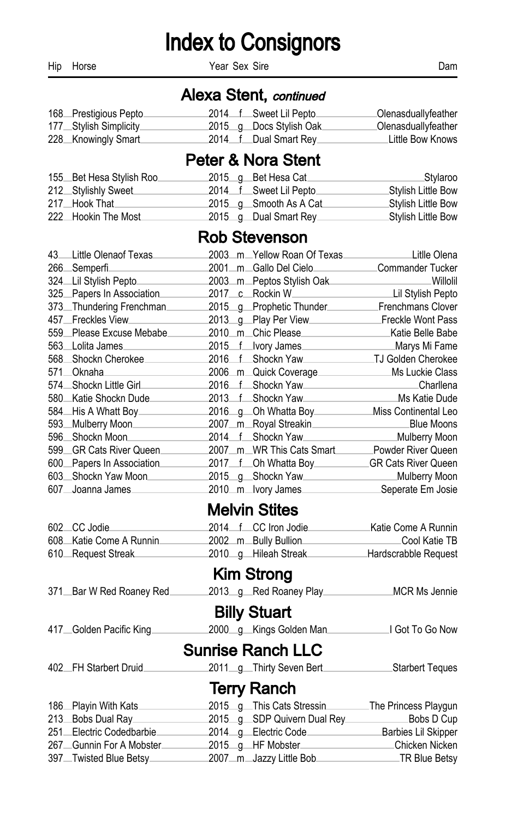Hip Horse Dam Year Sex Sire **Dam** 

#### Alexa Stent, continued

| 168 Prestigious Pepto  |  | 2014 f Sweet Lil Pepto.  | <b>Olenasduallyfeather</b> |
|------------------------|--|--------------------------|----------------------------|
| 177 Stylish Simplicity |  | 2015 g Docs Stylish Oak. | _Olenasduallyfeather       |
| 228 Knowingly Smart    |  | 2014 f Dual Smart Rey    | ∟ittle Bow Knows           |

### Peter & Nora Stent

| 155 Bet Hesa Stylish Roo |  | 2015_g_Bet Hesa Cat_    | ⊥Stγlaroo           |
|--------------------------|--|-------------------------|---------------------|
| 212 Stylishly Sweet      |  | 2014 f Sweet Lil Pepto  | ∟Stylish Little Bow |
| 217. Hook That           |  | 2015 g Smooth As A Cat  | ∟Stylish Little Bow |
| 222 Hookin The Most      |  | 2015 $g$ Dual Smart Rey | .Stylish Little Bow |

#### Rob Stevenson

|        | 43 Little Olenaof Texas    |                  | 2003mYellow Roan Of Texas  | Litlle Olena         |
|--------|----------------------------|------------------|----------------------------|----------------------|
|        | 266 Semperfi               |                  |                            | Commander Tucker     |
|        | 324 Lil Stylish Pepto      |                  | 2003_m_Peptos Stylish Oak_ | Willolil             |
|        | 325 Papers In Association  |                  | 2017 c Rockin W            | Lil Stylish Pepto    |
|        | 373_Thundering Frenchman.  |                  | 2015_q_Prophetic Thunder_  | Frenchmans Clover    |
|        | 457 Freckles View          |                  | 2013 g Play Per View       | Freckle Wont Pass    |
|        | 559 Please Excuse Mebabe   |                  | 2010 m Chic Please         | Katie Belle Babe     |
|        | 563 Lolita James           |                  | 2015 f lvory James         | Marys Mi Fame        |
|        | 568 Shockn Cherokee        |                  | 2016 f Shockn Yaw          | TJ Golden Cherokee   |
|        | 571 Oknaha                 |                  | 2006 m Quick Coverage.     | Ms Luckie Class      |
|        | 574 Shockn Little Girl     |                  | 2016 f Shockn Yaw          | Charllena            |
|        | 580 Katie Shockn Dude      | $2013 \quad f$   | <sub>-</sub> Shockn Yaw    | Ms Katie Dude        |
|        | 584 His A Whatt Boy        |                  | 2016 g Oh Whatta Boy       | Miss Continental Leo |
| $593-$ | Mulberry Moon              |                  | 2007_m_Royal Streakin.     | Blue Moons           |
|        | 596 Shockn Moon            | $2014 \text{ f}$ | <sub>-</sub> Shockn Yaw    | Mulberry Moon        |
|        | 599 GR Cats River Queen.   |                  | 2007_m_WR This Cats Smart  | Powder River Queen   |
|        | 600 Papers In Association. |                  | 2017 f Oh Whatta Boy       | GR Cats River Queen  |
|        | 603 Shockn Yaw Moon        |                  | 2015 g Shockn Yaw          | Mulberry Moon        |
|        | 607 Joanna James.          |                  | 2010_m_lvory James_        | Seperate Em Josie    |

#### Melvin Stites

| 602 CC Jodie            |  | 2014 f CC Iron Jodie | ∟Katie Come A Runnin |
|-------------------------|--|----------------------|----------------------|
| 608 Katie Come A Runnin |  | 2002 m Bully Bullion | ⊥Cool Katie TB       |
| 610 Request Streak      |  | 2010 g Hileah Streak | Hardscrabble Request |

### Kim Strong

| 371 Bar W Red Roaney Red | 2013 g Red Roaney Play          | MCR Ms Jennie               |
|--------------------------|---------------------------------|-----------------------------|
|                          | <b>Billy Stuart</b>             |                             |
| 417 Golden Pacific King  | 2000 g Kings Golden Man         | I Got To Go Now             |
|                          | <b>Sunrise Ranch LLC</b>        |                             |
| 402 FH Starbert Druid    | 2011_g_Thirty Seven Bert_______ | <b>Starbert Teques</b>      |
|                          | <b>Terry Ranch</b>              |                             |
| 186 Playin With Kats     | 2015 g This Cats Stressin       | The Princess Playgun        |
| 213 Bobs Dual Ray        | 2015 q SDP Quivern Dual Rey     | Bobs D Cup                  |
| 251 Electric Codedbarbie | 2014 g Electric Code            | Barbies Lil Skipper         |
| 267 Gunnin For A Mobster | 2015_g_HF Mobster_              | <sub>-</sub> Chicken Nicken |
| 397. Twisted Blue Betsy  | 2007_m_Jazzy Little Bob______   | ∟TR Blue Betsv              |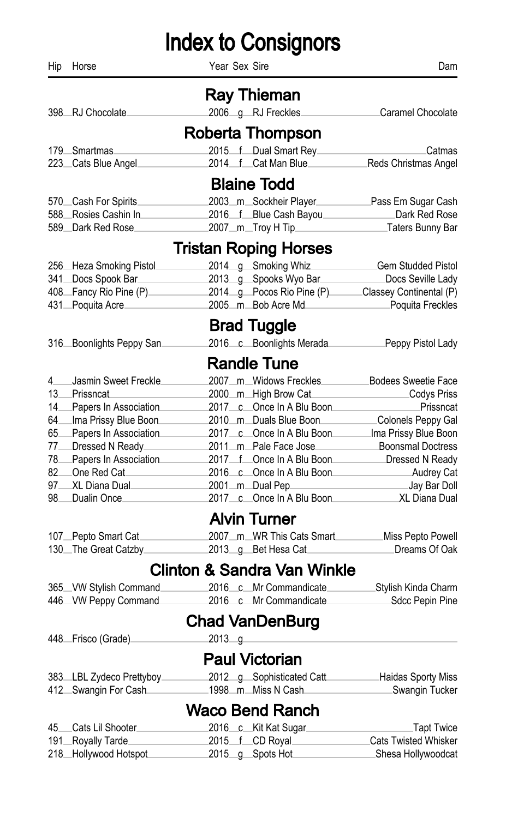Hip Horse Dam Year Sex Sire **Dam** 

|     |                                                                                                                           |          | <b>Ray Thieman</b>                     |                                                          |
|-----|---------------------------------------------------------------------------------------------------------------------------|----------|----------------------------------------|----------------------------------------------------------|
|     | 398 RJ Chocolate                                                                                                          |          | 2006_g_RJ Freckles.                    | Caramel Chocolate                                        |
|     |                                                                                                                           |          | Roberta Thompson                       |                                                          |
|     | 179 Smartmas                                                                                                              |          | 2015 f Dual Smart Rey                  | .Catmas                                                  |
|     | 223 Cats Blue Angel                                                                                                       |          |                                        | 2014 f Cat Man Blue Reds Christmas Angel                 |
|     |                                                                                                                           |          | <b>Blaine Todd</b>                     |                                                          |
|     | 570 Cash For Spirits                                                                                                      |          |                                        | 2003_m_Sockheir Player___________Pass Em Sugar Cash      |
|     | 588 Rosies Cashin In 2016 f Blue Cash Bayou Dark Red Rose                                                                 |          |                                        |                                                          |
|     | 589 Dark Red Rose                                                                                                         |          |                                        | 2007 m. Troy H Tip Traters Bunny Bar                     |
|     |                                                                                                                           |          | <b>Tristan Roping Horses</b>           |                                                          |
|     | 256 Heza Smoking Pistol                                                                                                   |          |                                        | 2014_g_Smoking Whiz___________Gem Studded Pistol         |
|     | 341 Docs Spook Bar 2013 g Spooks Wyo Bar Docs Seville Lady                                                                |          |                                        |                                                          |
|     | 408 Fancy Rio Pine (P) 2014 g Pocos Rio Pine (P) Classey Continental (P)                                                  |          |                                        |                                                          |
|     | 431 Poquita Acre 2005 m Bob Acre Md                                                                                       |          |                                        | <b>Poquita Freckles</b>                                  |
|     |                                                                                                                           |          | <b>Brad Tuggle</b>                     |                                                          |
|     | 316 Boonlights Peppy San                                                                                                  |          |                                        | 2016 c Boonlights Merada<br>Peppy Pistol Lady            |
|     |                                                                                                                           |          | <b>Randle Tune</b>                     |                                                          |
|     | 4 Jasmin Sweet Freckle                                                                                                    |          |                                        | 2007_m_Widows Freckles____________Bodees Sweetie Face    |
| 13  | __Prissncat___________                                                                                                    |          |                                        | 2000_m_High Brow Cat____________________Codys Priss      |
| 14  | Papers In Association                                                                                                     |          |                                        | 2017 c Once In A Blu Boon                                |
| 64  | Ima Prissy Blue Boon                                                                                                      |          |                                        | 2010 m Duals Blue Boon Colonels Peppy Gal                |
| 65  | Papers In Association 2017 c Once In A Blu Boon Ima Prissy Blue Boon                                                      |          |                                        |                                                          |
| 77_ | Dressed N Ready                                                                                                           |          |                                        |                                                          |
|     | 78 Papers In Association 2017 f Once In A Blu Boon Dressed N Ready                                                        |          |                                        |                                                          |
|     |                                                                                                                           |          |                                        |                                                          |
|     | 97 XL Diana Dual                                                                                                          |          |                                        | 2001_m_Dual Pep_____________________________Jay Bar Doll |
| 98  | Dualin Once                                                                                                               |          |                                        | 2017 c Once In A Blu Boon XL Diana Dual                  |
|     |                                                                                                                           |          | <b>Alvin Turner</b>                    |                                                          |
|     | 107 Pepto Smart Cat 2007 m WR This Cats Smart Miss Pepto Powell<br>130 The Great Catzby 2013 g Bet Hesa Cat Dreams Of Oak |          |                                        |                                                          |
|     |                                                                                                                           |          |                                        |                                                          |
|     |                                                                                                                           |          | <b>Clinton &amp; Sandra Van Winkle</b> |                                                          |
|     | 365 VW Stylish Command 2016 c Mr Commandicate Stylish Kinda Charm                                                         |          |                                        |                                                          |
|     | 446 VW Peppy Command                                                                                                      |          |                                        | 2016 c Mr Commandicate Sdcc Pepin Pine                   |
|     |                                                                                                                           |          | <b>Chad VanDenBurg</b>                 |                                                          |
|     | 448 Frisco (Grade)                                                                                                        | $2013$ q |                                        |                                                          |
|     |                                                                                                                           |          | <b>Paul Victorian</b>                  |                                                          |
|     | 383 LBL Zydeco Prettyboy 2012 g Sophisticated Catt Haidas Sporty Miss                                                     |          |                                        |                                                          |
|     | 412 Swangin For Cash                                                                                                      |          | 1998_m_Miss N Cash                     | Swangin Tucker                                           |
|     |                                                                                                                           |          | <b>Waco Bend Ranch</b>                 |                                                          |
|     | 45 Cats Lil Shooter                                                                                                       |          | 2016 c Kit Kat Sugar                   | Tapt Twice                                               |
|     | 191_Royally Tarde                                                                                                         |          | 2015 f CD Royal                        | Cats Twisted Whisker                                     |
|     | 218 Hollywood Hotspot                                                                                                     |          | 2015_g_Spots Hot_                      | Shesa Hollywoodcat                                       |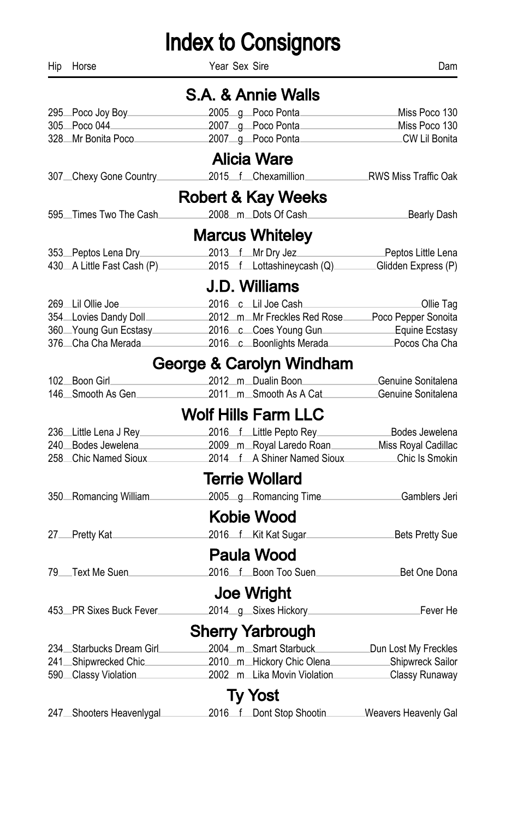| Hip | Horse                                    | Year Sex Sire                                                                                                                                                                                        | Dam                           |
|-----|------------------------------------------|------------------------------------------------------------------------------------------------------------------------------------------------------------------------------------------------------|-------------------------------|
|     |                                          | S.A. & Annie Walls                                                                                                                                                                                   |                               |
|     | 295 Poco Joy Boy 2000                    |                                                                                                                                                                                                      |                               |
|     |                                          | 305 Poco 044 2007 g Poco Ponta Miss Poco 130                                                                                                                                                         |                               |
|     |                                          | 328 Mr Bonita Poco 2007 g Poco Ponta CW Lil Bonita                                                                                                                                                   |                               |
|     |                                          | Alicia Ware                                                                                                                                                                                          |                               |
|     | 307_Chexy Gone Country____               | 2015 f Chexamillion RWS Miss Traffic Oak                                                                                                                                                             |                               |
|     |                                          | Robert & Kay Weeks                                                                                                                                                                                   |                               |
|     | 595 Times Two The Cash                   | 2008_m_Dots Of Cash_____                                                                                                                                                                             | <b>Example 20 Bearly Dash</b> |
|     |                                          | <b>Marcus Whiteley</b>                                                                                                                                                                               |                               |
|     | 353 Peptos Lena Dry                      | 2013 f Mr Dry Jez                                                                                                                                                                                    | Peptos Little Lena            |
|     |                                          | 430 A Little Fast Cash (P) 2015 f Lottashineycash (Q) Glidden Express (P)                                                                                                                            |                               |
|     |                                          | J.D. Williams                                                                                                                                                                                        |                               |
|     | 269 Lil Ollie Joe                        | 2016 c Lil Joe Cash                                                                                                                                                                                  | Ollie Tag                     |
|     |                                          |                                                                                                                                                                                                      |                               |
|     |                                          |                                                                                                                                                                                                      |                               |
|     |                                          | 1994 Lovies Dandy Doll<br>2012 m Mr Freckles Red Rose Poco Pepper Sonoita<br>360 Young Gun Ecstasy 2016 c Coes Young Gun Equine Ecstasy<br>376 Cha Cha Merada 2016 c Boonlights Merada Pocos Cha Cha |                               |
|     |                                          | George & Carolyn Windham                                                                                                                                                                             |                               |
|     | 102 Boon Girl <b>Constant Constructs</b> | 2012 m Dualin Boon Genuine Sonitalena                                                                                                                                                                |                               |
|     | 146 Smooth As Gen                        | 2011_m_Smooth As A Cat______                                                                                                                                                                         | ∟Genuine Sonitalena           |
|     |                                          | <b>Wolf Hills Farm LLC</b>                                                                                                                                                                           |                               |
|     |                                          | 236 Little Lena J Rey 2016 f Little Pepto Rey Bodes Jewelena                                                                                                                                         |                               |
|     |                                          | 240 Bodes Jewelena 2009 m Royal Laredo Roan Miss Royal Cadillac                                                                                                                                      |                               |
|     |                                          | 258 Chic Named Sioux 2014 f A Shiner Named Sioux Chic Is Smokin                                                                                                                                      |                               |
|     |                                          | <b>Terrie Wollard</b>                                                                                                                                                                                |                               |
|     | 350 Romancing William                    | 2005 g Romancing Time <b>Gamblers</b> Jeri                                                                                                                                                           |                               |
|     |                                          | <b>Kobie Wood</b>                                                                                                                                                                                    |                               |
|     |                                          | 27 Pretty Kat 2016 f Kit Kat Sugar Bets Pretty Sue                                                                                                                                                   |                               |
|     |                                          | Paula Wood                                                                                                                                                                                           |                               |
|     | 79 Text Me Suen                          | 2016 f Boon Too Suen<br>Bet One Dona                                                                                                                                                                 |                               |
|     |                                          | Joe Wright                                                                                                                                                                                           |                               |
|     | 453 PR Sixes Buck Fever                  |                                                                                                                                                                                                      |                               |
|     |                                          | <b>Sherry Yarbrough</b>                                                                                                                                                                              |                               |
|     | 234 Starbucks Dream Girl                 | 2004_m_Smart Starbuck__________Dun Lost My Freckles                                                                                                                                                  |                               |
|     |                                          | 241 Shipwrecked Chic 2010 m Hickory Chic Olena Shipwreck Sailor                                                                                                                                      |                               |
|     |                                          | 590 Classy Violation 2002 m Lika Movin Violation Classy Runaway                                                                                                                                      |                               |
|     |                                          | <b>Ty Yost</b>                                                                                                                                                                                       |                               |
|     | 247 Shooters Heavenlygal                 | 2016 f Dont Stop Shootin                                                                                                                                                                             | Weavers Heavenly Gal          |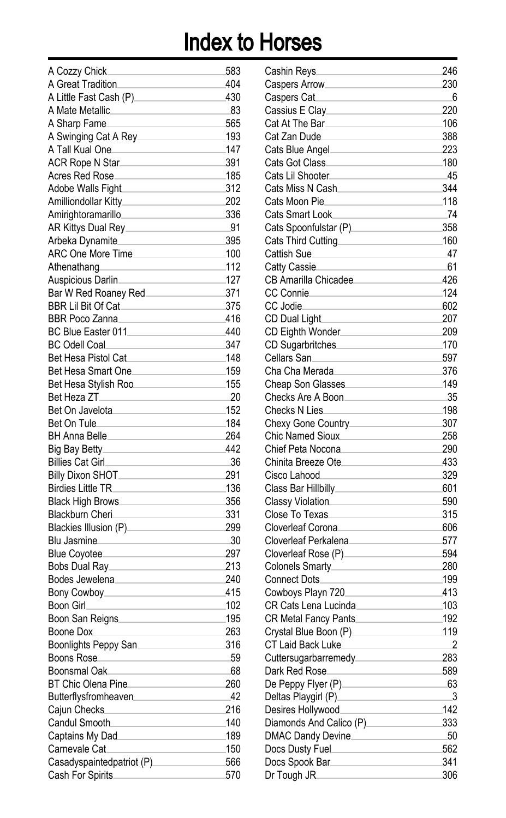| A Cozzy Chick               | 583  |
|-----------------------------|------|
| A Great Tradition           | 404  |
| A Little Fast Cash (P)__    | 430  |
| A Mate Metallic.            | -83  |
|                             | 565  |
| A Sharp Fame                |      |
| A Swinging Cat A Rey_       | 193  |
| A Tall Kual One______       | 147  |
| ACR Rope N Star             | 391  |
| Acres Red Rose              | 185  |
| Adobe Walls Fight           | 312  |
| Amilliondollar Kitty_______ | 202  |
| Amirightoramarillo          | 336  |
| AR Kittys Dual Rey____      | .91  |
| Arbeka Dynamite.            | 395  |
| ARC One More Time           | .100 |
| Athenathang                 | 112  |
| Auspicious Darlin.          | 127  |
| Bar W Red Roaney Red.       | 371  |
| BBR Lil Bit Of Cat          | 375  |
| BBR Poco Zanna              | 416  |
| BC Blue Easter 011          | 440  |
|                             |      |
| BC Odell Coal               | 347  |
| Bet Hesa Pistol Cat.        | 148  |
| Bet Hesa Smart One          | 159  |
| Bet Hesa Stylish Roo.       | 155  |
| Bet Heza ZT__               | -20  |
| Bet On Javelota.            | 152  |
| Bet On Tule.                | 184  |
| BH Anna Belle_              | 264  |
| Big Bay Betty.              | 442  |
| <b>Billies Cat Girl</b>     | -36  |
| <b>Billy Dixon SHOT_</b>    | 291  |
| <b>Birdies Little TR</b>    | 136  |
| <b>Black High Brows</b> .   | 356  |
| Blackburn Cheri.            | 331  |
| Blackies Illusion (P)       | 299  |
| Blu Jasmine.                | 30   |
| Blue Coyotee.               | 297  |
|                             |      |
| Bobs Dual Ray_              | 213  |
| Bodes Jewelena_             | 240  |
| Bony Cowboy_                | 415  |
| Boon Girl.                  | .102 |
| Boon San Reigns.            | 195  |
| Boone Dox.                  | 263  |
| Boonlights Peppy San.       | 316  |
| <b>Boons Rose</b>           | 59   |
| Boonsmal Oak                | 68   |
| BT Chic Olena Pine.         | 260  |
| Butterflysfromheaven        | 42   |
| Cajun Checks.               | 216  |
| Candul Smooth.              | 140  |
| Captains My Dad             | 189  |
| Carnevale Cat.              | 150  |
| Casadyspaintedpatriot (P)   | 566  |
| Cash For Spirits.           | 570  |
|                             |      |

| Cashin Reys                 | 246 |
|-----------------------------|-----|
| Caspers Arrow.              | 230 |
| Caspers Cat                 | 6   |
| Cassius E Clay              | 220 |
| Cat At The Bar              | 106 |
| Cat Zan Dude                | 388 |
| Cats Blue Angel             | 223 |
| Cats Got Class_             | 180 |
| Cats Lil Shooter.           | -45 |
| Cats Miss N Cash            | 344 |
| Cats Moon Pie               | 118 |
| <b>Cats Smart Look</b>      | 74  |
| Cats Spoonfulstar (P)_      | 358 |
|                             | 160 |
| Cats Third Cutting          | 47  |
| Cattish Sue                 |     |
| Catty Cassie.               | 61  |
| CB Amarilla Chicadee_       | 426 |
| <b>CC Connie</b>            | 124 |
| CC Jodie                    | 602 |
| CD Dual Light.              | 207 |
| CD Eighth Wonder            | 209 |
| CD Sugarbritches.           | 170 |
| Cellars San.                | 597 |
| Cha Cha Merada              | 376 |
| Cheap Son Glasses           | 149 |
| Checks Are A Boon           | 35  |
| Checks N Lies.              | 198 |
| Chexy Gone Country          | 307 |
| Chic Named Sioux            | 258 |
| Chief Peta Nocona.          | 290 |
| Chinita Breeze Ote          | 433 |
| Cisco Lahood                | 329 |
| Class Bar Hillbilly         | 601 |
| Classy Violation.           | 590 |
| Close To Texas              | 315 |
| Cloverleaf Corona           | 606 |
| Cloverleaf Perkalena        | 577 |
| Cloverleaf Rose (P).        | 594 |
| Colonels Smarty             | 280 |
| Connect Dots                | 199 |
| Cowboys Playn 720.          | 413 |
| CR Cats Lena Lucinda.       | 103 |
| CR Metal Fancy Pants        | 192 |
| Crystal Blue Boon (P).      | 119 |
| CT Laid Back Luke.          | 2   |
| Cuttersugarbarremedy        | 283 |
| Dark Red Rose               | 589 |
| De Peppy Flyer (P) ________ | 63  |
| Deltas Playgirl (P)____     | 3   |
| Desires Hollywood           | 142 |
| Diamonds And Calico (P)     |     |
|                             | 333 |
| DMAC Dandy Devine           | 50  |
| Docs Dusty Fuel             | 562 |
| Docs Spook Bar              | 341 |
| Dr Tough JR                 | 306 |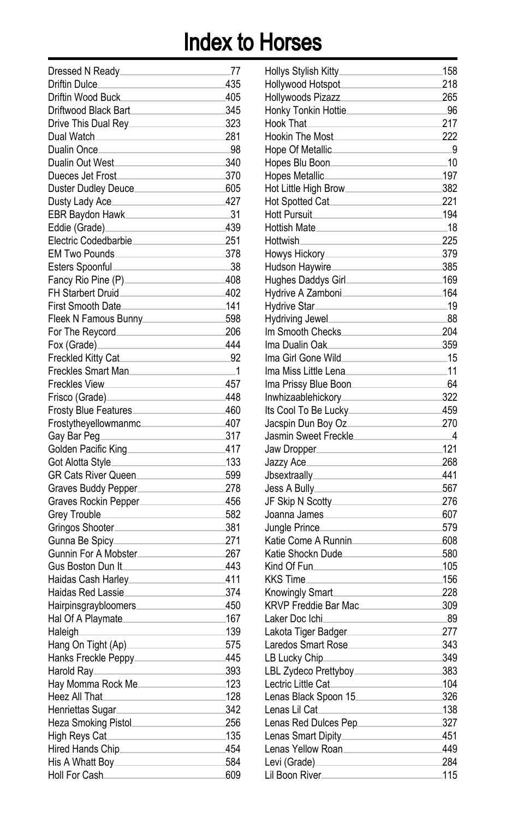| Dressed N Ready                       | .77  |
|---------------------------------------|------|
| Driftin Dulce.                        | 435  |
| Driftin Wood Buck                     | 405  |
| Driftwood Black Bart                  | 345  |
|                                       | 323  |
| Dual Watch_                           | 281  |
| Dualin Once.                          | 98   |
| Dualin Out West                       | 340  |
| Dueces Jet Frost                      | 370  |
| Duster Dudley Deuce_                  | 605  |
| Dusty Lady Ace_                       | 427  |
| EBR Baydon Hawk.                      | 31   |
| Eddie (Grade)_                        | 439  |
| Electric Codedbarbie                  | 251  |
| EM Two Pounds                         | 378  |
| Esters Spoonful.                      | 38   |
| Fancy Rio Pine (P)                    | 408  |
| FH Starbert Druid                     | 402  |
| First Smooth Date_                    | .141 |
| Fleek N Famous Bunny                  | 598  |
| For The Reycord                       | 206  |
| Fox (Grade)_                          | 444  |
| Freckled Kitty Cat                    | .92  |
| Freckles Smart Man                    | .1   |
| Freckles View_                        | 457  |
| Frisco (Grade).                       | 448  |
| Frosty Blue Features                  | 460  |
| Frostytheyellowmanmc                  | 407  |
| Gay Bar Peg.                          | 317  |
| Golden Pacific King                   | 417  |
|                                       | .133 |
| GR Cats River Queen                   | 599  |
|                                       | 278  |
| Graves Buddy Pepper                   | 456  |
| Graves Rockin Pepper                  | 582  |
| Grey Trouble                          | 381  |
| Gringos Shooter.                      |      |
| Gunna Be Spicy                        | 271  |
| Gunnin For A Mobster_                 | 267  |
| Gus Boston Dun It.                    | 443  |
| Haidas Cash Harley.                   | 411  |
| Haidas Red Lassie                     | 374  |
| Hairpinsgraybloomers.                 | 450  |
| Hal Of A Playmate                     | .167 |
| Haleigh.                              | 139  |
| Hang On Tight (Ap).                   | 575  |
| Hanks Freckle Peppy.                  | 445  |
| Harold Ray<br>the control of the con- | 393  |
| Hay Momma Rock Me                     | 123  |
| Heez All That.                        | .128 |
| Henriettas Sugar.                     | 342  |
| Heza Smoking Pistol                   | 256  |
| High Reys Cat                         | .135 |
|                                       | 454  |
|                                       | 584  |
| Holl For Cash                         | 609  |

| Hollys Stylish Kitty.                        | 158 |
|----------------------------------------------|-----|
| Hollywood Hotspot                            | 218 |
| Hollywoods Pizazz                            | 265 |
| Honky Tonkin Hottie.                         | 96  |
| Hook That.                                   | 217 |
| <b>Hookin The Most</b>                       | 222 |
| Hope Of Metallic.                            | 9   |
| Hopes Blu Boon.                              | .10 |
| Hopes Metallic                               | 197 |
| Hot Little High Brow.                        | 382 |
| Hot Spotted Cat                              | 221 |
| <b>Hott Pursuit</b>                          | 194 |
| Hottish Mate_                                | .18 |
| Hottwish.                                    | 225 |
| Howys Hickory                                | 379 |
| Hudson Haywire.                              | 385 |
| Hughes Daddys Girl.                          | 169 |
| Hydrive A Zamboni.                           | 164 |
| Hydrive Star.                                | .19 |
| Hydriving Jewel.                             | 88  |
| Im Smooth Checks                             | 204 |
| lma Dualin Oak                               | 359 |
| Ima Girl Gone Wild.                          | .15 |
| Ima Miss Little Lena.                        | 11  |
| Ima Prissy Blue Boon                         | 64  |
| Inwhizaablehickory_                          | 322 |
| Its Cool To Be Lucky_                        | 459 |
| Jacspin Dun Boy Oz.                          | 270 |
| Jasmin Sweet Freckle.                        | 4   |
|                                              | 121 |
| Jaw Dropper                                  | 268 |
| Jazzy Ace                                    | 441 |
| Jbsextraally.                                | 567 |
| Jess A Bully                                 |     |
| JF Skip N Scotty                             | 276 |
| Joanna James                                 | 607 |
| Jungle Prince_                               | 579 |
| Katie Come A Runnin                          | 608 |
| Katie Shockn Dude.                           | 580 |
| Kind Of Fun.                                 | 105 |
| KKS Time_                                    | 156 |
| Knowingly Smart.                             | 228 |
| <b>KRVP Freddie Bar Mac.</b>                 | 309 |
| Laker Doc Ichi                               | -89 |
| Lakota Tiger Badger.                         | 277 |
| Laredos Smart Rose.                          | 343 |
| LB Lucky Chip                                | 349 |
| LBL Zydeco Prettyboy________________         | 383 |
| Lectric Little Cat_                          | 104 |
| Lenas Black Spoon 15                         | 326 |
| Lenas Lil Cat                                | 138 |
| Lenas Red Dulces Pep<br>Lenas Red Dulces Pep | 327 |
| Lenas Smart Dipity______________             | 451 |
| Lenas Yellow Roan                            | 449 |
| Levi (Grade)_______                          | 284 |
| Lil Boon River                               | 115 |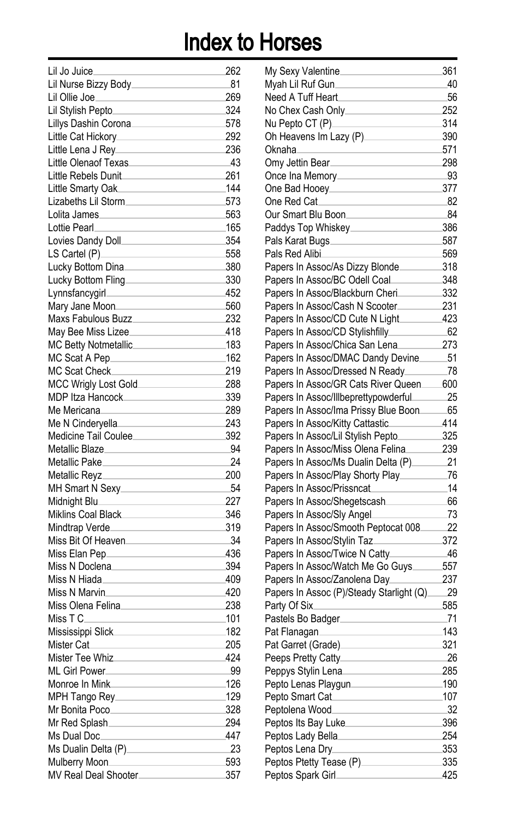| Lil Jo Juice.                                     | 262  |
|---------------------------------------------------|------|
| Lil Nurse Bizzy Body.                             | .81  |
| Lil Ollie Joe.                                    | 269  |
| Lil Stylish Pepto_                                | 324  |
| Lillys Dashin Corona.                             | 578  |
| Little Cat Hickory_                               | 292  |
| Little Lena J Rev_                                | 236  |
| Little Olenaof Texas.                             | -43  |
|                                                   | 261  |
| Little Rebels Dunit                               |      |
| Little Smarty Oak.                                | 144  |
| Lizabeths Lil Storm.                              | 573  |
| Lolita James                                      | 563  |
| Lottie Pearl.                                     | 165  |
| Lovies Dandy Doll_                                | 354  |
| LS Cartel (P)                                     | 558  |
| Lucky Bottom Dina.                                | 380  |
| Lucky Bottom Fling                                | 330  |
| Lynnsfancygirl___                                 | 452  |
| Mary Jane Moon.                                   | 560  |
| Maxs Fabulous Buzz                                | 232  |
| May Bee Miss Lizee_                               | 418  |
| MC Betty Notmetallic.                             | .183 |
| MC Scat A Pep.                                    | .162 |
| MC Scat Check                                     | 219  |
| MCC Wrigly Lost Gold                              | 288  |
| <b>MDP Itza Hancock</b>                           | 339  |
| Me Mericana                                       | 289  |
| Me N Cinderyella                                  | 243  |
| Medicine Tail Coulee                              | 392  |
| Metallic Blaze.                                   | 94   |
| <b>Metallic Pake</b>                              | 24   |
| <b>Metallic Revz</b>                              | 200  |
| MH Smart N Sexy.                                  | 54   |
| Midnight Blu_                                     | 227  |
| Miklins Coal Black                                | 346  |
| Mindtrap Verde_                                   | 319  |
| Miss Bit Of Heaven                                | 34   |
| Miss Elan Pep.                                    | 436  |
| Miss N Doclena                                    | 394  |
| Miss N Hiada_                                     | 409  |
| Miss N Marvin.                                    | 420  |
| Miss Olena Felina.                                | 238  |
| Miss T C                                          | 101  |
| Mississippi Slick                                 | .182 |
|                                                   | 205  |
| Mister Cat.<br>Mister Tee Whiz                    | 424  |
|                                                   |      |
| ML Girl Power                                     | 99   |
| Monroe In Mink <b>Night and Senator</b> Monroe In | 126  |
| MPH Tango Rey__________________                   | 129  |
| Mr Bonita Poco                                    | 328  |
| Mr Red Splash_                                    | 294  |
| Ms Dual Doc_                                      | 447  |
| Ms Dualin Delta (P)_________________              | 23   |
| Mulberry Moon.                                    | 593  |
| MV Real Deal Shooter                              | 357  |

| My Sexy Valentine                        | 361 |
|------------------------------------------|-----|
| Myah Lil Ruf Gun                         | 40  |
| Need A Tuff Heart                        | 56  |
| No Chex Cash Only.                       | 252 |
| Nu Pepto CT (P).                         | 314 |
| Oh Heavens Im Lazy (P).                  | 390 |
| Oknaha.                                  | 571 |
| Omy Jettin Bear.                         | 298 |
| Once Ina Memory.                         | 93  |
| One Bad Hooey                            | 377 |
| One Red Cat.                             | 82  |
| Our Smart Blu Boon.                      | 84  |
| Paddys Top Whiskey.                      | 386 |
| Pals Karat Bugs.                         | 587 |
| Pals Red Alibi.                          | 569 |
| Papers In Assoc/As Dizzy Blonde.         | 318 |
| Papers In Assoc/BC Odell Coal.           | 348 |
| Papers In Assoc/Blackburn Cheri.         | 332 |
| Papers In Assoc/Cash N Scooter.          | 231 |
| Papers In Assoc/CD Cute N Light          | 423 |
| Papers In Assoc/CD Stylishfilly_         | 62  |
| Papers In Assoc/Chica San Lena           | 273 |
| Papers In Assoc/DMAC Dandy Devine        | 51  |
| Papers In Assoc/Dressed N Ready.         | .78 |
| Papers In Assoc/GR Cats River Queen      | 600 |
| Papers In Assoc/Illbeprettypowderful.    | 25  |
| Papers In Assoc/Ima Prissy Blue Boon     | 65  |
| Papers In Assoc/Kitty Cattastic          | 414 |
| Papers In Assoc/Lil Stylish Pepto.       | 325 |
| Papers In Assoc/Miss Olena Felina        | 239 |
| Papers In Assoc/Ms Dualin Delta (P).     | 21  |
| Papers In Assoc/Play Shorty Play.        | 76  |
| Papers In Assoc/Prissncat                | 14  |
| Papers In Assoc/Shegetscash.             | 66  |
| Papers In Assoc/Sly Angel.               | 73  |
| Papers In Assoc/Smooth Peptocat 008      | 22  |
| Papers In Assoc/Stylin Taz.              | 372 |
| Papers In Assoc/Twice N Catty.           | 46  |
| Papers In Assoc/Watch Me Go Guys         | 557 |
| Papers In Assoc/Zanolena Day.            | 237 |
| Papers In Assoc (P)/Steady Starlight (Q) | 29  |
| Party Of Six.                            | 585 |
| Pastels Bo Badger.                       | .71 |
| Pat Flanagan.                            | 143 |
| Pat Garret (Grade).                      | 321 |
| Peeps Pretty Catty.                      | 26  |
| Peppys Stylin Lena                       | 285 |
| Pepto Lenas Playgun                      | 190 |
| Pepto Smart Cat                          | 107 |
| Peptolena Wood_                          | 32  |
| Peptos Its Bay Luke                      | 396 |
| Peptos Lady Bella                        | 254 |
| Peptos Lena Dry                          | 353 |
| Peptos Ptetty Tease (P)______________    | 335 |
| Peptos Spark Girl_                       | 425 |
|                                          |     |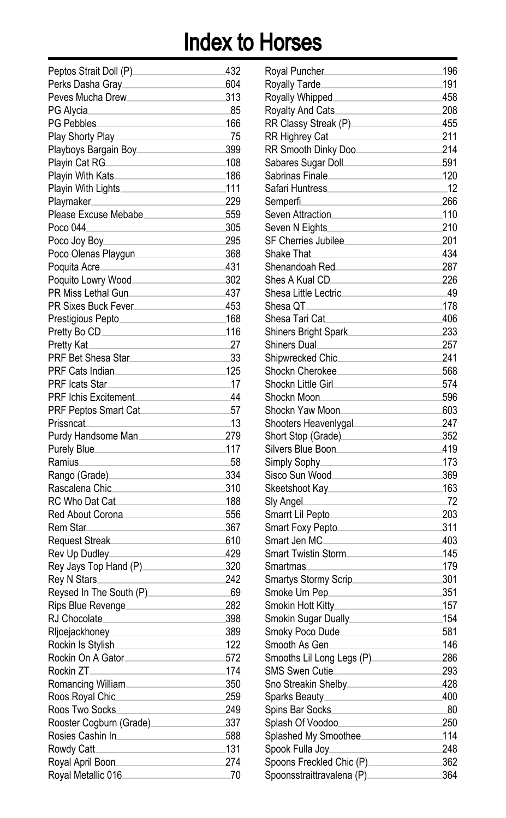| Peptos Strait Doll (P).                                                                                                                                                                                                      | 432  |
|------------------------------------------------------------------------------------------------------------------------------------------------------------------------------------------------------------------------------|------|
| Perks Dasha Gray                                                                                                                                                                                                             | 604  |
| Peves Mucha Drew                                                                                                                                                                                                             | 313  |
| PG Alvcia                                                                                                                                                                                                                    | -85  |
| PG Pebbles.                                                                                                                                                                                                                  | 166  |
| Play Shorty Play.                                                                                                                                                                                                            | 75   |
| Playboys Bargain Boy_                                                                                                                                                                                                        | 399  |
| Playin Cat RG.                                                                                                                                                                                                               | 108  |
| Playin With Kats.                                                                                                                                                                                                            | 186  |
| Playin With Lights________                                                                                                                                                                                                   | .111 |
| Playmaker.                                                                                                                                                                                                                   | 229  |
| Please Excuse Mebabe                                                                                                                                                                                                         | 559  |
| Poco 044                                                                                                                                                                                                                     | 305  |
| Poco Joy Boy_                                                                                                                                                                                                                | 295  |
| Poco Olenas Playgun_                                                                                                                                                                                                         | 368  |
| Poquita Acre⊥                                                                                                                                                                                                                | 431  |
| Poquito Lowry Wood                                                                                                                                                                                                           | 302  |
| PR Miss Lethal Gun.                                                                                                                                                                                                          | 437  |
| PR Sixes Buck Fever_                                                                                                                                                                                                         | 453  |
| Prestigious Pepto                                                                                                                                                                                                            | .168 |
| Pretty Bo CD_                                                                                                                                                                                                                | 116  |
| Pretty Kat.                                                                                                                                                                                                                  | 27   |
| PRF Bet Shesa Star_                                                                                                                                                                                                          | 33   |
| PRF Cats Indian                                                                                                                                                                                                              | 125  |
| PRF Icats Star.                                                                                                                                                                                                              | .17  |
| <b>PRF Ichis Excitement</b>                                                                                                                                                                                                  | 44   |
| PRF Peptos Smart Cat.                                                                                                                                                                                                        | 57   |
| Prissncat                                                                                                                                                                                                                    | .13  |
| Purdy Handsome Man_                                                                                                                                                                                                          | 279  |
|                                                                                                                                                                                                                              | 117  |
| Purely Blue<br>Ramius.                                                                                                                                                                                                       | 58   |
|                                                                                                                                                                                                                              | 334  |
| Rango (Grade)<br>Rascalena Chic.                                                                                                                                                                                             | 310  |
| RC Who Dat Cat                                                                                                                                                                                                               | .188 |
|                                                                                                                                                                                                                              | 556  |
| Red About Corona.<br>Rem Star                                                                                                                                                                                                | 367  |
|                                                                                                                                                                                                                              | 610  |
| Request Streak                                                                                                                                                                                                               |      |
| Rev Up Dudley                                                                                                                                                                                                                | 429  |
| Rey Jays Top Hand (P).                                                                                                                                                                                                       | 320  |
|                                                                                                                                                                                                                              | 242  |
| Reysed In The South (P).                                                                                                                                                                                                     | -69  |
| Rips Blue Revenge                                                                                                                                                                                                            | 282  |
| RJ Chocolate.                                                                                                                                                                                                                | 398  |
| Rljoejackhoney.                                                                                                                                                                                                              | 389  |
| Rockin Is Stylish.                                                                                                                                                                                                           | 122  |
| Rockin On A Gator.                                                                                                                                                                                                           | 572  |
| Rockin ZT.<br>$\label{eq:2.1} \mathcal{L}(\mathcal{L}^{\mathcal{L}}_{\mathcal{L}}(\mathcal{L}^{\mathcal{L}}_{\mathcal{L}})) = \mathcal{L}(\mathcal{L}^{\mathcal{L}}_{\mathcal{L}}(\mathcal{L}^{\mathcal{L}}_{\mathcal{L}}))$ | 174  |
| Romancing William                                                                                                                                                                                                            | 350  |
| Roos Royal Chic.                                                                                                                                                                                                             | 259  |
| Roos Two Socks                                                                                                                                                                                                               | 249  |
| Rooster Cogburn (Grade)                                                                                                                                                                                                      | 337  |
| Rosies Cashin In                                                                                                                                                                                                             | 588  |
| Rowdy Catt.                                                                                                                                                                                                                  | 131  |
| Royal April Boon.                                                                                                                                                                                                            | 274  |
| Royal Metallic 016                                                                                                                                                                                                           | .70  |

| 32             | Royal Puncher                                                                                                                                                                                                                                                                                                                            | 196    |
|----------------|------------------------------------------------------------------------------------------------------------------------------------------------------------------------------------------------------------------------------------------------------------------------------------------------------------------------------------------|--------|
| )4             | Royally Tarde                                                                                                                                                                                                                                                                                                                            | .191   |
| 13             | Royally Whipped                                                                                                                                                                                                                                                                                                                          | 458    |
| 35             |                                                                                                                                                                                                                                                                                                                                          |        |
| 56             | RR Classy Streak (P)                                                                                                                                                                                                                                                                                                                     | 455    |
| 75             | RR Highrey Cat                                                                                                                                                                                                                                                                                                                           | 211    |
| 99             | RR Smooth Dinky Doo                                                                                                                                                                                                                                                                                                                      | 214    |
| )8             | Sabares Sugar Doll__________________________591                                                                                                                                                                                                                                                                                          |        |
| 36             | Sabrinas Finale                                                                                                                                                                                                                                                                                                                          | $-120$ |
| 11             |                                                                                                                                                                                                                                                                                                                                          | $-12$  |
| 29             | Semperfi.                                                                                                                                                                                                                                                                                                                                | 266    |
| 59             | Seven Attraction                                                                                                                                                                                                                                                                                                                         | $-110$ |
| )5             | Seven N Eights                                                                                                                                                                                                                                                                                                                           | 210    |
| 95             | SF Cherries Jubilee                                                                                                                                                                                                                                                                                                                      | 201    |
| 58             | Shake That <b>Shake That</b>                                                                                                                                                                                                                                                                                                             | 434    |
| 31             | Shenandoah Red<br>France Books and Changes and Changes and Changes and Changes and Changes and Changes and Changes and Changes and Changes and Changes and Changes and Changes and Changes and Changes and Changes and Changes a                                                                                                         | 287    |
| $\overline{2}$ | Shes A Kual CD_________________________                                                                                                                                                                                                                                                                                                  | 226    |
| 37             | Shesa Little Lectric 49                                                                                                                                                                                                                                                                                                                  |        |
| 53             | $\overline{\phantom{a}178}$<br>Shesa QT_                                                                                                                                                                                                                                                                                                 |        |
| 58             | Shesa Tari Cat                                                                                                                                                                                                                                                                                                                           | .406   |
| 16             | Shiners Bright Spark                                                                                                                                                                                                                                                                                                                     | 233    |
| 27             | Shiners Dual                                                                                                                                                                                                                                                                                                                             | 257    |
| 33             |                                                                                                                                                                                                                                                                                                                                          | 241    |
| 25             | Shockn Cherokee                                                                                                                                                                                                                                                                                                                          | 568    |
| 17             |                                                                                                                                                                                                                                                                                                                                          | 574    |
| 14             | Shockn Moon                                                                                                                                                                                                                                                                                                                              | 596    |
| 57             | Shockn Yaw Moon 603                                                                                                                                                                                                                                                                                                                      |        |
| 13             | Shooters Heavenlygal 247                                                                                                                                                                                                                                                                                                                 |        |
| 79             | Short Stop (Grade) 352                                                                                                                                                                                                                                                                                                                   |        |
| 17             | Silvers Blue Boon                                                                                                                                                                                                                                                                                                                        | .419   |
| 58             |                                                                                                                                                                                                                                                                                                                                          | $-173$ |
| 34             | Sisco Sun Wood                                                                                                                                                                                                                                                                                                                           | 369    |
| 10             | Skeetshoot Kay                                                                                                                                                                                                                                                                                                                           | .163   |
| 38             | Sly Angel                                                                                                                                                                                                                                                                                                                                | $-72$  |
| 56             | Smarrt Lil Pepto                                                                                                                                                                                                                                                                                                                         | 203    |
| 57             | Smart Foxy Pepto                                                                                                                                                                                                                                                                                                                         | 311    |
| 10             | Smart Jen MC                                                                                                                                                                                                                                                                                                                             | 403    |
| 29             | Smart Twistin Storm                                                                                                                                                                                                                                                                                                                      | $-145$ |
| 20             | <u> 1980 - Johann Barbara, martin a</u>                                                                                                                                                                                                                                                                                                  | $-179$ |
| 12             |                                                                                                                                                                                                                                                                                                                                          |        |
| 59             | Smoke Um Pep<br>Smoke Um Pep<br>Smoke Um Pep<br>Smoke Um Pep<br>Smoke Um Pep<br>Smoke Um Pep<br>Smoke Um Pep<br>Smoke Um Pep<br>Smoke Um Pep<br>Smoke Um Per Smoke Um Per Smoke Um Per Smoke Um Per Smoke Um Per Smoke Um Per Smoke Um Per Smoke                                                                                         | 351    |
| 32             |                                                                                                                                                                                                                                                                                                                                          |        |
| 98             |                                                                                                                                                                                                                                                                                                                                          |        |
| 39             | Smoky Poco Dude                                                                                                                                                                                                                                                                                                                          |        |
| 22             | Smooth As Gen                                                                                                                                                                                                                                                                                                                            | .146   |
| 72             | Smooths Lil Long Legs (P)                                                                                                                                                                                                                                                                                                                | 286    |
| 74             |                                                                                                                                                                                                                                                                                                                                          | 293    |
| 50             | Sno Streakin Shelby <b>Show Show Streakin</b>                                                                                                                                                                                                                                                                                            | 428    |
| 59             |                                                                                                                                                                                                                                                                                                                                          | 400    |
| 19             | Spins Bar Socks                                                                                                                                                                                                                                                                                                                          | 80     |
| 37             | Splash Of Voodoo                                                                                                                                                                                                                                                                                                                         | 250    |
| 38             | Splashed My Smoothee                                                                                                                                                                                                                                                                                                                     | 114    |
| 31             | Spook Fulla Joy_<br>$\label{eq:2.1} \mathcal{L}(\mathcal{L}^{\mathcal{L}}_{\mathcal{L}}(\mathcal{L}^{\mathcal{L}}_{\mathcal{L}})) \leq \mathcal{L}(\mathcal{L}^{\mathcal{L}}_{\mathcal{L}}(\mathcal{L}^{\mathcal{L}}_{\mathcal{L}})) \leq \mathcal{L}(\mathcal{L}^{\mathcal{L}}_{\mathcal{L}}(\mathcal{L}^{\mathcal{L}}_{\mathcal{L}}))$ | 248    |
| 74             | Spoons Freckled Chic (P)_____________                                                                                                                                                                                                                                                                                                    | 362    |
| 70             | Spoonsstraittravalena (P) ____________                                                                                                                                                                                                                                                                                                   | 364    |
|                |                                                                                                                                                                                                                                                                                                                                          |        |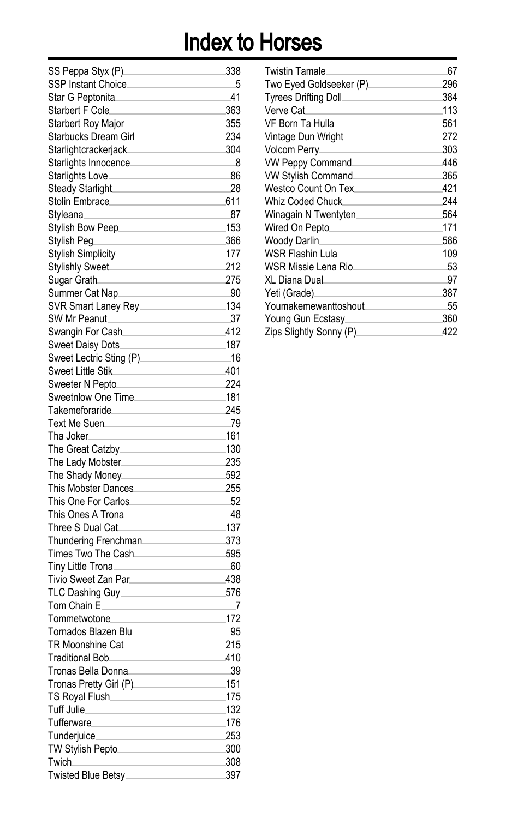| SS Peppa Styx (P).       | 338  |
|--------------------------|------|
| SSP Instant Choice.      | 5    |
| Star G Peptonita         | 41   |
| Starbert F Cole          | 363  |
| Starbert Roy Major.      | 355  |
| Starbucks Dream Girl     | 234  |
| Starlightcrackerjack.    | 304  |
| Starlights Innocence.    | 8    |
| Starlights Love.         | 86   |
| <b>Steady Starlight</b>  | 28   |
| Stolin Embrace.          | 611  |
| Styleana.                | 87   |
| Stylish Bow Peep_        | 153  |
| Stylish Peq.             | 366  |
| Stylish Simplicity       | 177  |
| <b>Stylishly Sweet</b>   | 212  |
| Sugar Grath.             | 275  |
| Summer Cat Nap_          | -90  |
| SVR Smart Laney Rey_     | 134  |
| SW Mr Peanut.            | 37   |
| Swangin For Cash.        | 412  |
| Sweet Daisy Dots         | 187  |
| Sweet Lectric Sting (P). | 16   |
| Sweet Little Stik        | 401  |
| Sweeter N Pepto          | 224  |
| Sweetnlow One Time       | 181  |
| Takemeforaride           | 245  |
| Text Me Suen.            | 79   |
| Tha Joker⊥               | 161  |
| The Great Catzby_        | .130 |
| The Lady Mobster.        | 235  |
| The Shady Money_         | 592  |
| This Mobster Dances      | 255  |
| This One For Carlos.     | 52   |
| This Ones A Trona.       | 48   |
| Three S Dual Cat.        | 137  |
| Thundering Frenchman.    | 373  |
| Times Two The Cash_      | 595  |
|                          | 60   |
| Tiny Little Trona.       |      |
| Tivio Sweet Zan Par.     | 438  |
| TLC Dashing Guy          | 576  |
| Tom Chain E_             | _7   |
| Tommetwotone_            | 172  |
| Tornados Blazen Blu.     | 95   |
| <b>TR Moonshine Cat</b>  | 215  |
| <b>Traditional Bob</b>   | 410  |
| Tronas Bella Donna.      | 39   |
| Tronas Pretty Girl (P)   | 151  |
| TS Royal Flush           | 175  |
| Tuff Julie               | 132  |
| Tufferware_              | 176  |
| Tunderjuice.             | 253  |
| TW Stylish Pepto         | 300  |
| Twich_                   | 308  |
| Twisted Blue Betsy____   | 397  |

| <b>Twistin Tamale</b>                                      | 67  |
|------------------------------------------------------------|-----|
| Two Eyed Goldseeker (P)________________                    | 296 |
|                                                            | 384 |
| Verve Cat<br>the control of the control of the control of  | 113 |
| VF Born Ta Hulla                                           | 561 |
| Vintage Dun Wright                                         | 272 |
|                                                            | 303 |
| VW Peppy Command                                           | 446 |
| VW Stylish Command                                         | 365 |
| Westco Count On Tex_________________                       | 421 |
| Whiz Coded Chuck.                                          | 244 |
| Winagain N Twentyten.<br>the control of the control of the | 564 |
| Wired On Pepto                                             | 171 |
| Woody Darlin                                               | 586 |
| WSR Flashin Lula                                           | 109 |
| WSR Missie Lena Rio.                                       | 53  |
| XL Diana Dual.                                             | 97  |
| Yeti (Grade)<br>the control of the control of              | 387 |
| Youmakemewanttoshout                                       | 55  |
| Young Gun Ecstasy.                                         | 360 |
| Zips Slightly Sonny (P)                                    | 422 |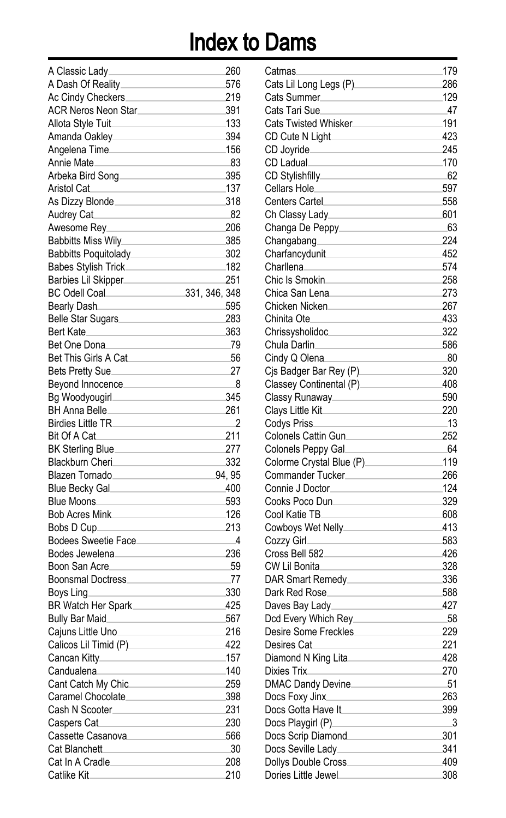| A Classic Lady                                                                                                                  | 260                      |
|---------------------------------------------------------------------------------------------------------------------------------|--------------------------|
| A Dash Of Reality_____                                                                                                          | 576                      |
| Ac Cindy Checkers_                                                                                                              | 219                      |
| ACR Neros Neon Star                                                                                                             | 391                      |
| Allota Style Tuit                                                                                                               | 133                      |
| Amanda Oakley________________                                                                                                   | 394                      |
| Angelena Time                                                                                                                   | 156                      |
| Annie Mate_                                                                                                                     | -83                      |
| Arbeka Bird Song                                                                                                                | 395                      |
| Aristol Cat                                                                                                                     | 137                      |
| As Dizzy Blonde                                                                                                                 | 318                      |
| Audrey Cat                                                                                                                      | -82                      |
| Awesome Rey_                                                                                                                    | 206                      |
| Babbitts Miss Wily_________________                                                                                             | 385                      |
| Babbitts Poquitolady_______________                                                                                             | 302                      |
| Babes Stylish Trick________________                                                                                             | 182                      |
| Barbies Lil Skipper                                                                                                             | 251                      |
| BC Odell Coal 2008 331, 346, 348                                                                                                |                          |
|                                                                                                                                 |                          |
| Bearly Dash.                                                                                                                    | 595                      |
| Belle Star Sugars                                                                                                               | 283                      |
| Bert Kate                                                                                                                       | 363                      |
| Bet One Dona.                                                                                                                   | 79                       |
| Bet This Girls A Cat                                                                                                            | 56                       |
| Bets Pretty Sue                                                                                                                 | 27                       |
| Beyond Innocence                                                                                                                | -8                       |
|                                                                                                                                 | 345                      |
| BH Anna Belle_                                                                                                                  | 261                      |
| Birdies Little TR_____________                                                                                                  | $^{\circ}$               |
| Bit Of A Cat.                                                                                                                   | 211                      |
| BK Sterling Blue                                                                                                                | 277                      |
| Blackburn Cheri<br>and the Cheri Cheri Cheri Cheri Cheri Cheri Cheri Cheri Cheri Cheri Cheri Cheri Cheri Cheri Cheri Cheri Cher | 332                      |
| Blazen Tornado                                                                                                                  | 94.95                    |
| Blue Becky Gal                                                                                                                  | 400                      |
| Blue Moons                                                                                                                      | 593                      |
| Bob Acres Mink                                                                                                                  | 126                      |
| Bobs D Cup.                                                                                                                     | 213                      |
| Bodees Sweetie Face                                                                                                             | $\overline{\phantom{0}}$ |
| Bodes Jewelena                                                                                                                  | 236                      |
| Boon San Acre                                                                                                                   | 59                       |
| Boonsmal Doctress                                                                                                               | .77                      |
| Boys Ling_                                                                                                                      | 330                      |
| BR Watch Her Spark                                                                                                              | 425                      |
| Bully Bar Maid                                                                                                                  | 567                      |
| Cajuns Little Uno.                                                                                                              | 216                      |
| Calicos Lil Timid (P).                                                                                                          | 422                      |
| Cancan Kitty.                                                                                                                   | 157                      |
| Candualena <b>Candualena</b>                                                                                                    | 140                      |
| Cant Catch My Chic_______________                                                                                               | 259                      |
| Caramel Chocolate                                                                                                               | 398                      |
| Cash N Scooter                                                                                                                  | 231                      |
| Caspers Cat                                                                                                                     | 230                      |
| Cassette Casanova________________                                                                                               | 566                      |
| Cat Blanchett <b>Cat Blanchet</b>                                                                                               | 30                       |
| Cat In A Cradle                                                                                                                 | 208                      |
|                                                                                                                                 |                          |
| Catlike Kit                                                                                                                     | 210                      |

| Catmas                                              | 179 |
|-----------------------------------------------------|-----|
| Cats Lil Long Legs (P)                              | 286 |
| Cats Summer.                                        | 129 |
| Cats Tari Sue.                                      | 47  |
| Cats Twisted Whisker                                | 191 |
| CD Cute N Light                                     | 423 |
| CD Joyride_                                         | 245 |
| CD Ladual                                           | 170 |
| CD Stylishfilly_                                    | -62 |
| Cellars Hole.                                       | 597 |
| <b>Centers Cartel</b>                               | 558 |
| Ch Classy Lady_                                     | 601 |
| Changa De Peppy_                                    | 63  |
| Changabang                                          | 224 |
| Charfancydunit                                      | 452 |
| Charllena_                                          | 574 |
| Chic Is Smokin                                      | 258 |
| Chica San Lena.                                     | 273 |
| Chicken Nicken.                                     | 267 |
| Chinita Ote.                                        | 433 |
| Chrissysholidoc                                     | 322 |
| Chula Darlin                                        | 586 |
| Cindy Q Olena.                                      | .80 |
| Cis Badger Bar Rey (P).                             | 320 |
|                                                     | 408 |
| Classey Continental (P).                            | 590 |
| Classy Runaway                                      | 220 |
| Clays Little Kit                                    |     |
| Codys Priss                                         | _13 |
| Colonels Cattin Gun.                                | 252 |
| Colonels Peppy Gal                                  | -64 |
| Colorme Crystal Blue (P).                           | 119 |
| Commander Tucker.                                   | 266 |
| Connie J Doctor.                                    | 124 |
| Cooks Poco Dun.                                     | 329 |
| Cool Katie TB_                                      | 608 |
| Cowboys Wet Nelly                                   | 413 |
| Cozzy Girl                                          | 583 |
| Cross Bell 582                                      | 426 |
| CW Lil Bonita.                                      | 328 |
| DAR Smart Remedy.                                   | 336 |
| Dark Red Rose.                                      | 588 |
| Daves Bay Lady                                      | 427 |
| Dcd Every Which Rey.                                | -58 |
| Desire Some Freckles                                | 229 |
| Desires Cat                                         | 221 |
| Diamond N King Lita                                 | 428 |
| Dixies Trix<br>the control of the con-              | 270 |
| DMAC Dandy Devine                                   | 51  |
| Docs Foxy Jinx<br>the control of the control of the | 263 |
| Docs Gotta Have It                                  | 399 |
| Docs Playgirl (P)___                                | 3   |
| Docs Scrip Diamond                                  |     |
|                                                     | 301 |
| Docs Seville Lady_                                  | 341 |
| Dollys Double Cross                                 | 409 |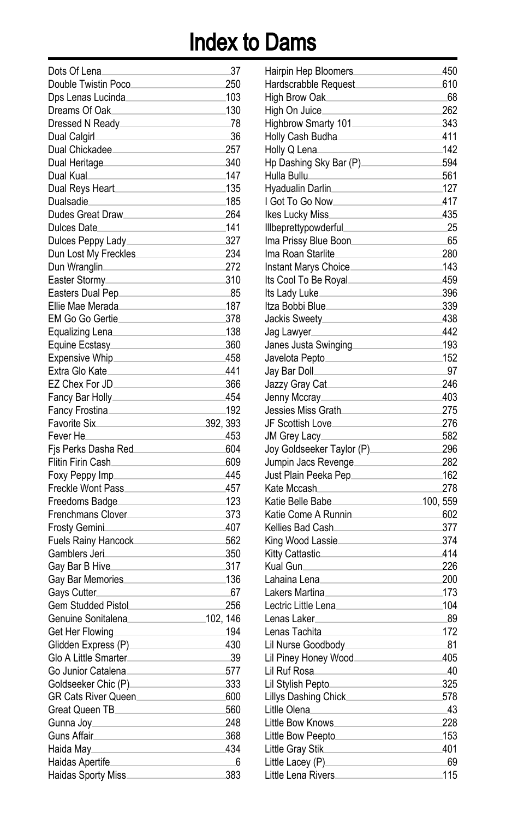| Dots Of Lena               | 37       |
|----------------------------|----------|
| Double Twistin Poco.       | 250      |
| Dps Lenas Lucinda          | 103      |
| Dreams Of Oak.             | 130      |
| Dressed N Ready.           | .78      |
| Dual Calgirl               | 36       |
| Dual Chickadee.            | 257      |
| Dual Heritage.             | 340      |
| Dual Kual                  | 147      |
| Dual Reys Heart            | 135      |
| Dualsadie                  | 185      |
| Dudes Great Draw           | 264      |
| Dulces Date.               | 141      |
| Dulces Peppy Lady          | 327      |
| Dun Lost My Freckles.      | 234      |
| Dun Wranglin               | 272      |
| Easter Stormy.             | 310      |
| Easters Dual Pep.          | 85       |
| Ellie Mae Merada.          | 187      |
| EM Go Go Gertie.           | 378      |
| Equalizing Lena            | .138     |
|                            | 360      |
| Equine Ecstasy             |          |
| Expensive Whip_            | 458      |
| Extra Glo Kate_            | 441      |
| EZ Chex For JD.            | 366      |
| Fancy Bar Holly____        | 454      |
| Fancy Frostina.            | 192      |
| Favorite Six.              | 392, 393 |
| Fever He                   | 453      |
| Fis Perks Dasha Red        | 604      |
| Flitin Firin Cash.         | 609      |
| Foxy Peppy Imp.            | 445      |
| Freckle Wont Pass_         | 457      |
| Freedoms Badge.            | 123      |
| Frenchmans Clover_         | 373      |
| Frosty Gemini.             | 407      |
| <b>Fuels Rainy Hancock</b> | 562      |
| Gamblers Jeri_             | 350      |
| Gay Bar B Hive.            | 317      |
| Gay Bar Memories.          | 136      |
| Gays Cutter.               | -67      |
| <b>Gem Studded Pistol</b>  | 256      |
| Genuine Sonitalena         | 102, 146 |
| Get Her Flowing            | .194     |
| Glidden Express (P).       | 430      |
| Glo A Little Smarter.      | 39       |
| Go Junior Catalena         | 577      |
| Goldseeker Chic (P)______  | 333      |
| GR Cats River Queen        | 600      |
| Great Queen TB             | 560      |
| Gunna Joy_                 | 248      |
| Guns Affair                | 368      |
| Haida May                  | 434      |
| Haidas Apertife            | 6        |
| Haidas Sporty Miss.        | 383      |
|                            |          |

| Hairpin Hep Bloomers                                                                                                                                                                                                                 | 450       |
|--------------------------------------------------------------------------------------------------------------------------------------------------------------------------------------------------------------------------------------|-----------|
| Hardscrabble Request                                                                                                                                                                                                                 | 610       |
| High Brow Oak.                                                                                                                                                                                                                       | 68        |
| High On Juice.                                                                                                                                                                                                                       | 262       |
| Highbrow Smarty 101_                                                                                                                                                                                                                 | 343       |
| Holly Cash Budha⊥                                                                                                                                                                                                                    | 411       |
| Holly Q Lena                                                                                                                                                                                                                         | 142       |
| Hp Dashing Sky Bar (P).                                                                                                                                                                                                              | 594       |
| Hulla Bullu                                                                                                                                                                                                                          | 561       |
| Hyadualin Darlin.                                                                                                                                                                                                                    | 127       |
| I Got To Go Now.                                                                                                                                                                                                                     | 417       |
|                                                                                                                                                                                                                                      |           |
| Ikes Lucky Miss                                                                                                                                                                                                                      | 435       |
| Illbeprettypowderful.                                                                                                                                                                                                                | 25        |
| Ima Prissy Blue Boon                                                                                                                                                                                                                 | 65        |
| Ima Roan Starlite_                                                                                                                                                                                                                   | 280       |
| Instant Marys Choice.                                                                                                                                                                                                                | 143       |
| Its Cool To Be Royal.                                                                                                                                                                                                                | 459       |
| Its Lady Luke_                                                                                                                                                                                                                       | 396       |
| Itza Bobbi Blue                                                                                                                                                                                                                      | 339       |
| Jackis Sweety <sub>-</sub>                                                                                                                                                                                                           | 438       |
| Jag Lawyer                                                                                                                                                                                                                           | 442       |
| Janes Justa Swinging                                                                                                                                                                                                                 | .193      |
| Javelota Pepto                                                                                                                                                                                                                       | 152       |
| Jay Bar Doll                                                                                                                                                                                                                         | 97        |
| Jazzy Gray Cat                                                                                                                                                                                                                       | 246       |
| Jenny Mccray                                                                                                                                                                                                                         | 403       |
| Jessies Miss Grath                                                                                                                                                                                                                   | 275       |
| JF Scottish Love.                                                                                                                                                                                                                    | 276       |
| JM Grey Lacy.                                                                                                                                                                                                                        | 582       |
| Joy Goldseeker Taylor (P)_                                                                                                                                                                                                           | 296       |
| Jumpin Jacs Revenge                                                                                                                                                                                                                  | 282       |
| Just Plain Peeka Pep_                                                                                                                                                                                                                | 162       |
| Kate Mccash.                                                                                                                                                                                                                         | 278       |
| Katie Belle Babe_                                                                                                                                                                                                                    | 100, 559  |
| Katie Come A Runnin                                                                                                                                                                                                                  | 602       |
| Kellies Bad Cash.                                                                                                                                                                                                                    | 377       |
| King Wood Lassie.                                                                                                                                                                                                                    | 374       |
| Kitty Cattastic                                                                                                                                                                                                                      | 414       |
| Kual Gun.                                                                                                                                                                                                                            | 226       |
| Lahaina Lena.                                                                                                                                                                                                                        | 200       |
| Lakers Martina                                                                                                                                                                                                                       | 173       |
| Lectric Little Lena_                                                                                                                                                                                                                 | 104       |
| Lenas Laker                                                                                                                                                                                                                          | 89        |
| Lenas Tachita                                                                                                                                                                                                                        | 172       |
| Lil Nurse Goodbody.                                                                                                                                                                                                                  | 81        |
| Lil Piney Honey Wood                                                                                                                                                                                                                 | 405       |
| Lil Ruf Rosa<br>the control of the control of the control of                                                                                                                                                                         | 40        |
| Lil Stylish Pepto                                                                                                                                                                                                                    | 325       |
| Lillys Dashing Chick_________________                                                                                                                                                                                                | 578       |
| Litlle Olena                                                                                                                                                                                                                         | 43        |
| Little Bow Knows                                                                                                                                                                                                                     | 228       |
| Little Bow Peepto                                                                                                                                                                                                                    | 153       |
|                                                                                                                                                                                                                                      |           |
| Little Gray Stik                                                                                                                                                                                                                     | 401       |
| Little Lacey (P) <b>Contract Contract Contract Contract Contract Contract Control Control Control Control Control Control Control Control Control Control Control Control Control Control Control Control Control Control Contro</b> | 69<br>115 |
|                                                                                                                                                                                                                                      |           |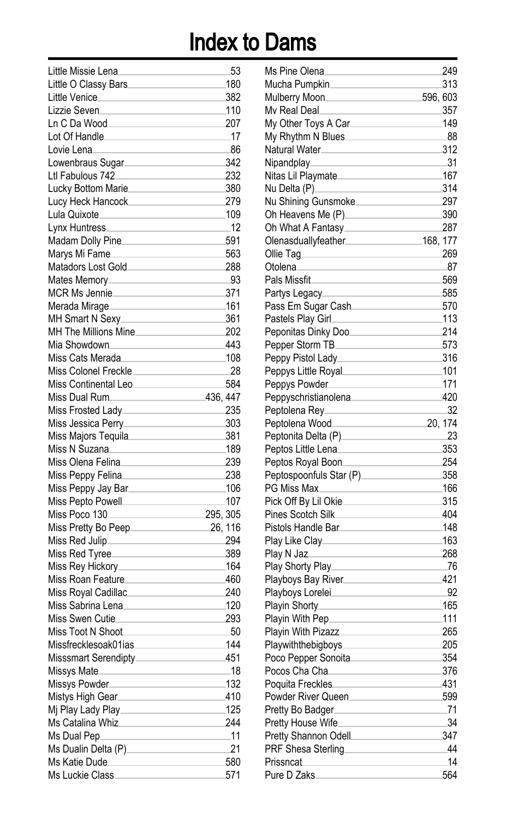| Little Missie Lena.                  | 53       |
|--------------------------------------|----------|
| Little O Classy Bars.                | 180      |
| Little Venice                        | 382      |
| Lizzie Seven                         | .110     |
| Ln C Da Wood                         | 207      |
| Lot Of Handle_                       | _17      |
| Lovie Lena                           | 86       |
| Lowenbraus Sugar                     | 342      |
| Ltl Fabulous 742_                    | 232      |
| Lucky Bottom Marie_                  | 380      |
| Lucy Heck Hancock                    | 279      |
| Lula Quixote_________                | 109      |
| Lynx Huntress_                       | .12      |
| Madam Dolly Pine                     | 591      |
| Marys Mi Fame                        | 563      |
|                                      |          |
| Matadors Lost Gold                   | 288      |
| Mates Memory                         | -93      |
| MCR Ms Jennie                        | 371      |
| Merada Mirage                        | 161      |
| MH Smart N Sexy                      | 361      |
| MH The Millions Mine                 | 202      |
| Mia Showdown                         | 443      |
| Miss Cats Merada                     | 108      |
| Miss Colonel Freckle                 | 28       |
| Miss Continental Leo                 | 584      |
| Miss Dual Rum                        | 436, 447 |
| Miss Frosted Lady_______________     | 235      |
| Miss Jessica Perry______________     | 303      |
| Miss Majors Tequila                  | 381      |
| Miss N Suzana                        | .189     |
| Miss Olena Felina                    | 239      |
| Miss Peppy Felina                    | 238      |
| Miss Peppy Jay Bar                   | 106      |
|                                      | 107      |
| Miss Poco 130                        | 295, 305 |
| Miss Pretty Bo Peep____________      | 26, 116  |
| Miss Red Julip___________________    | 294      |
| Miss Red Tyree                       | 389      |
| Miss Rey Hickory_____________        | .164     |
| Miss Roan Feature                    | 460      |
| Miss Roval Cadillac                  | 240      |
| Miss Sabrina Lena_                   | 120      |
| Miss Swen Cutie                      | 293      |
| Miss Toot N Shoot                    | 50       |
| Missfrecklesoak01ias                 | 144      |
| Misssmart Serendipty.                | 451      |
| Missys Mate                          | 18       |
| Missys Powder                        | 132      |
| Mistys High Gear                     | 410      |
| Mi Play Lady Play                    | 125      |
| Ms Catalina Whiz<br>Ms Catalina Whiz | 244      |
| Ms Dual Pep                          | .11      |
| Ms Dualin Delta (P)                  | 21       |
| Ms Katie Dude                        | 580      |
| Ms Luckie Class.                     | 571      |
|                                      |          |

| Ms Pine Olena.                                                                                                                                                                                                                       |          | 249     |
|--------------------------------------------------------------------------------------------------------------------------------------------------------------------------------------------------------------------------------------|----------|---------|
| Mucha Pumpkin                                                                                                                                                                                                                        |          | 313     |
| Mulberry Moon                                                                                                                                                                                                                        | 596, 603 |         |
| My Real Deal.                                                                                                                                                                                                                        |          | 357     |
| My Other Toys A Car.                                                                                                                                                                                                                 |          | 149     |
| My Rhythm N Blues_                                                                                                                                                                                                                   |          | 88      |
| Natural Water.                                                                                                                                                                                                                       |          | 312     |
| Nipandplay.                                                                                                                                                                                                                          |          | 31      |
| Nitas Lil Playmate                                                                                                                                                                                                                   |          | 167     |
| Nu Delta (P)_                                                                                                                                                                                                                        |          | 314     |
| Nu Shining Gunsmoke                                                                                                                                                                                                                  |          | 297     |
| Oh Heavens Me (P)_________________                                                                                                                                                                                                   |          | 390     |
| Oh What A Fantasy                                                                                                                                                                                                                    |          | 287     |
| Olenasduallyfeather________________________168, 177                                                                                                                                                                                  |          |         |
| Ollie Tag                                                                                                                                                                                                                            |          | 269     |
| Otolena.                                                                                                                                                                                                                             |          | 87      |
| Pals Missfit                                                                                                                                                                                                                         |          | 569     |
| Partys Legacy______                                                                                                                                                                                                                  |          | 585     |
|                                                                                                                                                                                                                                      |          | 570     |
| Pass Em Sugar Cash                                                                                                                                                                                                                   |          | 113     |
| Pastels Play Girl____                                                                                                                                                                                                                |          |         |
| Peponitas Dinky Doo.                                                                                                                                                                                                                 |          | 214     |
| Pepper Storm TB                                                                                                                                                                                                                      |          | 573     |
| Peppy Pistol Lady                                                                                                                                                                                                                    |          | 316     |
| Peppys Little Royal                                                                                                                                                                                                                  |          | .101    |
| Peppys Powder                                                                                                                                                                                                                        |          | 171     |
| Peppyschristianolena________________                                                                                                                                                                                                 |          | 420     |
| Peptolena Rey_                                                                                                                                                                                                                       |          | 32      |
| Peptolena Wood.<br><u> 1980 - Johann Barbara, martin a</u>                                                                                                                                                                           |          | 20, 174 |
| Peptonita Delta (P) <b>Contract Contract Contract Contract Contract Contract Control Control Contract Control Control Control Control Control Control Control Control Control Control Control Control Control Control Control Co</b> |          | 23      |
| Peptos Little Lena                                                                                                                                                                                                                   |          | 353     |
| Peptos Royal Boon_                                                                                                                                                                                                                   |          | 254     |
| Peptospoonfuls Star (P)_______________                                                                                                                                                                                               |          | 358     |
| PG Miss Max.                                                                                                                                                                                                                         |          | 166     |
| Pick Off By Lil Okie.                                                                                                                                                                                                                |          | 315     |
| Pines Scotch Silk.                                                                                                                                                                                                                   |          | 404     |
| Pistols Handle Bar                                                                                                                                                                                                                   |          | .148    |
| Play Like Clay                                                                                                                                                                                                                       |          | 163     |
| Play N Jaz                                                                                                                                                                                                                           |          | 268     |
| Play Shorty Play_                                                                                                                                                                                                                    |          | -76     |
| Playboys Bay River                                                                                                                                                                                                                   |          | 421     |
| Playboys Lorelei.                                                                                                                                                                                                                    |          | 92      |
| Playin Shorty                                                                                                                                                                                                                        |          | 165     |
| Playin With Pep_                                                                                                                                                                                                                     |          | .111    |
| <b>Playin With Pizazz</b>                                                                                                                                                                                                            |          | 265     |
| Playwiththebigboys.                                                                                                                                                                                                                  |          | 205     |
| Poco Pepper Sonoita                                                                                                                                                                                                                  |          | 354     |
| Pocos Cha Cha <b>Marting Charles Channel</b>                                                                                                                                                                                         |          | 376     |
| Poquita Freckles                                                                                                                                                                                                                     |          | 431     |
| Powder River Queen                                                                                                                                                                                                                   |          | 599     |
| Pretty Bo Badger                                                                                                                                                                                                                     |          | .71     |
| Pretty House Wife_____________                                                                                                                                                                                                       |          | 34      |
|                                                                                                                                                                                                                                      |          | 347     |
|                                                                                                                                                                                                                                      |          | 44      |
| PRF Shesa Sterling <b>Example 2014</b><br>Prissncat                                                                                                                                                                                  |          | 14      |
| Pure D Zaks                                                                                                                                                                                                                          |          |         |
|                                                                                                                                                                                                                                      |          | 564     |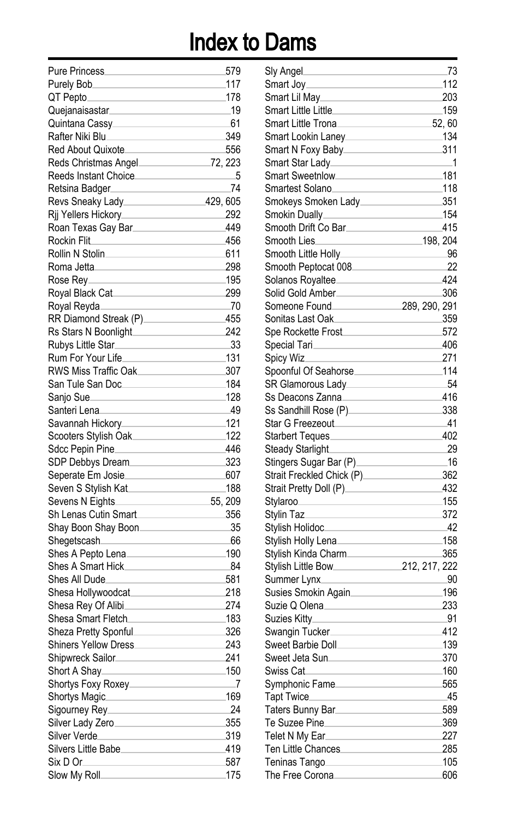| <b>Pure Princess</b>        |          | 579     |
|-----------------------------|----------|---------|
| Purely Bob.                 |          | 117     |
| QT Pepto.                   |          | 178     |
| Quejanaisastar              |          | .19     |
| Quintana Cassy              |          | 61      |
| Rafter Niki Blu             |          | 349     |
| Red About Quixote.          |          | 556     |
| Reds Christmas Angel        |          | 72, 223 |
| Reeds Instant Choice.       |          | 5       |
| Retsina Badger              |          | 74      |
| Revs Sneaky Lady.           | 429, 605 |         |
| Rij Yellers Hickory_        |          | 292     |
| Roan Texas Gay Bar          |          | 449     |
| Rockin Flit.                |          | 456     |
| Rollin N Stolin.            |          | 611     |
|                             |          |         |
| Roma Jetta.                 |          | 298     |
| Rose Rev.                   |          | 195     |
| Royal Black Cat             |          | 299     |
| Royal Reyda.                |          | .70     |
| RR Diamond Streak (P)       |          | 455     |
| Rs Stars N Boonlight.       |          | 242     |
| Rubys Little Star_          |          | 33      |
| Rum For Your Life           |          | 131     |
| RWS Miss Traffic Oak.       |          | 307     |
| San Tule San Doc.           |          | 184     |
| Sanjo Sue_                  |          | 128     |
| Santeri Lena                |          | 49      |
| Savannah Hickory_           |          | 121     |
| Scooters Stylish Oak        |          | 122     |
| Sdcc Pepin Pine             |          | 446     |
| SDP Debbys Dream.           |          | 323     |
| Seperate Em Josie.          |          | 607     |
| Seven S Stylish Kat         |          | .188    |
| Sevens N Eights.            |          | 55, 209 |
| Sh Lenas Cutin Smart.       |          | 356     |
| Shay Boon Shay Boon.        |          | 35      |
| Shegetscash                 |          | 66      |
| Shes A Pepto Lena.          |          | 190     |
| Shes A Smart Hick.          |          | 84      |
| Shes All Dude.              |          | 581     |
| Shesa Hollywoodcat          |          | 218     |
| Shesa Rey Of Alibi          |          | 274     |
| Shesa Smart Fletch.         |          | 183     |
| Sheza Pretty Sponful.       |          | 326     |
| <b>Shiners Yellow Dress</b> |          | 243     |
| Shipwreck Sailor.           |          | 241     |
| Short A Shay                |          | 150     |
| Shortys Foxy Roxey          |          | 7       |
| Shortys Magic               |          | 169     |
| Sigourney Rey               |          | 24      |
| Silver Lady Zero            |          | 355     |
| Silver Verde                |          | 319     |
| Silvers Little Babe         |          | 419     |
| Six D Or_                   |          | 587     |
| Slow My Roll.               |          | 175     |
|                             |          |         |

| Sly Angel.                                          | 73            |
|-----------------------------------------------------|---------------|
| Smart Joy⊥                                          | .112          |
| Smart Lil May⊥                                      | 203           |
| Smart Little Little                                 | 159           |
| Smart Little Trona                                  |               |
|                                                     | 52, 60        |
| Smart Lookin Laney                                  | 134           |
|                                                     | 311           |
| Smart Star Lady                                     | _1            |
| Smart Sweetnlow                                     | .181          |
| Smartest Solano                                     | .118          |
| Smokeys Smoken Lady                                 | 351           |
|                                                     | .154          |
| Smooth Drift Co Bar                                 | 415           |
| Smooth Lies                                         |               |
| Smooth Little Holly                                 | - 96          |
| Smooth Peptocat 008                                 | 22            |
|                                                     | 424           |
| Solid Gold Amber_____________                       | 306           |
| Someone Found                                       | 289, 290, 291 |
| Sonitas Last Oak.                                   | 359           |
| Spe Rockette Frost                                  |               |
|                                                     | 572           |
| Special Tari.                                       | 406           |
| Spicy Wiz.                                          | 271           |
| Spoonful Of Seahorse                                | 114           |
| SR Glamorous Lady________________                   | 54            |
|                                                     | 416           |
| Ss Sandhill Rose (P)                                | 338           |
|                                                     | -41           |
| Starbert Teques_                                    | 402           |
| Steady Starlight_                                   | 29            |
| Stingers Sugar Bar (P)                              | _16           |
| Strait Freckled Chick (P)                           | 362           |
| Strait Pretty Doll (P)                              | 432           |
| Stylaroo<br>$\mathcal{L}^{\text{max}}_{\text{max}}$ | 155           |
| Stylin Taz                                          | 372           |
| Stylish Holidoc.                                    | 42            |
| Stylish Holly Lena                                  | 158           |
| Stylish Kinda Charm                                 | 365           |
|                                                     |               |
|                                                     | 90            |
| Summer Lynx.                                        |               |
| Susies Smokin Again                                 | 196           |
| Suzie Q Olena                                       | 233           |
| Suzies Kitty <sub>–</sub>                           | .91           |
| Swangin Tucker.                                     | 412           |
| Sweet Barbie Doll.                                  | 139           |
| Sweet Jeta Sun                                      | 370           |
| Swiss Cat                                           | 160           |
| Symphonic Fame_                                     | 565           |
| Tapt Twice_                                         | 45            |
| Taters Bunny Bar                                    | 589           |
| Te Suzee Pine________________                       | 369           |
| Telet N My Ear.                                     | 227           |
| Ten Little Chances                                  | 285           |
| Teninas Tango                                       | 105           |
| The Free Corona.                                    | 606           |
|                                                     |               |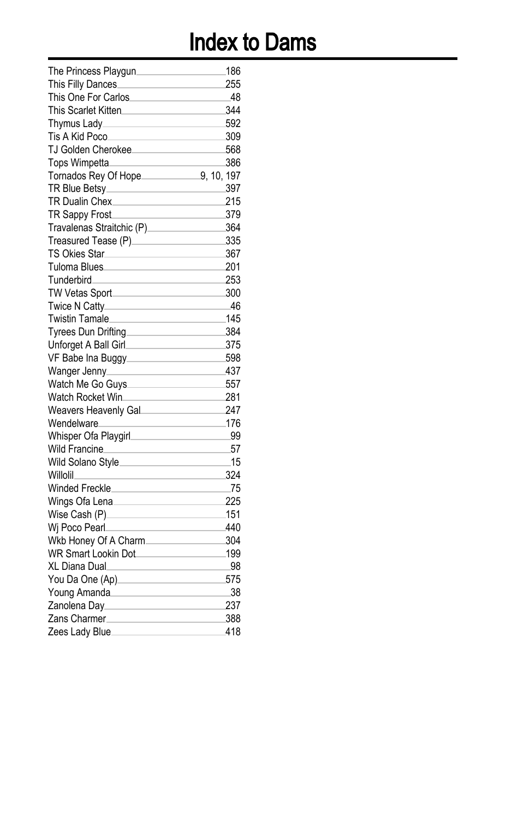| The Princess Playgun       | 186        |
|----------------------------|------------|
| This Filly Dances_         | 255        |
| This One For Carlos        | 48         |
| This Scarlet Kitten.       | 344        |
| Thymus Lady                | 592        |
| Tis A Kid Poco             | 309        |
| TJ Golden Cherokee         | 568        |
| Tops Wimpetta              | 386        |
| Tornados Rey Of Hope_      | 9, 10, 197 |
| TR Blue Betsy_             | 397        |
| <b>TR Dualin Chex</b>      | 215        |
| TR Sappy Frost             | 379        |
| Travalenas Straitchic (P). | 364        |
| Treasured Tease (P)_       | 335        |
| <b>TS Okies Star.</b>      | 367        |
| Tuloma Blues.              | 201        |
| Tunderbird                 | 253        |
| TW Vetas Sport_            | 300        |
| Twice N Catty_             | 46         |
| Twistin Tamale             | 145        |
| Tyrees Dun Drifting.       | 384        |
| Unforget A Ball Girl.      | 375        |
| VF Babe Ina Buggy.         | 598        |
| Wanger Jenny.              | 437        |
| Watch Me Go Guys           | 557        |
| Watch Rocket Win_          | 281        |
| Weavers Heavenly Gal.      | 247        |
| Wendelware_                | 176        |
| Whisper Ofa Playgirl       | 99         |
| <b>Wild Francine</b>       | 57         |
| Wild Solano Style.         | 15         |
| Willolil.                  | 324        |
| Winded Freckle             | 75         |
| Wings Ofa Lena.            | 225        |
| Wise Cash (P)              | 151        |
| Wi Poco Pearl.             | 440        |
| Wkb Honey Of A Charm.      | 304        |
| <b>WR Smart Lookin Dot</b> | 199        |
| XL Diana Dual.             | .98        |
| You Da One (Ap)            | 575        |
| Young Amanda.              | 38         |
| Zanolena Day.              | 237        |
| Zans Charmer.              | 388        |
| Zees Lady Blue             | 418        |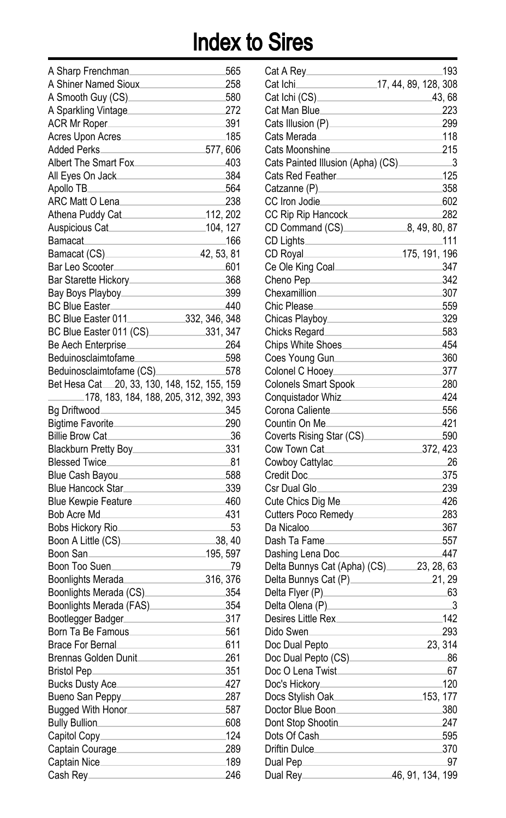| A Sharp Frenchman.                       | 565        |
|------------------------------------------|------------|
| A Shiner Named Sioux                     | 258        |
| A Smooth Guy (CS)                        | 580        |
|                                          | 272        |
| A Sparkling Vintage                      |            |
| ACR Mr Roper                             | 391        |
| Acres Upon Acres                         | 185        |
| <b>Added Perks</b>                       | 577,606    |
| Albert The Smart Fox                     | 403        |
| All Eyes On Jack                         | 384        |
| Apollo TB.                               | 564        |
| ARC Matt O Lena                          | 238        |
| Athena Puddy Cat                         | 112, 202   |
| Auspicious Cat                           | 104, 127   |
| Bamacat.                                 | .166       |
| Bamacat (CS).                            | 42, 53, 81 |
| Bar Leo Scooter_                         | 601        |
| Bar Starette Hickory.                    | 368        |
| Bay Boys Playboy_                        | 399        |
| BC Blue Easter                           | 440        |
| BC Blue Easter 011.<br>332, 346, 348     |            |
| BC Blue Easter 011 (CS).                 | 331, 347   |
| Be Aech Enterprise                       | 264        |
| Beduinosclaimtofame.                     | 598        |
| Beduinosclaimtofame (CS)                 | 578        |
| Bet Hesa Cat 20, 33, 130, 148, 152, 155, | 159        |
| 178, 183, 184, 188, 205, 312, 392, 393   |            |
| Bg Driftwood                             | 345        |
| <b>Bigtime Favorite</b>                  | 290        |
| <b>Billie Brow Cat</b>                   | 36         |
| Blackburn Pretty Boy.                    | 331        |
| Blessed Twice                            | -81        |
|                                          | 588        |
| Blue Cash Bayou_                         |            |
| Blue Hancock Star.                       | 339        |
| Blue Kewpie Feature.                     | 460        |
| Bob Acre Md.                             | 431        |
| Bobs Hickory Rio.                        | 53         |
| Boon A Little (CS)                       | 38, 40     |
| Boon San.                                | 195, 597   |
| Boon Too Suen.                           | .79        |
| Boonlights Merada                        | 316, 376   |
| Boonlights Merada (CS).                  | 354        |
| Boonlights Merada (FAS).                 | 354        |
| Bootlegger Badger                        | 317        |
| Born Ta Be Famous                        | 561        |
| <b>Brace For Bernal</b>                  | 611        |
| <b>Brennas Golden Dunit</b>              | 261        |
|                                          | 351        |
| Bucks Dusty Ace                          | 427        |
|                                          | 287        |
| Bugged With Honor                        | 587        |
| Bully Bullion                            | 608        |
| Capitol Copy____________________         | 124        |
| Captain Courage                          | 289        |
|                                          | 189        |
| Cash Rey                                 | 246        |
|                                          |            |

| Cat A Rey                                          | 193                        |
|----------------------------------------------------|----------------------------|
| Cat Ichi.                                          | 17, 44, 89, 128, 308       |
| Cat Ichi (CS)____                                  | 43, 68                     |
| Cat Man Blue_                                      | 223                        |
| Cats Illusion (P)                                  | 299                        |
| Cats Merada                                        | 118                        |
| Cats Moonshine.                                    | 215                        |
| Cats Painted Illusion (Apha) (CS).                 | - 3                        |
|                                                    | 125                        |
| Catzanne (P)____                                   | 358                        |
| CC Iron Jodie                                      | 602                        |
| CC Rip Rip Hancock                                 | 282                        |
| CD Command (CS) 8, 49, 80, 87                      |                            |
| CD Lights.                                         | _111                       |
| CD Royal                                           | $-175, 191, 196$           |
| Ce Ole King Coal                                   | 347                        |
| Cheno Pep                                          | 342                        |
| Chexamillion_                                      | 307                        |
| Chic Please.                                       | 559                        |
|                                                    | 329                        |
| Chicks Regard                                      | 583                        |
| Chips White Shoes                                  | 454                        |
| Coes Young Gun.                                    | 360                        |
| Colonel C Hooey_                                   | 377                        |
| Colonels Smart Spook                               | 280                        |
| Conquistador Whiz                                  | 424                        |
|                                                    | 556                        |
| Corona Caliente.<br>Countin On Me_                 | 421                        |
|                                                    |                            |
| Coverts Rising Star (CS)__________<br>Cow Town Cat | 590                        |
|                                                    | 372, 423                   |
| Cowboy Cattylac_____                               | 26                         |
| Credit Doc                                         | 375                        |
| Csr Dual Glo_                                      | 239                        |
| Cute Chics Dig Me                                  | 426                        |
| Cutters Poco Remedy_                               | 283                        |
| Da Nicaloo                                         | 367                        |
| Dash Ta Fame                                       | 557                        |
| Dashing Lena Doc                                   | 447                        |
| Delta Bunnys Cat (Apha) (CS) 23, 28, 63            |                            |
| Delta Bunnys Cat (P).                              | 21, 29                     |
| Delta Flyer (P)_                                   | 63                         |
| Delta Olena (P)                                    | $\overline{\phantom{0}}^3$ |
| Desires Little Rex.                                | .142                       |
| Dido Swen                                          | 293                        |
| Doc Dual Pepto.                                    | 23, 314                    |
| Doc Dual Pepto (CS)                                | -86                        |
| Doc O Lena Twist.                                  | 67                         |
| Doc's Hickory_                                     | 120                        |
| Docs Stylish Oak__                                 | $-153, 177$                |
| Doctor Blue Boon_                                  | 380                        |
| Dont Stop Shootin.                                 | 247                        |
| Dots Of Cash.                                      | 595                        |
| Driftin Dulce.                                     | 370                        |
| Dual Pep <sub>___</sub>                            | 97                         |
| Dual Rey_                                          | 46, 91, 134, 199           |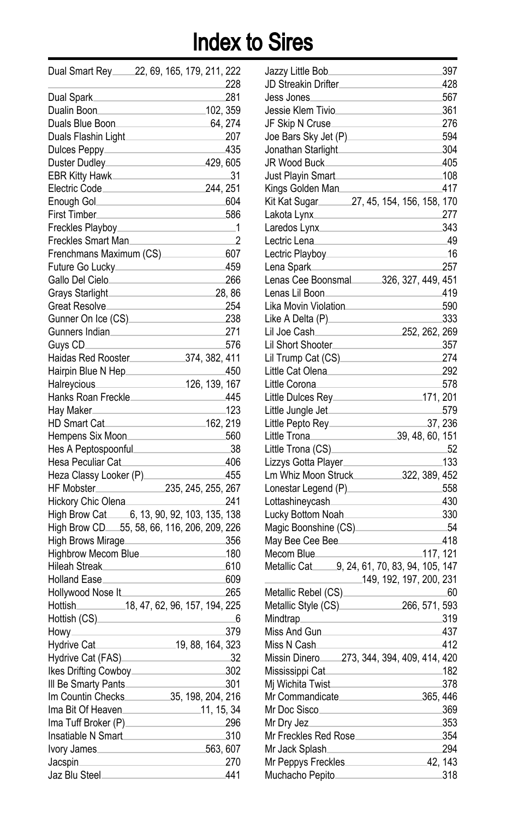| Dual Smart Rey 22, 69, 165, 179, 211, 222              |                   |  |                  |         |
|--------------------------------------------------------|-------------------|--|------------------|---------|
|                                                        |                   |  |                  | 228     |
| Dual Spark.                                            |                   |  |                  | 281     |
| Dualin Boon                                            |                   |  | 102, 359         |         |
| Duals Blue Boon                                        |                   |  | $-64, 274$       |         |
| Duals Flashin Light                                    |                   |  |                  | $-207$  |
| Dulces Peppy________                                   |                   |  |                  | 435     |
| Duster Dudley                                          |                   |  | 429, 605         |         |
| EBR Kitty Hawk                                         |                   |  |                  | $-31$   |
| Electric Code                                          |                   |  | 244, 251         |         |
| Enough Gol__________________                           |                   |  |                  | -604    |
| First Timber                                           |                   |  |                  | 586     |
| Freckles Playboy.                                      |                   |  |                  | $_{-1}$ |
| Freckles Smart Man_                                    |                   |  |                  | 2       |
| Frenchmans Maximum (CS)________                        |                   |  |                  | 607     |
| Future Go Lucky                                        |                   |  |                  | 459     |
| Gallo Del Cielo                                        |                   |  |                  | 266     |
| Grays Starlight                                        |                   |  |                  | 28,86   |
| Great Resolve                                          |                   |  |                  | 254     |
| Gunner On Ice (CS)                                     |                   |  |                  | 238     |
| Gunners Indian                                         |                   |  |                  | 271     |
| Guys CD_                                               |                   |  |                  | 576     |
|                                                        |                   |  |                  |         |
| Hairpin Blue N Hep                                     |                   |  |                  | 450     |
| Halrevcious                                            | $-$ 126, 139, 167 |  |                  |         |
| Hanks Roan Freckle                                     |                   |  |                  | 445     |
| Hay Maker <sub>—</sub>                                 |                   |  |                  | 123     |
| <b>HD Smart Cat</b>                                    |                   |  | 162, 219         |         |
| Hempens Six Moon                                       |                   |  |                  | 560     |
| Hes A Peptospoonful_                                   |                   |  |                  | -38     |
| Hesa Peculiar Cat                                      |                   |  |                  | 406     |
| Heza Classy Looker (P)_                                |                   |  |                  | 455     |
|                                                        |                   |  |                  |         |
| Hickory Chic Olena                                     |                   |  |                  | 241     |
| High Brow Cat______6, 13, 90, 92, 103, 135, 138        |                   |  |                  |         |
| High Brow CD.65, 58, 66, 116, 206, 209, 226            |                   |  |                  |         |
| High Brows Mirage                                      |                   |  |                  | 356     |
| Highbrow Mecom Blue_                                   |                   |  |                  | .180    |
| Hileah Streak                                          |                   |  |                  | 610     |
| Holland Ease_                                          |                   |  |                  | 609     |
| Hollywood Nose It_                                     |                   |  |                  | 265     |
| 18, 47, 62, 96, 157, 194, 225<br>Hottish <sub>——</sub> |                   |  |                  |         |
| Hottish (CS)                                           |                   |  |                  | - 6     |
| Howy____                                               |                   |  |                  | 379     |
| Hydrive Cat.                                           |                   |  | 19, 88, 164, 323 |         |
| Hydrive Cat (FAS).                                     |                   |  |                  | 32      |
| Ikes Drifting Cowboy.                                  |                   |  |                  | 302     |
| III Be Smarty Pants                                    |                   |  |                  | 301     |
| Im Countin Checks 35, 198, 204, 216                    |                   |  |                  |         |
| Ima Bit Of Heaven                                      |                   |  |                  |         |
|                                                        |                   |  |                  | 296     |
| Insatiable N Smart                                     |                   |  |                  | 310     |
| Ivory James                                            |                   |  | $-563, 607$      |         |
| Jacspin <sub>____</sub>                                |                   |  |                  | 270     |
| Jaz Blu Steel <b>Manual</b>                            |                   |  |                  | 441     |

| Jazzy Little Bob.                                | 397            |
|--------------------------------------------------|----------------|
| JD Streakin Drifter.                             | 428            |
| Jess Jones.                                      | 567            |
| Jessie Klem Tivio                                | 361            |
| JF Skip N Cruse⊥                                 | 276            |
| Joe Bars Sky Jet (P).                            | 594            |
| Jonathan Starlight                               | 304            |
| JR Wood Buck.                                    | 405            |
| Just Playin Smart                                | 108            |
| Kings Golden Man                                 | 417            |
| Kit Kat Sugar<br>______27, 45, 154, 156, 158,    | 170            |
| Lakota Lynx                                      | 277            |
| Laredos Lynx.                                    | 343            |
| Lectric Lena                                     | 49             |
| Lectric Playboy.                                 | 16             |
| Lena Spark                                       | 257            |
| 326, 327, 449, 451<br>Lenas Cee Boonsmal.        |                |
| Lenas Lil Boon.                                  | 419            |
| Lika Movin Violation                             | 590            |
| Like A Delta (P).                                | 333            |
| Lil Joe Cash⊥<br>252, 262, 269                   |                |
| Lil Short Shooter.                               | 357            |
| Lil Trump Cat (CS).                              | 274            |
| Little Cat Olena.                                | 292            |
| Little Corona.                                   | 578            |
| Little Dulces Rey.                               | 171, 201       |
| Little Jungle Jet <sub>-</sub>                   | 579            |
|                                                  |                |
|                                                  |                |
| Little Pepto Rey.                                | 37, 236        |
| 39, 48, 60, 151<br>Little Trona                  |                |
| Little Trona (CS).                               | 52             |
| Lizzys Gotta Player.                             | 133            |
| Lm Whiz Moon Struck.<br>322, 389, 452            |                |
| Lonestar Legend (P).                             | 558            |
| Lottashineycash                                  | 430            |
| Lucky Bottom Noah                                | 330            |
| Magic Boonshine (CS)                             | 54             |
| May Bee Cee Bee                                  | 418            |
| Mecom Blue.                                      | 117, 121       |
| 9, 24, 61, 70, 83, 94, 105, 147<br>Metallic Cat. |                |
| 149, 192, 197, 200, 231                          |                |
| Metallic Rebel (CS)                              | -60            |
| Metallic Style (CS).<br>266, 571, 593            |                |
| Mindtrap_                                        | 319            |
| Miss And Gun                                     | 437            |
| Miss N Cash                                      | 412            |
| 273, 344, 394, 409, 414, 420<br>Missin Dinero.   |                |
| Mississippi Cat.                                 | 182            |
| Mj Wichita Twist                                 | 378            |
| Mr Commandicate                                  | 365, 446       |
| Mr Doc Sisco                                     | 369            |
| Mr Dry Jez_                                      | 353            |
| Mr Freckles Red Rose                             | 354            |
| Mr Jack Splash                                   | 294            |
| Mr Peppys Freckles<br>Muchacho Pepito            | 42, 143<br>318 |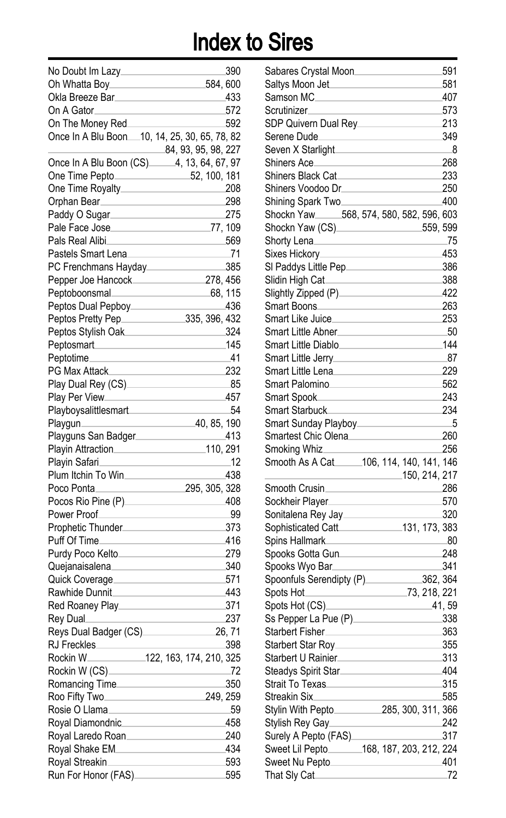| No Doubt Im Lazy.                                | 390     |
|--------------------------------------------------|---------|
| 584, 600<br>Oh Whatta Boy_                       |         |
| Okla Breeze Bar.                                 | 433     |
| On A Gator                                       | 572     |
| On The Money Red                                 | 592     |
|                                                  |         |
| 84, 93, 95, 98, 227                              |         |
| Once In A Blu Boon (CS)<br>____4, 13, 64, 67, 97 |         |
| 52, 100, 181<br>One Time Pepto                   |         |
| One Time Royalty.                                | 208     |
| Orphan Bear                                      | 298     |
| Paddy O Sugar.                                   | 275     |
| Pale Face Jose_                                  | 77, 109 |
| Pals Real Alibi                                  | 569     |
| Pastels Smart Lena                               | .71     |
| PC Frenchmans Hayday                             | 385     |
| Pepper Joe Hancock<br>278, 456                   |         |
| Peptoboonsmal                                    | 68, 115 |
|                                                  | 436     |
| Peptos Dual Pepboy.                              |         |
| Peptos Pretty Pep_<br>335, 396, 432              | 324     |
| Peptos Stylish Oak                               | 145     |
| Peptosmart                                       |         |
| Peptotime.                                       | 41      |
| PG Max Attack                                    | 232     |
| Play Dual Rey (CS)                               | .85     |
| Play Per View                                    | 457     |
| Playboysalittlesmart                             | 54      |
| 40, 85, 190<br>Playgun_                          |         |
| Playguns San Badger                              | 413     |
| 110, 291<br>Playin Attraction.                   |         |
| Playin Safari.                                   | .12     |
| Plum Itchin To Win_                              | 438     |
| Poco Ponta_<br>295, 305, 328                     |         |
| Pocos Rio Pine (P)                               | 408     |
| Power Proof_                                     | 99      |
| Prophetic Thunder.                               | 373     |
| Puff Of Time_                                    | 416     |
| Purdy Poco Kelto.                                | 279     |
| Quejanaisalena.                                  | 340     |
| Quick Coverage.                                  | 571     |
| Rawhide Dunnit.                                  | 443     |
| Red Roaney Play.                                 | 371     |
| Rey Dual                                         | 237     |
| Reys Dual Badger (CS).                           | 26, 71  |
| RJ Freckles.                                     | 398     |
| Rockin W<br>122, 163, 174, 210, 325              |         |
|                                                  | 72      |
| Romancing Time                                   | 350     |
| Roo Fifty Two<br>249, 259                        |         |
| Rosie O Llama                                    | 59      |
| Royal Diamondnic                                 | 458     |
| Royal Laredo Roan                                | 240     |
| Royal Shake EM.                                  | 434     |
| Royal Streakin                                   | 593     |
| Run For Honor (FAS)____                          | 595     |

| Sabares Crystal Moon                             | 591       |
|--------------------------------------------------|-----------|
| Saltys Moon Jet.                                 | 581       |
| Samson MC                                        | 407       |
| Scrutinizer                                      | 573       |
| SDP Quivern Dual Rey_                            | 213       |
| Serene Dude                                      | 349       |
| Seven X Starlight                                | 8         |
| Shiners Ace_                                     | 268       |
| Shiners Black Cat                                | 233       |
| Shiners Voodoo Dr.                               | 250       |
| Shining Spark Two_                               | 400       |
| Shockn Yaw 568, 574, 580, 582, 596, 603          |           |
| Shockn Yaw (CS)<br>559, 599                      |           |
| Shorty Lena⊥                                     | 75        |
| Sixes Hickory.                                   | 453       |
| Sl Paddys Little Pep⊥                            | 386       |
|                                                  | 388       |
| Slightly Zipped (P).                             | 422       |
| Smart Boons.                                     | 263       |
| Smart Like Juice.                                | 253       |
| Smart Little Abner.                              | -50       |
| Smart Little Diablo                              | 144       |
| Smart Little Jerrv.                              | -87       |
| Smart Little Lena.                               | 229       |
| Smart Palomino                                   | 562       |
| Smart Spook⊥                                     | 243       |
| Smart Starbuck                                   | 234       |
| Smart Sunday Playboy_                            | - 5       |
|                                                  |           |
|                                                  |           |
| Smartest Chic Olena.                             | 260       |
| Smoking Whiz                                     | 256       |
| Smooth As A Cat ______ 106, 114, 140, 141, 146   |           |
| 150, 214, 217                                    |           |
| Smooth Crusin                                    | 286       |
| Sockheir Player.                                 | 570       |
| Sonitalena Rey Jay_                              | 320       |
| 131, 173, 383<br>Sophisticated Catt              |           |
| Spins Hallmark⊥                                  | -80       |
| Spooks Gotta Gun                                 | 248       |
| Spooks Wyo Bar.                                  | 341       |
| 362, 364<br>Spoonfuls Serendipty (P).            |           |
| 73, 218, 221<br>Spots Hot.                       |           |
| Spots Hot (CS).                                  | 41, 59    |
| Ss Pepper La Pue (P)                             | 338       |
| Starbert Fisher                                  | 363       |
| Starbert Star Roy.                               | 355       |
| Starbert U Rainier                               | 313       |
| Steadys Spirit Star.                             | 404       |
| Strait To Texas.                                 | 315       |
| Streakin Six.                                    | 585       |
|                                                  |           |
| Stylish Rey Gay                                  | 242       |
| Surely A Pepto (FAS)_                            | 317       |
| Sweet Lil Pepto ________ 168, 187, 203, 212, 224 |           |
| Sweet Nu Pepto<br>That Sly Cat.                  | 401<br>72 |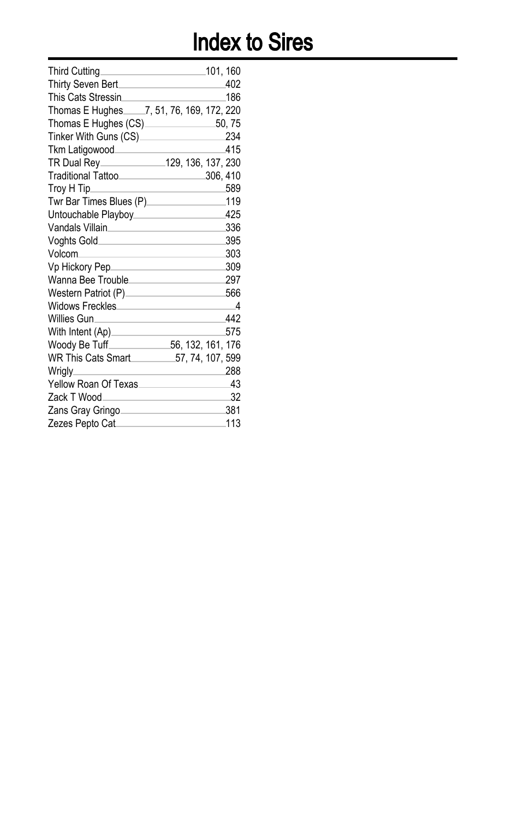| 101, 160                                      |
|-----------------------------------------------|
| 402                                           |
| 186                                           |
| Thomas E Hughes _____7, 51, 76, 169, 172, 220 |
| Thomas E Hughes (CS) 50, 75                   |
| 234                                           |
| 415                                           |
|                                               |
| Traditional Tattoo<br>.306, 410               |
| 589                                           |
| 119                                           |
| 425                                           |
| 336                                           |
| 395                                           |
| 303                                           |
| 309<br>Vp Hickory Pep______________________   |
| 297                                           |
| 566                                           |
| Widows Freckles<br>$\overline{\phantom{a}}$   |
| 442                                           |
| 575                                           |
| 56, 132, 161, 176                             |
| WR This Cats Smart 57, 74, 107, 599           |
| 288                                           |
| 43                                            |
| 32                                            |
| 381                                           |
| 113                                           |
|                                               |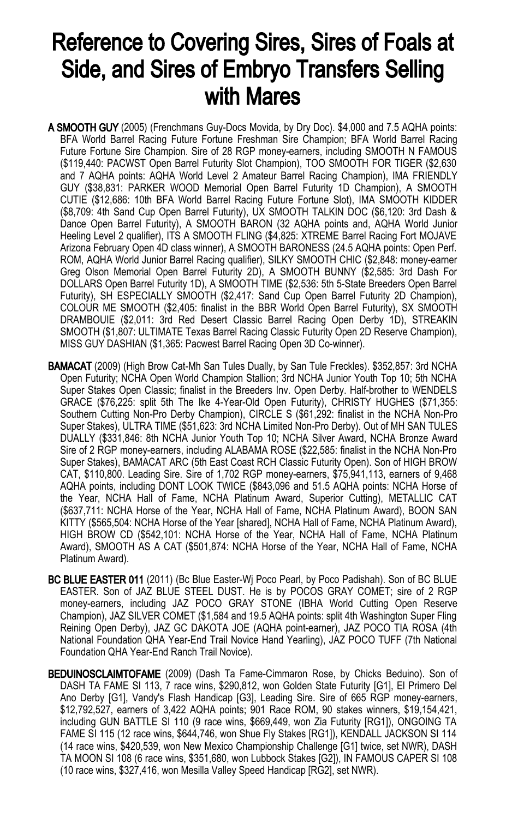### Reference to Covering Sires, Sires of Foals at Side, and Sires of Embryo Transfers Selling with Mares

- A SMOOTH GUY (2005) (Frenchmans Guy-Docs Movida, by Dry Doc). \$4,000 and 7.5 AQHA points: BFA World Barrel Racing Future Fortune Freshman Sire Champion; BFA World Barrel Racing Future Fortune Sire Champion. Sire of 28 RGP money-earners, including SMOOTH N FAMOUS (\$119,440: PACWST Open Barrel Futurity Slot Champion), TOO SMOOTH FOR TIGER (\$2,630 and 7 AQHA points: AQHA World Level 2 Amateur Barrel Racing Champion), IMA FRIENDLY GUY (\$38,831: PARKER WOOD Memorial Open Barrel Futurity 1D Champion), A SMOOTH CUTIE (\$12,686: 10th BFA World Barrel Racing Future Fortune Slot), IMA SMOOTH KIDDER (\$8,709: 4th Sand Cup Open Barrel Futurity), UX SMOOTH TALKIN DOC (\$6,120: 3rd Dash & Dance Open Barrel Futurity), A SMOOTH BARON (32 AQHA points and, AQHA World Junior Heeling Level 2 qualifier), ITS A SMOOTH FLING (\$4,825: XTREME Barrel Racing Fort MOJAVE Arizona February Open 4D class winner), A SMOOTH BARONESS (24.5 AQHA points: Open Perf. ROM, AQHA World Junior Barrel Racing qualifier), SILKY SMOOTH CHIC (\$2,848: money-earner Greg Olson Memorial Open Barrel Futurity 2D), A SMOOTH BUNNY (\$2,585: 3rd Dash For DOLLARS Open Barrel Futurity 1D), A SMOOTH TIME (\$2,536: 5th 5-State Breeders Open Barrel Futurity), SH ESPECIALLY SMOOTH (\$2,417: Sand Cup Open Barrel Futurity 2D Champion), COLOUR ME SMOOTH (\$2,405: finalist in the BBR World Open Barrel Futurity), SX SMOOTH DRAMBOUIE (\$2,011: 3rd Red Desert Classic Barrel Racing Open Derby 1D), STREAKIN SMOOTH (\$1,807: ULTIMATE Texas Barrel Racing Classic Futurity Open 2D Reserve Champion), MISS GUY DASHIAN (\$1,365: Pacwest Barrel Racing Open 3D Co-winner).
- BAMACAT (2009) (High Brow Cat-Mh San Tules Dually, by San Tule Freckles). \$352,857: 3rd NCHA Open Futurity; NCHA Open World Champion Stallion; 3rd NCHA Junior Youth Top 10; 5th NCHA Super Stakes Open Classic; finalist in the Breeders Inv. Open Derby. Half-brother to WENDELS GRACE (\$76,225: split 5th The Ike 4-Year-Old Open Futurity), CHRISTY HUGHES (\$71,355: Southern Cutting Non-Pro Derby Champion), CIRCLE S (\$61,292: finalist in the NCHA Non-Pro Super Stakes), ULTRA TIME (\$51,623: 3rd NCHA Limited Non-Pro Derby). Out of MH SAN TULES DUALLY (\$331,846: 8th NCHA Junior Youth Top 10; NCHA Silver Award, NCHA Bronze Award Sire of 2 RGP money-earners, including ALABAMA ROSE (\$22,585: finalist in the NCHA Non-Pro Super Stakes), BAMACAT ARC (5th East Coast RCH Classic Futurity Open). Son of HIGH BROW CAT, \$110,800. Leading Sire. Sire of 1,702 RGP money-earners, \$75,941,113, earners of 9,468 AQHA points, including DONT LOOK TWICE (\$843,096 and 51.5 AQHA points: NCHA Horse of the Year, NCHA Hall of Fame, NCHA Platinum Award, Superior Cutting), METALLIC CAT (\$637,711: NCHA Horse of the Year, NCHA Hall of Fame, NCHA Platinum Award), BOON SAN KITTY (\$565,504: NCHA Horse of the Year [shared], NCHA Hall of Fame, NCHA Platinum Award), HIGH BROW CD (\$542,101: NCHA Horse of the Year, NCHA Hall of Fame, NCHA Platinum Award), SMOOTH AS A CAT (\$501,874: NCHA Horse of the Year, NCHA Hall of Fame, NCHA Platinum Award).
- BC BLUE EASTER 011 (2011) (Bc Blue Easter-Wj Poco Pearl, by Poco Padishah). Son of BC BLUE EASTER. Son of JAZ BLUE STEEL DUST. He is by POCOS GRAY COMET; sire of 2 RGP money-earners, including JAZ POCO GRAY STONE (IBHA World Cutting Open Reserve Champion), JAZ SILVER COMET (\$1,584 and 19.5 AQHA points: split 4th Washington Super Fling Reining Open Derby), JAZ GC DAKOTA JOE (AQHA point-earner), JAZ POCO TIA ROSA (4th National Foundation QHA Year-End Trail Novice Hand Yearling), JAZ POCO TUFF (7th National Foundation QHA Year-End Ranch Trail Novice).
- BEDUINOSCLAIMTOFAME (2009) (Dash Ta Fame-Cimmaron Rose, by Chicks Beduino). Son of DASH TA FAME SI 113, 7 race wins, \$290,812, won Golden State Futurity [G1], El Primero Del Ano Derby [G1], Vandy's Flash Handicap [G3], Leading Sire. Sire of 665 RGP money-earners, \$12,792,527, earners of 3,422 AQHA points; 901 Race ROM, 90 stakes winners, \$19,154,421, including GUN BATTLE SI 110 (9 race wins, \$669,449, won Zia Futurity [RG1]), ONGOING TA FAME SI 115 (12 race wins, \$644,746, won Shue Fly Stakes [RG1]), KENDALL JACKSON SI 114 (14 race wins, \$420,539, won New Mexico Championship Challenge [G1] twice, set NWR), DASH TA MOON SI 108 (6 race wins, \$351,680, won Lubbock Stakes [G2]), IN FAMOUS CAPER SI 108 (10 race wins, \$327,416, won Mesilla Valley Speed Handicap [RG2], set NWR).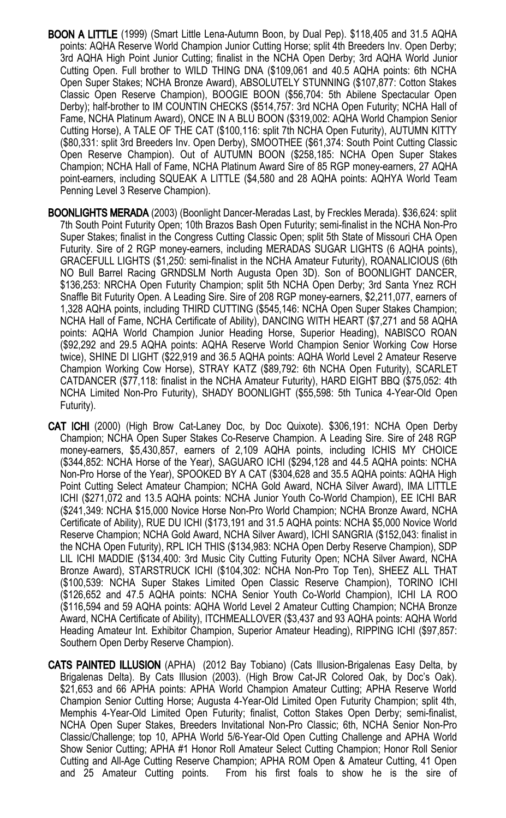- BOON A LITTLE (1999) (Smart Little Lena-Autumn Boon, by Dual Pep). \$118,405 and 31.5 AQHA points: AQHA Reserve World Champion Junior Cutting Horse; split 4th Breeders Inv. Open Derby; 3rd AQHA High Point Junior Cutting; finalist in the NCHA Open Derby; 3rd AQHA World Junior Cutting Open. Full brother to WILD THING DNA (\$109,061 and 40.5 AQHA points: 6th NCHA Open Super Stakes; NCHA Bronze Award), ABSOLUTELY STUNNING (\$107,877: Cotton Stakes Classic Open Reserve Champion), BOOGIE BOON (\$56,704: 5th Abilene Spectacular Open Derby); half-brother to IM COUNTIN CHECKS (\$514,757: 3rd NCHA Open Futurity; NCHA Hall of Fame, NCHA Platinum Award), ONCE IN A BLU BOON (\$319,002: AQHA World Champion Senior Cutting Horse), A TALE OF THE CAT (\$100,116: split 7th NCHA Open Futurity), AUTUMN KITTY (\$80,331: split 3rd Breeders Inv. Open Derby), SMOOTHEE (\$61,374: South Point Cutting Classic Open Reserve Champion). Out of AUTUMN BOON (\$258,185: NCHA Open Super Stakes Champion; NCHA Hall of Fame, NCHA Platinum Award Sire of 85 RGP money-earners, 27 AQHA point-earners, including SQUEAK A LITTLE (\$4,580 and 28 AQHA points: AQHYA World Team Penning Level 3 Reserve Champion).
- BOONLIGHTS MERADA (2003) (Boonlight Dancer-Meradas Last, by Freckles Merada). \$36,624: split 7th South Point Futurity Open; 10th Brazos Bash Open Futurity; semi-finalist in the NCHA Non-Pro Super Stakes; finalist in the Congress Cutting Classic Open; split 5th State of Missouri CHA Open Futurity. Sire of 2 RGP money-earners, including MERADAS SUGAR LIGHTS (6 AQHA points), GRACEFULL LIGHTS (\$1,250: semi-finalist in the NCHA Amateur Futurity), ROANALICIOUS (6th NO Bull Barrel Racing GRNDSLM North Augusta Open 3D). Son of BOONLIGHT DANCER, \$136,253: NRCHA Open Futurity Champion; split 5th NCHA Open Derby; 3rd Santa Ynez RCH Snaffle Bit Futurity Open. A Leading Sire. Sire of 208 RGP money-earners, \$2,211,077, earners of 1,328 AQHA points, including THIRD CUTTING (\$545,146: NCHA Open Super Stakes Champion; NCHA Hall of Fame, NCHA Certificate of Ability), DANCING WITH HEART (\$7,271 and 58 AQHA points: AQHA World Champion Junior Heading Horse, Superior Heading), NABISCO ROAN (\$92,292 and 29.5 AQHA points: AQHA Reserve World Champion Senior Working Cow Horse twice), SHINE DI LIGHT (\$22,919 and 36.5 AQHA points: AQHA World Level 2 Amateur Reserve Champion Working Cow Horse), STRAY KATZ (\$89,792: 6th NCHA Open Futurity), SCARLET CATDANCER (\$77,118: finalist in the NCHA Amateur Futurity), HARD EIGHT BBQ (\$75,052: 4th NCHA Limited Non-Pro Futurity), SHADY BOONLIGHT (\$55,598: 5th Tunica 4-Year-Old Open Futurity).
- CAT ICHI (2000) (High Brow Cat-Laney Doc, by Doc Quixote). \$306,191: NCHA Open Derby Champion; NCHA Open Super Stakes Co-Reserve Champion. A Leading Sire. Sire of 248 RGP money-earners, \$5,430,857, earners of 2,109 AQHA points, including ICHIS MY CHOICE (\$344,852: NCHA Horse of the Year), SAGUARO ICHI (\$294,128 and 44.5 AQHA points: NCHA Non-Pro Horse of the Year), SPOOKED BY A CAT (\$304,628 and 35.5 AQHA points: AQHA High Point Cutting Select Amateur Champion; NCHA Gold Award, NCHA Silver Award), IMA LITTLE ICHI (\$271,072 and 13.5 AQHA points: NCHA Junior Youth Co-World Champion), EE ICHI BAR (\$241,349: NCHA \$15,000 Novice Horse Non-Pro World Champion; NCHA Bronze Award, NCHA Certificate of Ability), RUE DU ICHI (\$173,191 and 31.5 AQHA points: NCHA \$5,000 Novice World Reserve Champion; NCHA Gold Award, NCHA Silver Award), ICHI SANGRIA (\$152,043: finalist in the NCHA Open Futurity), RPL ICH THIS (\$134,983: NCHA Open Derby Reserve Champion), SDP LIL ICHI MADDIE (\$134,400: 3rd Music City Cutting Futurity Open; NCHA Silver Award, NCHA Bronze Award), STARSTRUCK ICHI (\$104,302: NCHA Non-Pro Top Ten), SHEEZ ALL THAT (\$100,539: NCHA Super Stakes Limited Open Classic Reserve Champion), TORINO ICHI (\$126,652 and 47.5 AQHA points: NCHA Senior Youth Co-World Champion), ICHI LA ROO (\$116,594 and 59 AQHA points: AQHA World Level 2 Amateur Cutting Champion; NCHA Bronze Award, NCHA Certificate of Ability), ITCHMEALLOVER (\$3,437 and 93 AQHA points: AQHA World Heading Amateur Int. Exhibitor Champion, Superior Amateur Heading), RIPPING ICHI (\$97,857: Southern Open Derby Reserve Champion).
- CATS PAINTED ILLUSION (APHA) (2012 Bay Tobiano) (Cats Illusion-Brigalenas Easy Delta, by Brigalenas Delta). By Cats Illusion (2003). (High Brow Cat-JR Colored Oak, by Doc's Oak). \$21,653 and 66 APHA points: APHA World Champion Amateur Cutting; APHA Reserve World Champion Senior Cutting Horse; Augusta 4-Year-Old Limited Open Futurity Champion; split 4th, Memphis 4-Year-Old Limited Open Futurity; finalist, Cotton Stakes Open Derby; semi-finalist, NCHA Open Super Stakes, Breeders Invitational Non-Pro Classic; 6th, NCHA Senior Non-Pro Classic/Challenge; top 10, APHA World 5/6-Year-Old Open Cutting Challenge and APHA World Show Senior Cutting; APHA #1 Honor Roll Amateur Select Cutting Champion; Honor Roll Senior Cutting and All-Age Cutting Reserve Champion; APHA ROM Open & Amateur Cutting, 41 Open From his first foals to show he is the sire of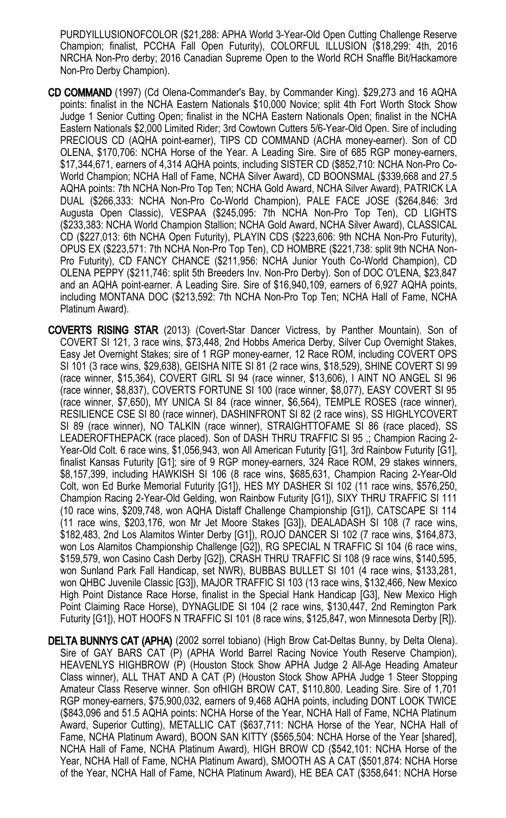PURDYILLUSIONOFCOLOR (\$21,288: APHA World 3-Year-Old Open Cutting Challenge Reserve Champion; finalist, PCCHA Fall Open Futurity), COLORFUL ILLUSION (\$18,299: 4th, 2016 NRCHA Non-Pro derby; 2016 Canadian Supreme Open to the World RCH Snaffle Bit/Hackamore Non-Pro Derby Champion).

- CD COMMAND (1997) (Cd Olena-Commander's Bay, by Commander King). \$29,273 and 16 AQHA points: finalist in the NCHA Eastern Nationals \$10,000 Novice; split 4th Fort Worth Stock Show Judge 1 Senior Cutting Open; finalist in the NCHA Eastern Nationals Open; finalist in the NCHA Eastern Nationals \$2,000 Limited Rider; 3rd Cowtown Cutters 5/6-Year-Old Open. Sire of including PRECIOUS CD (AQHA point-earner), TIPS CD COMMAND (ACHA money-earner). Son of CD OLENA, \$170,706: NCHA Horse of the Year. A Leading Sire. Sire of 685 RGP money-earners, \$17,344,671, earners of 4,314 AQHA points, including SISTER CD (\$852,710: NCHA Non-Pro Co-World Champion; NCHA Hall of Fame, NCHA Silver Award), CD BOONSMAL (\$339,668 and 27.5 AQHA points: 7th NCHA Non-Pro Top Ten; NCHA Gold Award, NCHA Silver Award), PATRICK LA DUAL (\$266,333: NCHA Non-Pro Co-World Champion), PALE FACE JOSE (\$264,846: 3rd Augusta Open Classic), VESPAA (\$245,095: 7th NCHA Non-Pro Top Ten), CD LIGHTS (\$233,383: NCHA World Champion Stallion; NCHA Gold Award, NCHA Silver Award), CLASSICAL CD (\$227,013: 6th NCHA Open Futurity), PLAYIN CDS (\$223,606: 9th NCHA Non-Pro Futurity), OPUS EX (\$223,571: 7th NCHA Non-Pro Top Ten), CD HOMBRE (\$221,738: split 9th NCHA Non-Pro Futurity), CD FANCY CHANCE (\$211,956: NCHA Junior Youth Co-World Champion), CD OLENA PEPPY (\$211,746: split 5th Breeders Inv. Non-Pro Derby). Son of DOC O'LENA, \$23,847 and an AQHA point-earner. A Leading Sire. Sire of \$16,940,109, earners of 6,927 AQHA points, including MONTANA DOC (\$213,592: 7th NCHA Non-Pro Top Ten; NCHA Hall of Fame, NCHA Platinum Award).
- COVERTS RISING STAR (2013) (Covert-Star Dancer Victress, by Panther Mountain). Son of COVERT SI 121, 3 race wins, \$73,448, 2nd Hobbs America Derby, Silver Cup Overnight Stakes, Easy Jet Overnight Stakes; sire of 1 RGP money-earner, 12 Race ROM, including COVERT OPS SI 101 (3 race wins, \$29,638), GEISHA NITE SI 81 (2 race wins, \$18,529), SHINE COVERT SI 99 (race winner, \$15,364), COVERT GIRL SI 94 (race winner, \$13,606), I AINT NO ANGEL SI 96 (race winner, \$8,837), COVERTS FORTUNE SI 100 (race winner, \$8,077), EASY COVERT SI 95 (race winner, \$7,650), MY UNICA SI 84 (race winner, \$6,564), TEMPLE ROSES (race winner), RESILIENCE CSE SI 80 (race winner), DASHINFRONT SI 82 (2 race wins), SS HIGHLYCOVERT SI 89 (race winner), NO TALKIN (race winner), STRAIGHTTOFAME SI 86 (race placed), SS LEADEROFTHEPACK (race placed). Son of DASH THRU TRAFFIC SI 95 ,; Champion Racing 2- Year-Old Colt. 6 race wins, \$1,056,943, won All American Futurity [G1], 3rd Rainbow Futurity [G1], finalist Kansas Futurity [G1]; sire of 9 RGP money-earners, 324 Race ROM, 29 stakes winners, \$8,157,399, including HAWKISH SI 106 (8 race wins, \$685,631, Champion Racing 2-Year-Old Colt, won Ed Burke Memorial Futurity [G1]), HES MY DASHER SI 102 (11 race wins, \$576,250, Champion Racing 2-Year-Old Gelding, won Rainbow Futurity [G1]), SIXY THRU TRAFFIC SI 111 (10 race wins, \$209,748, won AQHA Distaff Challenge Championship [G1]), CATSCAPE SI 114 (11 race wins, \$203,176, won Mr Jet Moore Stakes [G3]), DEALADASH SI 108 (7 race wins, \$182,483, 2nd Los Alamitos Winter Derby [G1]), ROJO DANCER SI 102 (7 race wins, \$164,873, won Los Alamitos Championship Challenge [G2]), RG SPECIAL N TRAFFIC SI 104 (6 race wins, \$159,579, won Casino Cash Derby [G2]), CRASH THRU TRAFFIC SI 108 (9 race wins, \$140,595, won Sunland Park Fall Handicap, set NWR), BUBBAS BULLET SI 101 (4 race wins, \$133,281, won QHBC Juvenile Classic [G3]), MAJOR TRAFFIC SI 103 (13 race wins, \$132,466, New Mexico High Point Distance Race Horse, finalist in the Special Hank Handicap [G3], New Mexico High Point Claiming Race Horse), DYNAGLIDE SI 104 (2 race wins, \$130,447, 2nd Remington Park Futurity [G1]), HOT HOOFS N TRAFFIC SI 101 (8 race wins, \$125,847, won Minnesota Derby [R]).
- DELTA BUNNYS CAT (APHA) (2002 sorrel tobiano) (High Brow Cat-Deltas Bunny, by Delta Olena). Sire of GAY BARS CAT (P) (APHA World Barrel Racing Novice Youth Reserve Champion), HEAVENLYS HIGHBROW (P) (Houston Stock Show APHA Judge 2 All-Age Heading Amateur Class winner), ALL THAT AND A CAT (P) (Houston Stock Show APHA Judge 1 Steer Stopping Amateur Class Reserve winner. Son ofHIGH BROW CAT, \$110,800. Leading Sire. Sire of 1,701 RGP money-earners, \$75,900,032, earners of 9,468 AQHA points, including DONT LOOK TWICE (\$843,096 and 51.5 AQHA points: NCHA Horse of the Year, NCHA Hall of Fame, NCHA Platinum Award, Superior Cutting), METALLIC CAT (\$637,711: NCHA Horse of the Year, NCHA Hall of Fame, NCHA Platinum Award), BOON SAN KITTY (\$565,504: NCHA Horse of the Year [shared], NCHA Hall of Fame, NCHA Platinum Award), HIGH BROW CD (\$542,101: NCHA Horse of the Year, NCHA Hall of Fame, NCHA Platinum Award), SMOOTH AS A CAT (\$501,874: NCHA Horse of the Year, NCHA Hall of Fame, NCHA Platinum Award), HE BEA CAT (\$358,641: NCHA Horse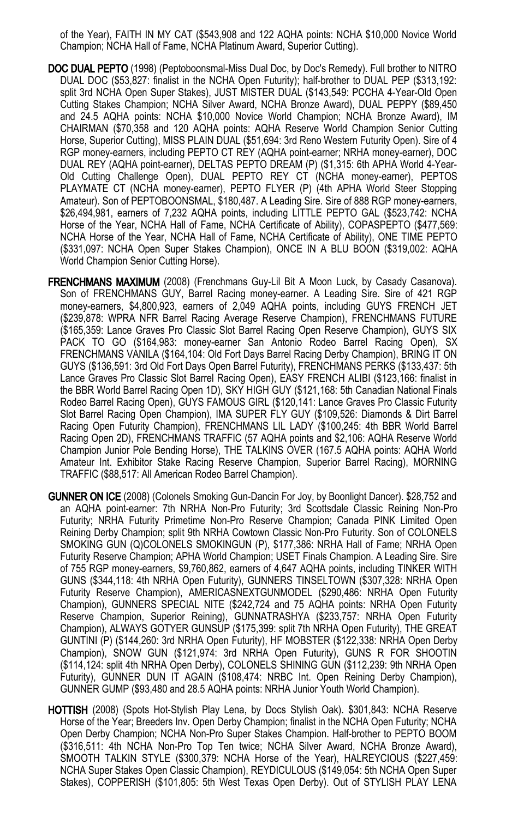of the Year), FAITH IN MY CAT (\$543,908 and 122 AQHA points: NCHA \$10,000 Novice World Champion; NCHA Hall of Fame, NCHA Platinum Award, Superior Cutting).

- DOC DUAL PEPTO (1998) (Peptoboonsmal-Miss Dual Doc, by Doc's Remedy). Full brother to NITRO DUAL DOC (\$53,827: finalist in the NCHA Open Futurity); half-brother to DUAL PEP (\$313,192: split 3rd NCHA Open Super Stakes), JUST MISTER DUAL (\$143,549: PCCHA 4-Year-Old Open Cutting Stakes Champion; NCHA Silver Award, NCHA Bronze Award), DUAL PEPPY (\$89,450 and 24.5 AQHA points: NCHA \$10,000 Novice World Champion; NCHA Bronze Award), IM CHAIRMAN (\$70,358 and 120 AQHA points: AQHA Reserve World Champion Senior Cutting Horse, Superior Cutting), MISS PLAIN DUAL (\$51,694: 3rd Reno Western Futurity Open). Sire of 4 RGP money-earners, including PEPTO CT REY (AQHA point-earner; NRHA money-earner), DOC DUAL REY (AQHA point-earner), DELTAS PEPTO DREAM (P) (\$1,315: 6th APHA World 4-Year-Old Cutting Challenge Open), DUAL PEPTO REY CT (NCHA money-earner), PEPTOS PLAYMATE CT (NCHA money-earner), PEPTO FLYER (P) (4th APHA World Steer Stopping Amateur). Son of PEPTOBOONSMAL, \$180,487. A Leading Sire. Sire of 888 RGP money-earners, \$26,494,981, earners of 7,232 AQHA points, including LITTLE PEPTO GAL (\$523,742: NCHA Horse of the Year, NCHA Hall of Fame, NCHA Certificate of Ability), COPASPEPTO (\$477,569: NCHA Horse of the Year, NCHA Hall of Fame, NCHA Certificate of Ability), ONE TIME PEPTO (\$331,097: NCHA Open Super Stakes Champion), ONCE IN A BLU BOON (\$319,002: AQHA World Champion Senior Cutting Horse).
- FRENCHMANS MAXIMUM (2008) (Frenchmans Guy-Lil Bit A Moon Luck, by Casady Casanova). Son of FRENCHMANS GUY, Barrel Racing money-earner. A Leading Sire. Sire of 421 RGP money-earners, \$4,800,923, earners of 2,049 AQHA points, including GUYS FRENCH JET (\$239,878: WPRA NFR Barrel Racing Average Reserve Champion), FRENCHMANS FUTURE (\$165,359: Lance Graves Pro Classic Slot Barrel Racing Open Reserve Champion), GUYS SIX PACK TO GO (\$164,983: money-earner San Antonio Rodeo Barrel Racing Open), SX FRENCHMANS VANILA (\$164,104: Old Fort Days Barrel Racing Derby Champion), BRING IT ON GUYS (\$136,591: 3rd Old Fort Days Open Barrel Futurity), FRENCHMANS PERKS (\$133,437: 5th Lance Graves Pro Classic Slot Barrel Racing Open), EASY FRENCH ALIBI (\$123,166: finalist in the BBR World Barrel Racing Open 1D), SKY HIGH GUY (\$121,168: 5th Canadian National Finals Rodeo Barrel Racing Open), GUYS FAMOUS GIRL (\$120,141: Lance Graves Pro Classic Futurity Slot Barrel Racing Open Champion), IMA SUPER FLY GUY (\$109,526: Diamonds & Dirt Barrel Racing Open Futurity Champion), FRENCHMANS LIL LADY (\$100,245: 4th BBR World Barrel Racing Open 2D), FRENCHMANS TRAFFIC (57 AQHA points and \$2,106: AQHA Reserve World Champion Junior Pole Bending Horse), THE TALKINS OVER (167.5 AQHA points: AQHA World Amateur Int. Exhibitor Stake Racing Reserve Champion, Superior Barrel Racing), MORNING TRAFFIC (\$88,517: All American Rodeo Barrel Champion).
- GUNNER ON ICE (2008) (Colonels Smoking Gun-Dancin For Joy, by Boonlight Dancer). \$28,752 and an AQHA point-earner: 7th NRHA Non-Pro Futurity; 3rd Scottsdale Classic Reining Non-Pro Futurity; NRHA Futurity Primetime Non-Pro Reserve Champion; Canada PINK Limited Open Reining Derby Champion; split 9th NRHA Cowtown Classic Non-Pro Futurity. Son of COLONELS SMOKING GUN (Q)COLONELS SMOKINGUN (P), \$177,386: NRHA Hall of Fame; NRHA Open Futurity Reserve Champion; APHA World Champion; USET Finals Champion. A Leading Sire. Sire of 755 RGP money-earners, \$9,760,862, earners of 4,647 AQHA points, including TINKER WITH GUNS (\$344,118: 4th NRHA Open Futurity), GUNNERS TINSELTOWN (\$307,328: NRHA Open Futurity Reserve Champion), AMERICASNEXTGUNMODEL (\$290,486: NRHA Open Futurity Champion), GUNNERS SPECIAL NITE (\$242,724 and 75 AQHA points: NRHA Open Futurity Reserve Champion, Superior Reining), GUNNATRASHYA (\$233,757: NRHA Open Futurity Champion), ALWAYS GOTYER GUNSUP (\$175,399: split 7th NRHA Open Futurity), THE GREAT GUNTINI (P) (\$144,260: 3rd NRHA Open Futurity), HF MOBSTER (\$122,338: NRHA Open Derby Champion), SNOW GUN (\$121,974: 3rd NRHA Open Futurity), GUNS R FOR SHOOTIN (\$114,124: split 4th NRHA Open Derby), COLONELS SHINING GUN (\$112,239: 9th NRHA Open Futurity), GUNNER DUN IT AGAIN (\$108,474: NRBC Int. Open Reining Derby Champion), GUNNER GUMP (\$93,480 and 28.5 AQHA points: NRHA Junior Youth World Champion).
- HOTTISH (2008) (Spots Hot-Stylish Play Lena, by Docs Stylish Oak). \$301,843: NCHA Reserve Horse of the Year; Breeders Inv. Open Derby Champion; finalist in the NCHA Open Futurity; NCHA Open Derby Champion; NCHA Non-Pro Super Stakes Champion. Half-brother to PEPTO BOOM (\$316,511: 4th NCHA Non-Pro Top Ten twice; NCHA Silver Award, NCHA Bronze Award), SMOOTH TALKIN STYLE (\$300,379: NCHA Horse of the Year), HALREYCIOUS (\$227,459: NCHA Super Stakes Open Classic Champion), REYDICULOUS (\$149,054: 5th NCHA Open Super Stakes), COPPERISH (\$101,805: 5th West Texas Open Derby). Out of STYLISH PLAY LENA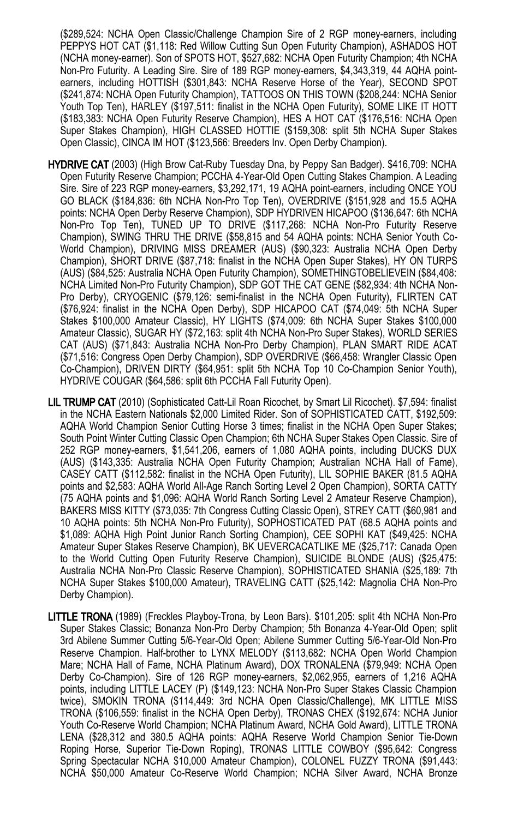(\$289,524: NCHA Open Classic/Challenge Champion Sire of 2 RGP money-earners, including PEPPYS HOT CAT (\$1,118: Red Willow Cutting Sun Open Futurity Champion), ASHADOS HOT (NCHA money-earner). Son of SPOTS HOT, \$527,682: NCHA Open Futurity Champion; 4th NCHA Non-Pro Futurity. A Leading Sire. Sire of 189 RGP money-earners, \$4,343,319, 44 AQHA pointearners, including HOTTISH (\$301,843: NCHA Reserve Horse of the Year), SECOND SPOT (\$241,874: NCHA Open Futurity Champion), TATTOOS ON THIS TOWN (\$208,244: NCHA Senior Youth Top Ten), HARLEY (\$197,511: finalist in the NCHA Open Futurity), SOME LIKE IT HOTT (\$183,383: NCHA Open Futurity Reserve Champion), HES A HOT CAT (\$176,516: NCHA Open Super Stakes Champion), HIGH CLASSED HOTTIE (\$159,308: split 5th NCHA Super Stakes Open Classic), CINCA IM HOT (\$123,566: Breeders Inv. Open Derby Champion).

- HYDRIVE CAT (2003) (High Brow Cat-Ruby Tuesday Dna, by Peppy San Badger). \$416,709: NCHA Open Futurity Reserve Champion; PCCHA 4-Year-Old Open Cutting Stakes Champion. A Leading Sire. Sire of 223 RGP money-earners, \$3,292,171, 19 AQHA point-earners, including ONCE YOU GO BLACK (\$184,836: 6th NCHA Non-Pro Top Ten), OVERDRIVE (\$151,928 and 15.5 AQHA points: NCHA Open Derby Reserve Champion), SDP HYDRIVEN HICAPOO (\$136,647: 6th NCHA Non-Pro Top Ten), TUNED UP TO DRIVE (\$117,268: NCHA Non-Pro Futurity Reserve Champion), SWING THRU THE DRIVE (\$58,815 and 54 AQHA points: NCHA Senior Youth Co-World Champion), DRIVING MISS DREAMER (AUS) (\$90,323: Australia NCHA Open Derby Champion), SHORT DRIVE (\$87,718: finalist in the NCHA Open Super Stakes), HY ON TURPS (AUS) (\$84,525: Australia NCHA Open Futurity Champion), SOMETHINGTOBELIEVEIN (\$84,408: NCHA Limited Non-Pro Futurity Champion), SDP GOT THE CAT GENE (\$82,934: 4th NCHA Non-Pro Derby), CRYOGENIC (\$79,126: semi-finalist in the NCHA Open Futurity), FLIRTEN CAT (\$76,924: finalist in the NCHA Open Derby), SDP HICAPOO CAT (\$74,049: 5th NCHA Super Stakes \$100,000 Amateur Classic), HY LIGHTS (\$74,009: 6th NCHA Super Stakes \$100,000 Amateur Classic), SUGAR HY (\$72,163: split 4th NCHA Non-Pro Super Stakes), WORLD SERIES CAT (AUS) (\$71,843: Australia NCHA Non-Pro Derby Champion), PLAN SMART RIDE ACAT (\$71,516: Congress Open Derby Champion), SDP OVERDRIVE (\$66,458: Wrangler Classic Open Co-Champion), DRIVEN DIRTY (\$64,951: split 5th NCHA Top 10 Co-Champion Senior Youth), HYDRIVE COUGAR (\$64,586: split 6th PCCHA Fall Futurity Open).
- LIL TRUMP CAT (2010) (Sophisticated Catt-Lil Roan Ricochet, by Smart Lil Ricochet). \$7,594: finalist in the NCHA Eastern Nationals \$2,000 Limited Rider. Son of SOPHISTICATED CATT, \$192,509: AQHA World Champion Senior Cutting Horse 3 times; finalist in the NCHA Open Super Stakes; South Point Winter Cutting Classic Open Champion; 6th NCHA Super Stakes Open Classic. Sire of 252 RGP money-earners, \$1,541,206, earners of 1,080 AQHA points, including DUCKS DUX (AUS) (\$143,335: Australia NCHA Open Futurity Champion; Australian NCHA Hall of Fame), CASEY CATT (\$112,582: finalist in the NCHA Open Futurity), LIL SOPHIE BAKER (81.5 AQHA points and \$2,583: AQHA World All-Age Ranch Sorting Level 2 Open Champion), SORTA CATTY (75 AQHA points and \$1,096: AQHA World Ranch Sorting Level 2 Amateur Reserve Champion), BAKERS MISS KITTY (\$73,035: 7th Congress Cutting Classic Open), STREY CATT (\$60,981 and 10 AQHA points: 5th NCHA Non-Pro Futurity), SOPHOSTICATED PAT (68.5 AQHA points and \$1,089: AQHA High Point Junior Ranch Sorting Champion), CEE SOPHI KAT (\$49,425: NCHA Amateur Super Stakes Reserve Champion), BK UEVERCACATLIKE ME (\$25,717: Canada Open to the World Cutting Open Futurity Reserve Champion), SUICIDE BLONDE (AUS) (\$25,475: Australia NCHA Non-Pro Classic Reserve Champion), SOPHISTICATED SHANIA (\$25,189: 7th NCHA Super Stakes \$100,000 Amateur), TRAVELING CATT (\$25,142: Magnolia CHA Non-Pro Derby Champion).
- LITTLE TRONA (1989) (Freckles Playboy-Trona, by Leon Bars). \$101,205: split 4th NCHA Non-Pro Super Stakes Classic; Bonanza Non-Pro Derby Champion; 5th Bonanza 4-Year-Old Open; split 3rd Abilene Summer Cutting 5/6-Year-Old Open; Abilene Summer Cutting 5/6-Year-Old Non-Pro Reserve Champion. Half-brother to LYNX MELODY (\$113,682: NCHA Open World Champion Mare; NCHA Hall of Fame, NCHA Platinum Award), DOX TRONALENA (\$79,949: NCHA Open Derby Co-Champion). Sire of 126 RGP money-earners, \$2,062,955, earners of 1,216 AQHA points, including LITTLE LACEY (P) (\$149,123: NCHA Non-Pro Super Stakes Classic Champion twice), SMOKIN TRONA (\$114,449: 3rd NCHA Open Classic/Challenge), MK LITTLE MISS TRONA (\$106,559: finalist in the NCHA Open Derby), TRONAS CHEX (\$192,674: NCHA Junior Youth Co-Reserve World Champion; NCHA Platinum Award, NCHA Gold Award), LITTLE TRONA LENA (\$28,312 and 380.5 AQHA points: AQHA Reserve World Champion Senior Tie-Down Roping Horse, Superior Tie-Down Roping), TRONAS LITTLE COWBOY (\$95,642: Congress Spring Spectacular NCHA \$10,000 Amateur Champion), COLONEL FUZZY TRONA (\$91,443: NCHA \$50,000 Amateur Co-Reserve World Champion; NCHA Silver Award, NCHA Bronze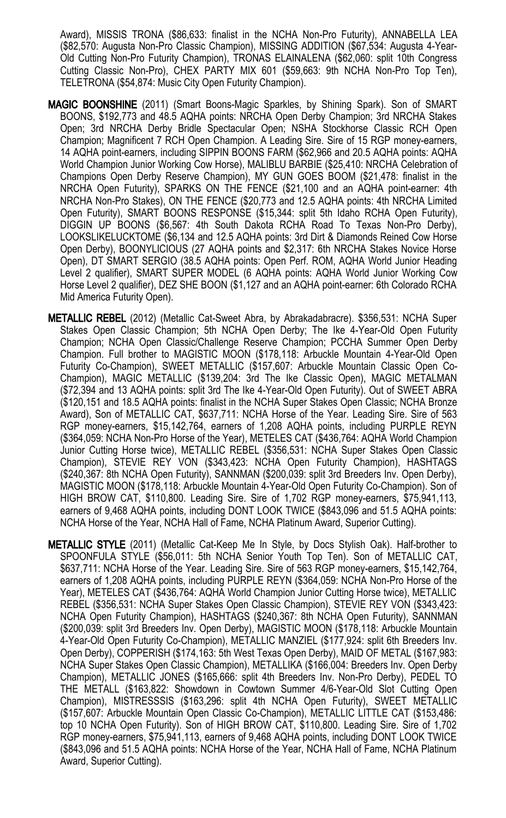Award), MISSIS TRONA (\$86,633: finalist in the NCHA Non-Pro Futurity), ANNABELLA LEA (\$82,570: Augusta Non-Pro Classic Champion), MISSING ADDITION (\$67,534: Augusta 4-Year-Old Cutting Non-Pro Futurity Champion), TRONAS ELAINALENA (\$62,060: split 10th Congress Cutting Classic Non-Pro), CHEX PARTY MIX 601 (\$59,663: 9th NCHA Non-Pro Top Ten), TELETRONA (\$54,874: Music City Open Futurity Champion).

- MAGIC BOONSHINE (2011) (Smart Boons-Magic Sparkles, by Shining Spark). Son of SMART BOONS, \$192,773 and 48.5 AQHA points: NRCHA Open Derby Champion; 3rd NRCHA Stakes Open; 3rd NRCHA Derby Bridle Spectacular Open; NSHA Stockhorse Classic RCH Open Champion; Magnificent 7 RCH Open Champion. A Leading Sire. Sire of 15 RGP money-earners, 14 AQHA point-earners, including SIPPIN BOONS FARM (\$62,966 and 20.5 AQHA points: AQHA World Champion Junior Working Cow Horse), MALIBLU BARBIE (\$25,410: NRCHA Celebration of Champions Open Derby Reserve Champion), MY GUN GOES BOOM (\$21,478: finalist in the NRCHA Open Futurity), SPARKS ON THE FENCE (\$21,100 and an AQHA point-earner: 4th NRCHA Non-Pro Stakes), ON THE FENCE (\$20,773 and 12.5 AQHA points: 4th NRCHA Limited Open Futurity), SMART BOONS RESPONSE (\$15,344: split 5th Idaho RCHA Open Futurity), DIGGIN UP BOONS (\$6,567: 4th South Dakota RCHA Road To Texas Non-Pro Derby), LOOKSLIKELUCKTOME (\$6,134 and 12.5 AQHA points: 3rd Dirt & Diamonds Reined Cow Horse Open Derby), BOONYLICIOUS (27 AQHA points and \$2,317: 6th NRCHA Stakes Novice Horse Open), DT SMART SERGIO (38.5 AQHA points: Open Perf. ROM, AQHA World Junior Heading Level 2 qualifier), SMART SUPER MODEL (6 AQHA points: AQHA World Junior Working Cow Horse Level 2 qualifier), DEZ SHE BOON (\$1,127 and an AQHA point-earner: 6th Colorado RCHA Mid America Futurity Open).
- METALLIC REBEL (2012) (Metallic Cat-Sweet Abra, by Abrakadabracre). \$356,531: NCHA Super Stakes Open Classic Champion; 5th NCHA Open Derby; The Ike 4-Year-Old Open Futurity Champion; NCHA Open Classic/Challenge Reserve Champion; PCCHA Summer Open Derby Champion. Full brother to MAGISTIC MOON (\$178,118: Arbuckle Mountain 4-Year-Old Open Futurity Co-Champion), SWEET METALLIC (\$157,607: Arbuckle Mountain Classic Open Co-Champion), MAGIC METALLIC (\$139,204: 3rd The Ike Classic Open), MAGIC METALMAN (\$72,394 and 13 AQHA points: split 3rd The Ike 4-Year-Old Open Futurity). Out of SWEET ABRA (\$120,151 and 18.5 AQHA points: finalist in the NCHA Super Stakes Open Classic; NCHA Bronze Award), Son of METALLIC CAT, \$637,711: NCHA Horse of the Year. Leading Sire. Sire of 563 RGP money-earners, \$15,142,764, earners of 1,208 AQHA points, including PURPLE REYN (\$364,059: NCHA Non-Pro Horse of the Year), METELES CAT (\$436,764: AQHA World Champion Junior Cutting Horse twice), METALLIC REBEL (\$356,531: NCHA Super Stakes Open Classic Champion), STEVIE REY VON (\$343,423: NCHA Open Futurity Champion), HASHTAGS (\$240,367: 8th NCHA Open Futurity), SANNMAN (\$200,039: split 3rd Breeders Inv. Open Derby), MAGISTIC MOON (\$178,118: Arbuckle Mountain 4-Year-Old Open Futurity Co-Champion). Son of HIGH BROW CAT, \$110,800. Leading Sire. Sire of 1,702 RGP money-earners, \$75,941,113, earners of 9,468 AQHA points, including DONT LOOK TWICE (\$843,096 and 51.5 AQHA points: NCHA Horse of the Year, NCHA Hall of Fame, NCHA Platinum Award, Superior Cutting).
- METALLIC STYLE (2011) (Metallic Cat-Keep Me In Style, by Docs Stylish Oak). Half-brother to SPOONFULA STYLE (\$56,011: 5th NCHA Senior Youth Top Ten). Son of METALLIC CAT, \$637,711: NCHA Horse of the Year. Leading Sire. Sire of 563 RGP money-earners, \$15,142,764, earners of 1,208 AQHA points, including PURPLE REYN (\$364,059: NCHA Non-Pro Horse of the Year), METELES CAT (\$436,764: AQHA World Champion Junior Cutting Horse twice), METALLIC REBEL (\$356,531: NCHA Super Stakes Open Classic Champion), STEVIE REY VON (\$343,423: NCHA Open Futurity Champion), HASHTAGS (\$240,367: 8th NCHA Open Futurity), SANNMAN (\$200,039: split 3rd Breeders Inv. Open Derby), MAGISTIC MOON (\$178,118: Arbuckle Mountain 4-Year-Old Open Futurity Co-Champion), METALLIC MANZIEL (\$177,924: split 6th Breeders Inv. Open Derby), COPPERISH (\$174,163: 5th West Texas Open Derby), MAID OF METAL (\$167,983: NCHA Super Stakes Open Classic Champion), METALLIKA (\$166,004: Breeders Inv. Open Derby Champion), METALLIC JONES (\$165,666: split 4th Breeders Inv. Non-Pro Derby), PEDEL TO THE METALL (\$163,822: Showdown in Cowtown Summer 4/6-Year-Old Slot Cutting Open Champion), MISTRESSSIS (\$163,296: split 4th NCHA Open Futurity), SWEET METALLIC (\$157,607: Arbuckle Mountain Open Classic Co-Champion), METALLIC LITTLE CAT (\$153,486: top 10 NCHA Open Futurity). Son of HIGH BROW CAT, \$110,800. Leading Sire. Sire of 1,702 RGP money-earners, \$75,941,113, earners of 9,468 AQHA points, including DONT LOOK TWICE (\$843,096 and 51.5 AQHA points: NCHA Horse of the Year, NCHA Hall of Fame, NCHA Platinum Award, Superior Cutting).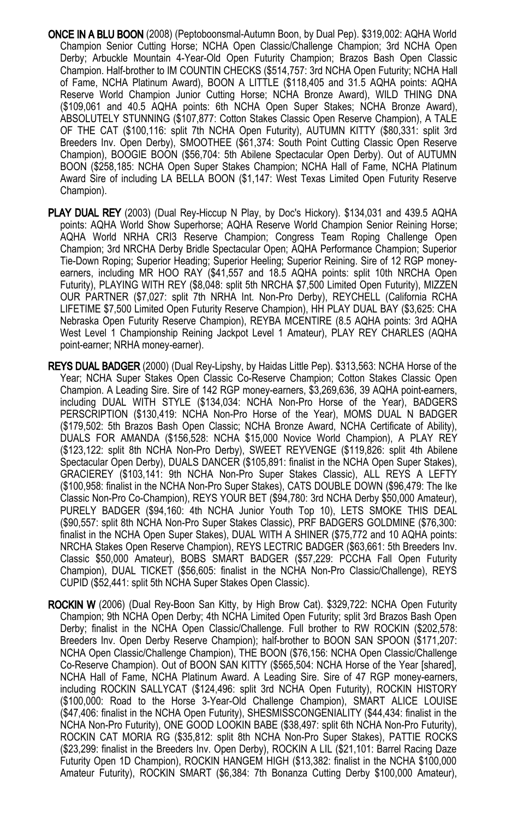- ONCE IN A BLU BOON (2008) (Peptoboonsmal-Autumn Boon, by Dual Pep). \$319,002: AQHA World Champion Senior Cutting Horse; NCHA Open Classic/Challenge Champion; 3rd NCHA Open Derby; Arbuckle Mountain 4-Year-Old Open Futurity Champion; Brazos Bash Open Classic Champion. Half-brother to IM COUNTIN CHECKS (\$514,757: 3rd NCHA Open Futurity; NCHA Hall of Fame, NCHA Platinum Award), BOON A LITTLE (\$118,405 and 31.5 AQHA points: AQHA Reserve World Champion Junior Cutting Horse; NCHA Bronze Award), WILD THING DNA (\$109,061 and 40.5 AQHA points: 6th NCHA Open Super Stakes; NCHA Bronze Award), ABSOLUTELY STUNNING (\$107,877: Cotton Stakes Classic Open Reserve Champion), A TALE OF THE CAT (\$100,116: split 7th NCHA Open Futurity), AUTUMN KITTY (\$80,331: split 3rd Breeders Inv. Open Derby), SMOOTHEE (\$61,374: South Point Cutting Classic Open Reserve Champion), BOOGIE BOON (\$56,704: 5th Abilene Spectacular Open Derby). Out of AUTUMN BOON (\$258,185: NCHA Open Super Stakes Champion; NCHA Hall of Fame, NCHA Platinum Award Sire of including LA BELLA BOON (\$1,147: West Texas Limited Open Futurity Reserve Champion).
- PLAY DUAL REY (2003) (Dual Rey-Hiccup N Play, by Doc's Hickory). \$134,031 and 439.5 AQHA points: AQHA World Show Superhorse; AQHA Reserve World Champion Senior Reining Horse; AQHA World NRHA CRI3 Reserve Champion; Congress Team Roping Challenge Open Champion; 3rd NRCHA Derby Bridle Spectacular Open; AQHA Performance Champion; Superior Tie-Down Roping; Superior Heading; Superior Heeling; Superior Reining. Sire of 12 RGP moneyearners, including MR HOO RAY (\$41,557 and 18.5 AQHA points: split 10th NRCHA Open Futurity), PLAYING WITH REY (\$8,048: split 5th NRCHA \$7,500 Limited Open Futurity), MIZZEN OUR PARTNER (\$7,027: split 7th NRHA Int. Non-Pro Derby), REYCHELL (California RCHA LIFETIME \$7,500 Limited Open Futurity Reserve Champion), HH PLAY DUAL BAY (\$3,625: CHA Nebraska Open Futurity Reserve Champion), REYBA MCENTIRE (8.5 AQHA points: 3rd AQHA West Level 1 Championship Reining Jackpot Level 1 Amateur), PLAY REY CHARLES (AQHA point-earner; NRHA money-earner).
- REYS DUAL BADGER (2000) (Dual Rey-Lipshy, by Haidas Little Pep). \$313,563: NCHA Horse of the Year; NCHA Super Stakes Open Classic Co-Reserve Champion; Cotton Stakes Classic Open Champion. A Leading Sire. Sire of 142 RGP money-earners, \$3,269,636, 39 AQHA point-earners, including DUAL WITH STYLE (\$134,034: NCHA Non-Pro Horse of the Year), BADGERS PERSCRIPTION (\$130,419: NCHA Non-Pro Horse of the Year), MOMS DUAL N BADGER (\$179,502: 5th Brazos Bash Open Classic; NCHA Bronze Award, NCHA Certificate of Ability), DUALS FOR AMANDA (\$156,528: NCHA \$15,000 Novice World Champion), A PLAY REY (\$123,122: split 8th NCHA Non-Pro Derby), SWEET REYVENGE (\$119,826: split 4th Abilene Spectacular Open Derby), DUALS DANCER (\$105,891: finalist in the NCHA Open Super Stakes), GRACIEREY (\$103,141: 9th NCHA Non-Pro Super Stakes Classic), ALL REYS A LEFTY (\$100,958: finalist in the NCHA Non-Pro Super Stakes), CATS DOUBLE DOWN (\$96,479: The Ike Classic Non-Pro Co-Champion), REYS YOUR BET (\$94,780: 3rd NCHA Derby \$50,000 Amateur), PURELY BADGER (\$94,160: 4th NCHA Junior Youth Top 10), LETS SMOKE THIS DEAL (\$90,557: split 8th NCHA Non-Pro Super Stakes Classic), PRF BADGERS GOLDMINE (\$76,300: finalist in the NCHA Open Super Stakes), DUAL WITH A SHINER (\$75,772 and 10 AQHA points: NRCHA Stakes Open Reserve Champion), REYS LECTRIC BADGER (\$63,661: 5th Breeders Inv. Classic \$50,000 Amateur), BOBS SMART BADGER (\$57,229: PCCHA Fall Open Futurity Champion), DUAL TICKET (\$56,605: finalist in the NCHA Non-Pro Classic/Challenge), REYS CUPID (\$52,441: split 5th NCHA Super Stakes Open Classic).
- ROCKIN W (2006) (Dual Rey-Boon San Kitty, by High Brow Cat). \$329,722: NCHA Open Futurity Champion; 9th NCHA Open Derby; 4th NCHA Limited Open Futurity; split 3rd Brazos Bash Open Derby; finalist in the NCHA Open Classic/Challenge. Full brother to RW ROCKIN (\$202,578: Breeders Inv. Open Derby Reserve Champion); half-brother to BOON SAN SPOON (\$171,207: NCHA Open Classic/Challenge Champion), THE BOON (\$76,156: NCHA Open Classic/Challenge Co-Reserve Champion). Out of BOON SAN KITTY (\$565,504: NCHA Horse of the Year [shared], NCHA Hall of Fame, NCHA Platinum Award. A Leading Sire. Sire of 47 RGP money-earners, including ROCKIN SALLYCAT (\$124,496: split 3rd NCHA Open Futurity), ROCKIN HISTORY (\$100,000: Road to the Horse 3-Year-Old Challenge Champion), SMART ALICE LOUISE (\$47,406: finalist in the NCHA Open Futurity), SHESMISSCONGENIALITY (\$44,434: finalist in the NCHA Non-Pro Futurity), ONE GOOD LOOKIN BABE (\$38,497: split 6th NCHA Non-Pro Futurity), ROCKIN CAT MORIA RG (\$35,812: split 8th NCHA Non-Pro Super Stakes), PATTIE ROCKS (\$23,299: finalist in the Breeders Inv. Open Derby), ROCKIN A LIL (\$21,101: Barrel Racing Daze Futurity Open 1D Champion), ROCKIN HANGEM HIGH (\$13,382: finalist in the NCHA \$100,000 Amateur Futurity), ROCKIN SMART (\$6,384: 7th Bonanza Cutting Derby \$100,000 Amateur),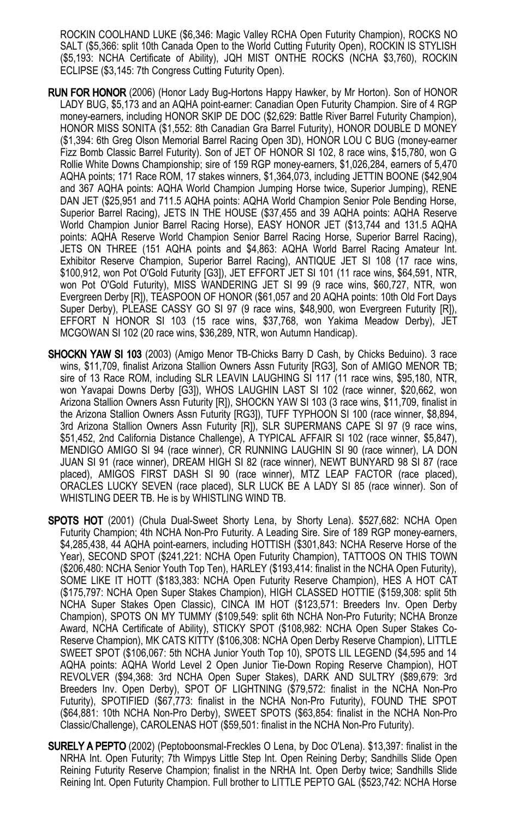ROCKIN COOLHAND LUKE (\$6,346: Magic Valley RCHA Open Futurity Champion), ROCKS NO SALT (\$5,366: split 10th Canada Open to the World Cutting Futurity Open), ROCKIN IS STYLISH (\$5,193: NCHA Certificate of Ability), JQH MIST ONTHE ROCKS (NCHA \$3,760), ROCKIN ECLIPSE (\$3,145: 7th Congress Cutting Futurity Open).

- RUN FOR HONOR (2006) (Honor Lady Bug-Hortons Happy Hawker, by Mr Horton). Son of HONOR LADY BUG, \$5,173 and an AQHA point-earner: Canadian Open Futurity Champion. Sire of 4 RGP money-earners, including HONOR SKIP DE DOC (\$2,629: Battle River Barrel Futurity Champion), HONOR MISS SONITA (\$1,552: 8th Canadian Gra Barrel Futurity), HONOR DOUBLE D MONEY (\$1,394: 6th Greg Olson Memorial Barrel Racing Open 3D), HONOR LOU C BUG (money-earner Fizz Bomb Classic Barrel Futurity). Son of JET OF HONOR SI 102, 8 race wins, \$15,780, won G Rollie White Downs Championship; sire of 159 RGP money-earners, \$1,026,284, earners of 5,470 AQHA points; 171 Race ROM, 17 stakes winners, \$1,364,073, including JETTIN BOONE (\$42,904 and 367 AQHA points: AQHA World Champion Jumping Horse twice, Superior Jumping), RENE DAN JET (\$25,951 and 711.5 AQHA points: AQHA World Champion Senior Pole Bending Horse, Superior Barrel Racing), JETS IN THE HOUSE (\$37,455 and 39 AQHA points: AQHA Reserve World Champion Junior Barrel Racing Horse), EASY HONOR JET (\$13,744 and 131.5 AQHA points: AQHA Reserve World Champion Senior Barrel Racing Horse, Superior Barrel Racing), JETS ON THREE (151 AQHA points and \$4,863: AQHA World Barrel Racing Amateur Int. Exhibitor Reserve Champion, Superior Barrel Racing), ANTIQUE JET SI 108 (17 race wins, \$100,912, won Pot O'Gold Futurity [G3]), JET EFFORT JET SI 101 (11 race wins, \$64,591, NTR, won Pot O'Gold Futurity), MISS WANDERING JET SI 99 (9 race wins, \$60,727, NTR, won Evergreen Derby [R]), TEASPOON OF HONOR (\$61,057 and 20 AQHA points: 10th Old Fort Days Super Derby), PLEASE CASSY GO SI 97 (9 race wins, \$48,900, won Evergreen Futurity [R]), EFFORT N HONOR SI 103 (15 race wins, \$37,768, won Yakima Meadow Derby), JET MCGOWAN SI 102 (20 race wins, \$36,289, NTR, won Autumn Handicap).
- **SHOCKN YAW SI 103** (2003) (Amigo Menor TB-Chicks Barry D Cash, by Chicks Beduino). 3 race wins, \$11,709, finalist Arizona Stallion Owners Assn Futurity [RG3], Son of AMIGO MENOR TB; sire of 13 Race ROM, including SLR LEAVIN LAUGHING SI 117 (11 race wins, \$95,180, NTR, won Yavapai Downs Derby [G3]), WHOS LAUGHIN LAST SI 102 (race winner, \$20,662, won Arizona Stallion Owners Assn Futurity [R]), SHOCKN YAW SI 103 (3 race wins, \$11,709, finalist in the Arizona Stallion Owners Assn Futurity [RG3]), TUFF TYPHOON SI 100 (race winner, \$8,894, 3rd Arizona Stallion Owners Assn Futurity [R]), SLR SUPERMANS CAPE SI 97 (9 race wins, \$51,452, 2nd California Distance Challenge), A TYPICAL AFFAIR SI 102 (race winner, \$5,847), MENDIGO AMIGO SI 94 (race winner), CR RUNNING LAUGHIN SI 90 (race winner), LA DON JUAN SI 91 (race winner), DREAM HIGH SI 82 (race winner), NEWT BUNYARD 98 SI 87 (race placed), AMIGOS FIRST DASH SI 90 (race winner), MTZ LEAP FACTOR (race placed), ORACLES LUCKY SEVEN (race placed), SLR LUCK BE A LADY SI 85 (race winner). Son of WHISTLING DEER TB. He is by WHISTLING WIND TB.
- SPOTS HOT (2001) (Chula Dual-Sweet Shorty Lena, by Shorty Lena). \$527,682: NCHA Open Futurity Champion; 4th NCHA Non-Pro Futurity. A Leading Sire. Sire of 189 RGP money-earners, \$4,285,438, 44 AQHA point-earners, including HOTTISH (\$301,843: NCHA Reserve Horse of the Year), SECOND SPOT (\$241,221: NCHA Open Futurity Champion), TATTOOS ON THIS TOWN (\$206,480: NCHA Senior Youth Top Ten), HARLEY (\$193,414: finalist in the NCHA Open Futurity), SOME LIKE IT HOTT (\$183,383: NCHA Open Futurity Reserve Champion), HES A HOT CAT (\$175,797: NCHA Open Super Stakes Champion), HIGH CLASSED HOTTIE (\$159,308: split 5th NCHA Super Stakes Open Classic), CINCA IM HOT (\$123,571: Breeders Inv. Open Derby Champion), SPOTS ON MY TUMMY (\$109,549: split 6th NCHA Non-Pro Futurity; NCHA Bronze Award, NCHA Certificate of Ability), STICKY SPOT (\$108,982: NCHA Open Super Stakes Co-Reserve Champion), MK CATS KITTY (\$106,308: NCHA Open Derby Reserve Champion), LITTLE SWEET SPOT (\$106,067: 5th NCHA Junior Youth Top 10), SPOTS LIL LEGEND (\$4,595 and 14 AQHA points: AQHA World Level 2 Open Junior Tie-Down Roping Reserve Champion), HOT REVOLVER (\$94,368: 3rd NCHA Open Super Stakes), DARK AND SULTRY (\$89,679: 3rd Breeders Inv. Open Derby), SPOT OF LIGHTNING (\$79,572: finalist in the NCHA Non-Pro Futurity), SPOTIFIED (\$67,773: finalist in the NCHA Non-Pro Futurity), FOUND THE SPOT (\$64,881: 10th NCHA Non-Pro Derby), SWEET SPOTS (\$63,854: finalist in the NCHA Non-Pro Classic/Challenge), CAROLENAS HOT (\$59,501: finalist in the NCHA Non-Pro Futurity).
- SURELY A PEPTO (2002) (Peptoboonsmal-Freckles O Lena, by Doc O'Lena). \$13,397: finalist in the NRHA Int. Open Futurity; 7th Wimpys Little Step Int. Open Reining Derby; Sandhills Slide Open Reining Futurity Reserve Champion; finalist in the NRHA Int. Open Derby twice; Sandhills Slide Reining Int. Open Futurity Champion. Full brother to LITTLE PEPTO GAL (\$523,742: NCHA Horse